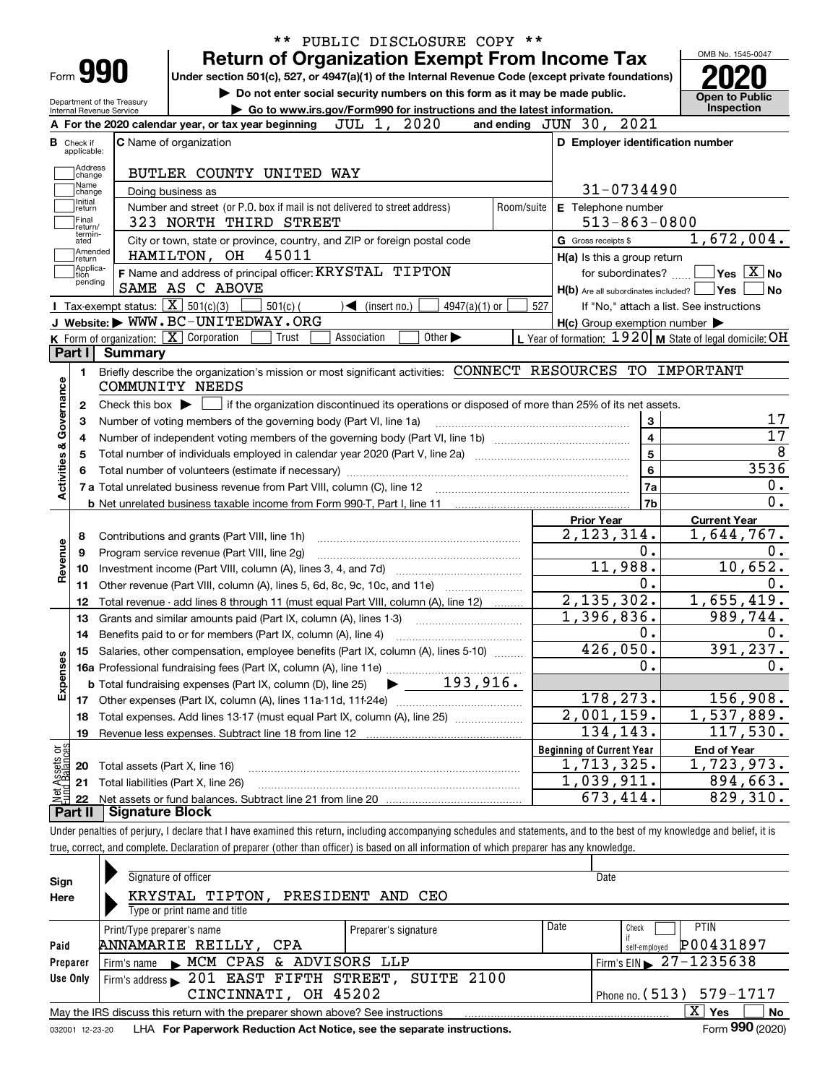| Form <b>990</b>                            |                                      | <b>Return of Organization Exempt From Income Tax</b><br>Under section 501(c), 527, or 4947(a)(1) of the Internal Revenue Code (except private foundations) |                                  |                                                     |                                                           |
|--------------------------------------------|--------------------------------------|------------------------------------------------------------------------------------------------------------------------------------------------------------|----------------------------------|-----------------------------------------------------|-----------------------------------------------------------|
|                                            | Department of the Treasury           | Do not enter social security numbers on this form as it may be made public.                                                                                |                                  |                                                     | <b>Open to Public</b><br>Inspection                       |
| Internal Revenue Service                   |                                      | Go to www.irs.gov/Form990 for instructions and the latest information.<br>2020<br>JUL 1,<br>A For the 2020 calendar year, or tax year beginning            | and ending $JUN$ 30, $2021$      |                                                     |                                                           |
| <b>B</b> Check if                          |                                      | <b>C</b> Name of organization                                                                                                                              |                                  | D Employer identification number                    |                                                           |
| applicable:                                |                                      |                                                                                                                                                            |                                  |                                                     |                                                           |
| Address                                    |                                      | BUTLER COUNTY UNITED WAY                                                                                                                                   |                                  |                                                     |                                                           |
| change<br>Name                             |                                      | Doing business as                                                                                                                                          |                                  | 31-0734490                                          |                                                           |
| change<br>Initial                          |                                      | Number and street (or P.O. box if mail is not delivered to street address)                                                                                 | Room/suite                       | E Telephone number                                  |                                                           |
| return<br>Final                            |                                      | 323 NORTH THIRD STREET                                                                                                                                     |                                  | $513 - 863 - 0800$                                  |                                                           |
| return/<br>termin-<br>ated                 |                                      | City or town, state or province, country, and ZIP or foreign postal code                                                                                   | G Gross receipts \$              |                                                     | 1,672,004.                                                |
| Amended                                    |                                      | 45011<br>HAMILTON, OH                                                                                                                                      |                                  | H(a) Is this a group return                         |                                                           |
| return<br> Applica-                        |                                      | F Name and address of principal officer: KRYSTAL TIPTON                                                                                                    |                                  | for subordinates?                                   | $\sqrt{}$ Yes $\sqrt{X}$ No                               |
| tion<br>pending                            |                                      | SAME AS C ABOVE                                                                                                                                            |                                  | $H(b)$ Are all subordinates included? $\Box$ Yes    |                                                           |
|                                            |                                      | Tax-exempt status: $\boxed{\mathbf{X}}$ 501(c)(3)<br>$501(c)$ (<br>$\sqrt{\frac{2}{1}}$ (insert no.)<br>$4947(a)(1)$ or                                    | 527                              |                                                     | If "No," attach a list. See instructions                  |
|                                            |                                      | J Website: WWW.BC-UNITEDWAY.ORG                                                                                                                            |                                  | $H(c)$ Group exemption number $\blacktriangleright$ |                                                           |
|                                            |                                      | $K$ Form of organization: $X$ Corporation<br>Other $\blacktriangleright$<br>Trust<br>Association                                                           |                                  |                                                     | L Year of formation: $1920$ M State of legal domicile: OH |
| Part I                                     | <b>Summary</b>                       |                                                                                                                                                            |                                  |                                                     |                                                           |
| 1.                                         |                                      | Briefly describe the organization's mission or most significant activities: CONNECT RESOURCES TO IMPORTANT                                                 |                                  |                                                     |                                                           |
|                                            |                                      | COMMUNITY NEEDS                                                                                                                                            |                                  |                                                     |                                                           |
| 2                                          | Check this box $\blacktriangleright$ | if the organization discontinued its operations or disposed of more than 25% of its net assets.                                                            |                                  |                                                     |                                                           |
| з                                          |                                      | Number of voting members of the governing body (Part VI, line 1a)                                                                                          |                                  | 3                                                   |                                                           |
| Governance<br>4                            |                                      | Number of independent voting members of the governing body (Part VI, line 1b) [100] [100] [100] [100] [100] [1                                             |                                  | $\overline{\mathbf{4}}$                             |                                                           |
| 5                                          |                                      |                                                                                                                                                            |                                  | $\overline{5}$                                      |                                                           |
| 6                                          |                                      |                                                                                                                                                            |                                  | $6\phantom{a}$                                      | 3536                                                      |
| Activities &                               |                                      |                                                                                                                                                            |                                  | 7a                                                  |                                                           |
|                                            |                                      |                                                                                                                                                            |                                  | 7b                                                  |                                                           |
|                                            |                                      |                                                                                                                                                            | <b>Prior Year</b>                |                                                     | <b>Current Year</b>                                       |
| 8                                          |                                      | Contributions and grants (Part VIII, line 1h)                                                                                                              |                                  | 2, 123, 314.                                        | 1,644,767.                                                |
| 9                                          |                                      | Program service revenue (Part VIII, line 2g)                                                                                                               |                                  | 0.                                                  |                                                           |
| Revenue                                    |                                      |                                                                                                                                                            |                                  | 11,988.                                             | 10,652.                                                   |
| 10                                         |                                      | Other revenue (Part VIII, column (A), lines 5, 6d, 8c, 9c, 10c, and 11e)                                                                                   |                                  | 0.                                                  |                                                           |
| 11                                         |                                      |                                                                                                                                                            |                                  | 2, 135, 302.                                        | 1,655,419.                                                |
| 12<br>13                                   |                                      | Total revenue - add lines 8 through 11 (must equal Part VIII, column (A), line 12)<br>Grants and similar amounts paid (Part IX, column (A), lines 1-3)     |                                  | 1,396,836.                                          | 989,744.                                                  |
|                                            |                                      |                                                                                                                                                            |                                  | 0.                                                  |                                                           |
| 15                                         |                                      | Salaries, other compensation, employee benefits (Part IX, column (A), lines 5-10)                                                                          |                                  | 426,050.                                            | 391, 237.                                                 |
|                                            |                                      |                                                                                                                                                            |                                  | $\mathbf 0$ .                                       |                                                           |
| Expenses                                   |                                      | 193,916.<br><b>b</b> Total fundraising expenses (Part IX, column (D), line 25)                                                                             |                                  |                                                     |                                                           |
|                                            |                                      |                                                                                                                                                            |                                  | 178,273.                                            | 156,908.                                                  |
| 17                                         |                                      | Total expenses. Add lines 13-17 (must equal Part IX, column (A), line 25)                                                                                  |                                  | 2,001,159.                                          | 1,537,889.                                                |
| 18                                         |                                      |                                                                                                                                                            |                                  | 134,143.                                            | 117,530.                                                  |
| 19                                         |                                      |                                                                                                                                                            | <b>Beginning of Current Year</b> |                                                     | <b>End of Year</b>                                        |
|                                            |                                      |                                                                                                                                                            |                                  | 1,713,325.                                          | 1,723,973.                                                |
|                                            |                                      | Total assets (Part X, line 16)                                                                                                                             |                                  | 1,039,911.                                          | 894,663.                                                  |
| 20                                         |                                      |                                                                                                                                                            |                                  |                                                     |                                                           |
| t Assets or<br>d Balances<br>21<br>혏<br>22 |                                      | Total liabilities (Part X, line 26)                                                                                                                        |                                  | 673,414.                                            | 829,310.                                                  |

| Sign     | Signature of officer                                                                                         |                      |      | Date                                         |  |  |  |  |  |  |  |
|----------|--------------------------------------------------------------------------------------------------------------|----------------------|------|----------------------------------------------|--|--|--|--|--|--|--|
| Here     | KRYSTAL TIPTON, PRESIDENT AND CEO                                                                            |                      |      |                                              |  |  |  |  |  |  |  |
|          | Type or print name and title                                                                                 |                      |      |                                              |  |  |  |  |  |  |  |
|          | Print/Type preparer's name                                                                                   | Preparer's signature | Date | <b>PTIN</b><br>Check                         |  |  |  |  |  |  |  |
| Paid     | ANNAMARIE REILLY, CPA                                                                                        |                      |      | P00431897<br>self-emploved                   |  |  |  |  |  |  |  |
| Preparer | Firm's name MCM CPAS & ADVISORS LLP                                                                          |                      |      | $1$ Firm's EIN $\triangleright$ 27 - 1235638 |  |  |  |  |  |  |  |
| Use Only | Firm's address 201 EAST FIFTH STREET, SUITE 2100                                                             |                      |      |                                              |  |  |  |  |  |  |  |
|          | Phone no. $(513)$ 579-1717<br>CINCINNATI, OH 45202                                                           |                      |      |                                              |  |  |  |  |  |  |  |
|          | May the IRS discuss this return with the preparer shown above? See instructions                              |                      |      | X.<br><b>No</b><br>Yes                       |  |  |  |  |  |  |  |
|          | Form 990 (2020)<br>LHA For Paperwork Reduction Act Notice, see the separate instructions.<br>032001 12-23-20 |                      |      |                                              |  |  |  |  |  |  |  |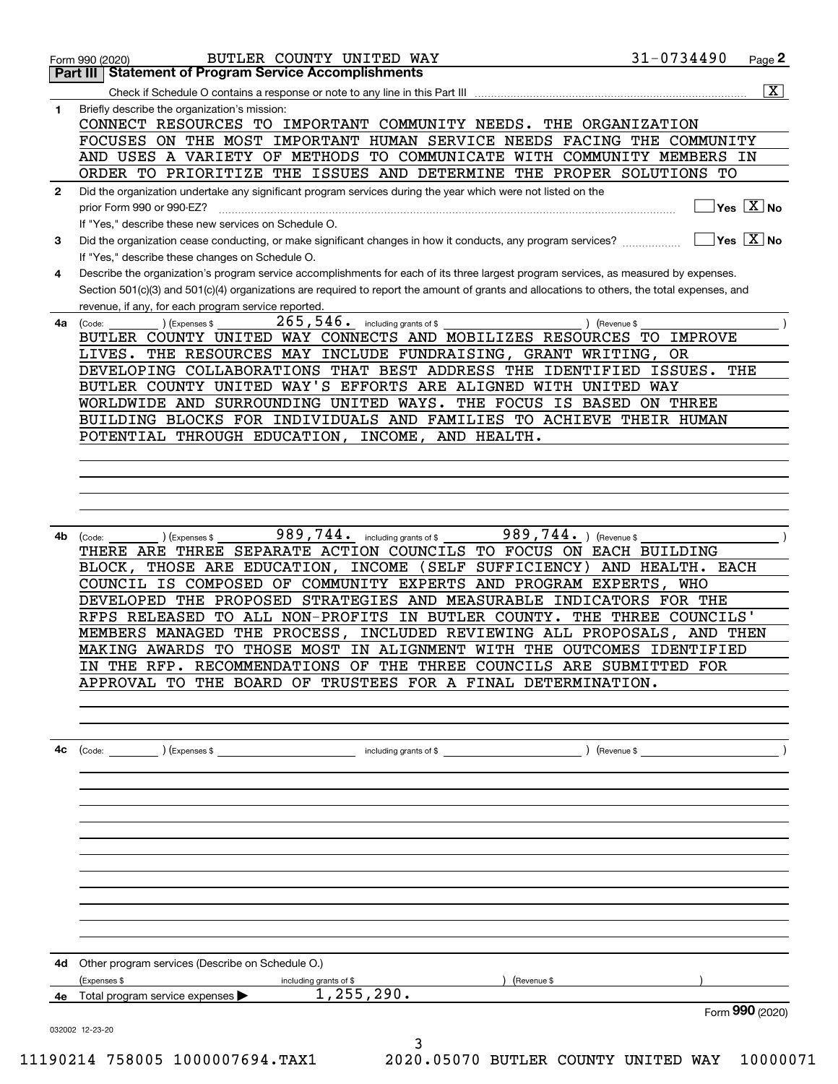|              | BUTLER COUNTY UNITED WAY<br>Form 990 (2020)                                                                                                                     | 31-0734490          | Page 2                                 |
|--------------|-----------------------------------------------------------------------------------------------------------------------------------------------------------------|---------------------|----------------------------------------|
|              | <b>Part III   Statement of Program Service Accomplishments</b>                                                                                                  |                     |                                        |
|              |                                                                                                                                                                 |                     | $\overline{\mathtt{x}}$                |
| 1            | Briefly describe the organization's mission:<br>CONNECT RESOURCES TO IMPORTANT COMMUNITY NEEDS. THE ORGANIZATION                                                |                     |                                        |
|              | FOCUSES ON THE MOST IMPORTANT HUMAN SERVICE NEEDS FACING THE COMMUNITY                                                                                          |                     |                                        |
|              | AND USES A VARIETY OF METHODS TO COMMUNICATE WITH COMMUNITY MEMBERS IN                                                                                          |                     |                                        |
|              | ORDER TO PRIORITIZE THE ISSUES AND DETERMINE THE PROPER SOLUTIONS TO                                                                                            |                     |                                        |
| $\mathbf{2}$ | Did the organization undertake any significant program services during the year which were not listed on the                                                    |                     |                                        |
|              | prior Form 990 or 990-EZ?                                                                                                                                       |                     | $\sqrt{}$ Yes $\sqrt{}$ X $\sqrt{}$ No |
|              | If "Yes," describe these new services on Schedule O.                                                                                                            |                     |                                        |
| 3            | Did the organization cease conducting, or make significant changes in how it conducts, any program services?<br>If "Yes," describe these changes on Schedule O. |                     | $ Yes X $ No                           |
| 4            | Describe the organization's program service accomplishments for each of its three largest program services, as measured by expenses.                            |                     |                                        |
|              | Section 501(c)(3) and 501(c)(4) organizations are required to report the amount of grants and allocations to others, the total expenses, and                    |                     |                                        |
|              | revenue, if any, for each program service reported.                                                                                                             |                     |                                        |
| 4a           | $265, 546$ . including grants of \$<br>) (Revenue \$<br>(Expenses \$<br>(Code:                                                                                  |                     |                                        |
|              | BUTLER COUNTY UNITED WAY CONNECTS AND MOBILIZES RESOURCES TO IMPROVE                                                                                            |                     |                                        |
|              | LIVES. THE RESOURCES MAY INCLUDE FUNDRAISING, GRANT WRITING, OR                                                                                                 |                     |                                        |
|              | DEVELOPING COLLABORATIONS THAT BEST ADDRESS<br>THE IDENTIFIED ISSUES.                                                                                           |                     | THE                                    |
|              | BUTLER COUNTY UNITED WAY'S EFFORTS ARE ALIGNED WITH UNITED WAY                                                                                                  |                     |                                        |
|              | WORLDWIDE AND SURROUNDING UNITED WAYS.<br>THE FOCUS IS BASED ON THREE                                                                                           |                     |                                        |
|              | BUILDING BLOCKS FOR INDIVIDUALS AND FAMILIES TO ACHIEVE THEIR HUMAN                                                                                             |                     |                                        |
|              | POTENTIAL THROUGH EDUCATION, INCOME, AND HEALTH.                                                                                                                |                     |                                        |
|              |                                                                                                                                                                 |                     |                                        |
|              |                                                                                                                                                                 |                     |                                        |
|              |                                                                                                                                                                 |                     |                                        |
|              |                                                                                                                                                                 |                     |                                        |
|              |                                                                                                                                                                 |                     |                                        |
|              |                                                                                                                                                                 |                     |                                        |
| 4b           | 989,744. including grants of \$<br>989,744. ) (Revenue \$<br>(Expenses \$<br>(Code:                                                                             |                     |                                        |
|              | THERE ARE THREE SEPARATE ACTION COUNCILS TO FOCUS ON EACH BUILDING                                                                                              |                     |                                        |
|              | BLOCK, THOSE ARE EDUCATION, INCOME (SELF<br>SUFFICIENCY)                                                                                                        | AND HEALTH. EACH    |                                        |
|              | COUNCIL IS COMPOSED OF COMMUNITY EXPERTS AND PROGRAM EXPERTS, WHO                                                                                               |                     |                                        |
|              | DEVELOPED THE PROPOSED STRATEGIES AND MEASURABLE INDICATORS FOR THE                                                                                             |                     |                                        |
|              | RFPS RELEASED TO ALL NON-PROFITS IN BUTLER COUNTY.                                                                                                              | THE THREE COUNCILS' |                                        |
|              | MEMBERS MANAGED THE PROCESS,<br>INCLUDED REVIEWING ALL PROPOSALS,                                                                                               | AND THEN            |                                        |
|              | MAKING AWARDS TO THOSE MOST IN ALIGNMENT WITH THE OUTCOMES IDENTIFIED                                                                                           |                     |                                        |
|              | IN THE RFP. RECOMMENDATIONS OF THE THREE COUNCILS ARE SUBMITTED FOR                                                                                             |                     |                                        |
|              | APPROVAL TO THE BOARD OF TRUSTEES FOR A FINAL DETERMINATION.                                                                                                    |                     |                                        |
|              |                                                                                                                                                                 |                     |                                        |
|              |                                                                                                                                                                 |                     |                                        |
|              |                                                                                                                                                                 |                     |                                        |
| 4с           |                                                                                                                                                                 |                     |                                        |
|              |                                                                                                                                                                 |                     |                                        |
|              |                                                                                                                                                                 |                     |                                        |
|              |                                                                                                                                                                 |                     |                                        |
|              |                                                                                                                                                                 |                     |                                        |
|              |                                                                                                                                                                 |                     |                                        |
|              |                                                                                                                                                                 |                     |                                        |
|              |                                                                                                                                                                 |                     |                                        |
|              |                                                                                                                                                                 |                     |                                        |
|              |                                                                                                                                                                 |                     |                                        |
|              |                                                                                                                                                                 |                     |                                        |
|              |                                                                                                                                                                 |                     |                                        |
|              |                                                                                                                                                                 |                     |                                        |
| 4d           | Other program services (Describe on Schedule O.)                                                                                                                |                     |                                        |
|              | (Expenses \$<br>including grants of \$<br>) (Revenue \$                                                                                                         |                     |                                        |
| 4е           | 1,255,290.<br>Total program service expenses                                                                                                                    |                     |                                        |
|              |                                                                                                                                                                 |                     | Form 990 (2020)                        |
|              | 032002 12-23-20                                                                                                                                                 |                     |                                        |
|              | 3                                                                                                                                                               |                     |                                        |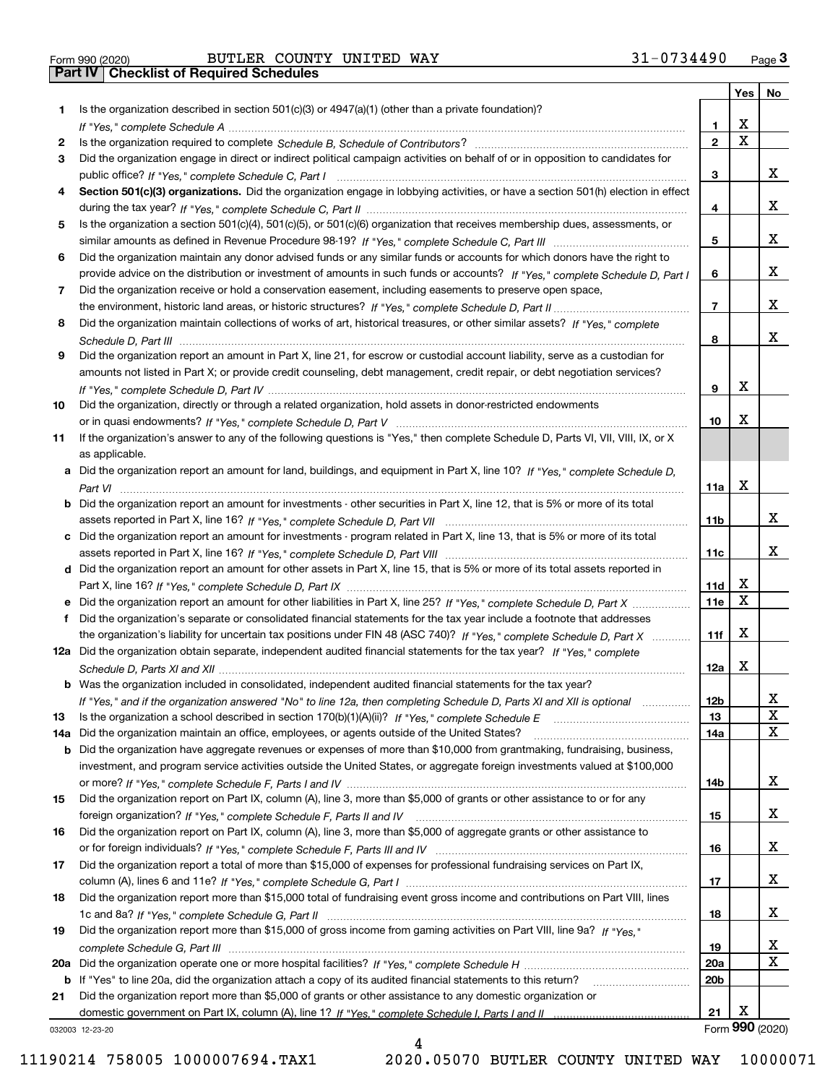|  | Form 990 (2020) |
|--|-----------------|

|     |                                                                                                                                                                                                                                                           |                 | Yes | No              |
|-----|-----------------------------------------------------------------------------------------------------------------------------------------------------------------------------------------------------------------------------------------------------------|-----------------|-----|-----------------|
| 1.  | Is the organization described in section $501(c)(3)$ or $4947(a)(1)$ (other than a private foundation)?                                                                                                                                                   |                 |     |                 |
|     |                                                                                                                                                                                                                                                           | 1               | х   |                 |
| 2   |                                                                                                                                                                                                                                                           | $\mathbf{2}$    | X   |                 |
| 3   | Did the organization engage in direct or indirect political campaign activities on behalf of or in opposition to candidates for                                                                                                                           |                 |     |                 |
|     |                                                                                                                                                                                                                                                           | 3               |     | X.              |
| 4   | Section 501(c)(3) organizations. Did the organization engage in lobbying activities, or have a section 501(h) election in effect                                                                                                                          |                 |     |                 |
|     |                                                                                                                                                                                                                                                           | 4               |     | x               |
| 5   | Is the organization a section 501(c)(4), 501(c)(5), or 501(c)(6) organization that receives membership dues, assessments, or                                                                                                                              |                 |     | X.              |
|     |                                                                                                                                                                                                                                                           | 5               |     |                 |
| 6   | Did the organization maintain any donor advised funds or any similar funds or accounts for which donors have the right to<br>provide advice on the distribution or investment of amounts in such funds or accounts? If "Yes," complete Schedule D, Part I | 6               |     | X.              |
| 7   | Did the organization receive or hold a conservation easement, including easements to preserve open space,                                                                                                                                                 |                 |     |                 |
|     |                                                                                                                                                                                                                                                           | 7               |     | x               |
| 8   | Did the organization maintain collections of works of art, historical treasures, or other similar assets? If "Yes," complete                                                                                                                              |                 |     |                 |
|     |                                                                                                                                                                                                                                                           | 8               |     | x               |
| 9   | Did the organization report an amount in Part X, line 21, for escrow or custodial account liability, serve as a custodian for                                                                                                                             |                 |     |                 |
|     | amounts not listed in Part X; or provide credit counseling, debt management, credit repair, or debt negotiation services?                                                                                                                                 |                 |     |                 |
|     |                                                                                                                                                                                                                                                           | 9               | х   |                 |
| 10  | Did the organization, directly or through a related organization, hold assets in donor-restricted endowments                                                                                                                                              |                 |     |                 |
|     |                                                                                                                                                                                                                                                           | 10              | х   |                 |
| 11  | If the organization's answer to any of the following questions is "Yes," then complete Schedule D, Parts VI, VIII, VIII, IX, or X                                                                                                                         |                 |     |                 |
|     | as applicable.                                                                                                                                                                                                                                            |                 |     |                 |
|     | a Did the organization report an amount for land, buildings, and equipment in Part X, line 10? If "Yes," complete Schedule D,                                                                                                                             |                 |     |                 |
|     |                                                                                                                                                                                                                                                           | 11a             | х   |                 |
|     | <b>b</b> Did the organization report an amount for investments - other securities in Part X, line 12, that is 5% or more of its total                                                                                                                     |                 |     |                 |
|     |                                                                                                                                                                                                                                                           | 11b             |     | x               |
|     | c Did the organization report an amount for investments - program related in Part X, line 13, that is 5% or more of its total                                                                                                                             |                 |     |                 |
|     |                                                                                                                                                                                                                                                           | 11c             |     | X.              |
|     | d Did the organization report an amount for other assets in Part X, line 15, that is 5% or more of its total assets reported in                                                                                                                           |                 |     |                 |
|     |                                                                                                                                                                                                                                                           | 11d             | x   |                 |
|     |                                                                                                                                                                                                                                                           | <b>11e</b>      | X   |                 |
| f   | Did the organization's separate or consolidated financial statements for the tax year include a footnote that addresses                                                                                                                                   |                 |     |                 |
|     | the organization's liability for uncertain tax positions under FIN 48 (ASC 740)? If "Yes," complete Schedule D. Part X                                                                                                                                    | 11f             | х   |                 |
|     | 12a Did the organization obtain separate, independent audited financial statements for the tax year? If "Yes," complete                                                                                                                                   |                 |     |                 |
|     |                                                                                                                                                                                                                                                           | 12a             | х   |                 |
|     | <b>b</b> Was the organization included in consolidated, independent audited financial statements for the tax year?                                                                                                                                        |                 |     |                 |
|     | If "Yes," and if the organization answered "No" to line 12a, then completing Schedule D, Parts XI and XII is optional                                                                                                                                     | 12 <sub>b</sub> |     | X               |
| 13  | Is the organization a school described in section 170(b)(1)(A)(ii)? If "Yes," complete Schedule E<br>Did the organization maintain an office, employees, or agents outside of the United States?                                                          | 13              |     | x               |
| 14a | <b>b</b> Did the organization have aggregate revenues or expenses of more than \$10,000 from grantmaking, fundraising, business,                                                                                                                          | 14a             |     |                 |
|     | investment, and program service activities outside the United States, or aggregate foreign investments valued at \$100,000                                                                                                                                |                 |     |                 |
|     |                                                                                                                                                                                                                                                           | 14b             |     | X.              |
| 15  | Did the organization report on Part IX, column (A), line 3, more than \$5,000 of grants or other assistance to or for any                                                                                                                                 |                 |     |                 |
|     |                                                                                                                                                                                                                                                           | 15              |     | X.              |
| 16  | Did the organization report on Part IX, column (A), line 3, more than \$5,000 of aggregate grants or other assistance to                                                                                                                                  |                 |     |                 |
|     |                                                                                                                                                                                                                                                           | 16              |     | X.              |
| 17  | Did the organization report a total of more than \$15,000 of expenses for professional fundraising services on Part IX,                                                                                                                                   |                 |     |                 |
|     |                                                                                                                                                                                                                                                           | 17              |     | X.              |
| 18  | Did the organization report more than \$15,000 total of fundraising event gross income and contributions on Part VIII, lines                                                                                                                              |                 |     |                 |
|     |                                                                                                                                                                                                                                                           | 18              |     | X.              |
| 19  | Did the organization report more than \$15,000 of gross income from gaming activities on Part VIII, line 9a? If "Yes."                                                                                                                                    |                 |     |                 |
|     |                                                                                                                                                                                                                                                           | 19              |     | X               |
| 20a |                                                                                                                                                                                                                                                           | 20a             |     | X               |
|     | b If "Yes" to line 20a, did the organization attach a copy of its audited financial statements to this return?                                                                                                                                            | 20b             |     |                 |
| 21  | Did the organization report more than \$5,000 of grants or other assistance to any domestic organization or                                                                                                                                               |                 |     |                 |
|     |                                                                                                                                                                                                                                                           | 21              | х   |                 |
|     | 032003 12-23-20                                                                                                                                                                                                                                           |                 |     | Form 990 (2020) |

4

032003 12-23-20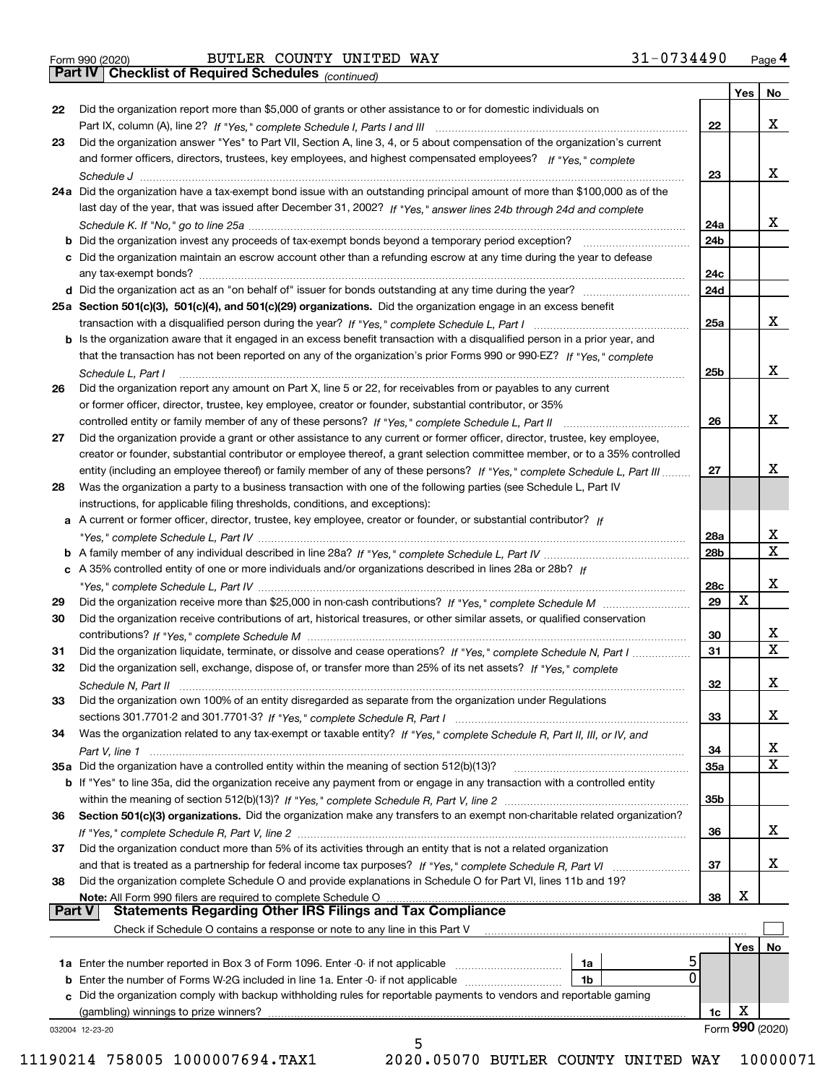|  | Form 990 (2020) |
|--|-----------------|
|  |                 |

*(continued)*

|               |                                                                                                                              |            | Yes             | No                      |
|---------------|------------------------------------------------------------------------------------------------------------------------------|------------|-----------------|-------------------------|
| 22            | Did the organization report more than \$5,000 of grants or other assistance to or for domestic individuals on                |            |                 |                         |
|               |                                                                                                                              | 22         |                 | х                       |
| 23            | Did the organization answer "Yes" to Part VII, Section A, line 3, 4, or 5 about compensation of the organization's current   |            |                 |                         |
|               | and former officers, directors, trustees, key employees, and highest compensated employees? If "Yes," complete               |            |                 |                         |
|               |                                                                                                                              | 23         |                 | х                       |
|               | 24a Did the organization have a tax-exempt bond issue with an outstanding principal amount of more than \$100,000 as of the  |            |                 |                         |
|               | last day of the year, that was issued after December 31, 2002? If "Yes," answer lines 24b through 24d and complete           |            |                 |                         |
|               |                                                                                                                              | 24a        |                 | х                       |
|               | b Did the organization invest any proceeds of tax-exempt bonds beyond a temporary period exception?                          | 24b        |                 |                         |
|               | c Did the organization maintain an escrow account other than a refunding escrow at any time during the year to defease       |            |                 |                         |
|               |                                                                                                                              | 24c<br>24d |                 |                         |
|               |                                                                                                                              |            |                 |                         |
|               | 25a Section 501(c)(3), 501(c)(4), and 501(c)(29) organizations. Did the organization engage in an excess benefit             | 25a        |                 | х                       |
|               | b Is the organization aware that it engaged in an excess benefit transaction with a disqualified person in a prior year, and |            |                 |                         |
|               | that the transaction has not been reported on any of the organization's prior Forms 990 or 990-EZ? If "Yes." complete        |            |                 |                         |
|               | Schedule L. Part I                                                                                                           | 25b        |                 | х                       |
| 26            | Did the organization report any amount on Part X, line 5 or 22, for receivables from or payables to any current              |            |                 |                         |
|               | or former officer, director, trustee, key employee, creator or founder, substantial contributor, or 35%                      |            |                 |                         |
|               |                                                                                                                              | 26         |                 | х                       |
| 27            | Did the organization provide a grant or other assistance to any current or former officer, director, trustee, key employee,  |            |                 |                         |
|               | creator or founder, substantial contributor or employee thereof, a grant selection committee member, or to a 35% controlled  |            |                 |                         |
|               | entity (including an employee thereof) or family member of any of these persons? If "Yes," complete Schedule L, Part III     | 27         |                 | х                       |
| 28            | Was the organization a party to a business transaction with one of the following parties (see Schedule L, Part IV            |            |                 |                         |
|               | instructions, for applicable filing thresholds, conditions, and exceptions):                                                 |            |                 |                         |
|               | a A current or former officer, director, trustee, key employee, creator or founder, or substantial contributor? If           |            |                 |                         |
|               |                                                                                                                              | 28a        |                 | X                       |
|               |                                                                                                                              | 28b        |                 | $\mathbf x$             |
|               | c A 35% controlled entity of one or more individuals and/or organizations described in lines 28a or 28b? If                  |            |                 |                         |
|               |                                                                                                                              | 28c        |                 | х                       |
| 29            |                                                                                                                              | 29         | Х               |                         |
| 30            | Did the organization receive contributions of art, historical treasures, or other similar assets, or qualified conservation  |            |                 |                         |
|               |                                                                                                                              | 30         |                 | X                       |
| 31            | Did the organization liquidate, terminate, or dissolve and cease operations? If "Yes," complete Schedule N, Part I           | 31         |                 | $\overline{\mathbf{x}}$ |
| 32            | Did the organization sell, exchange, dispose of, or transfer more than 25% of its net assets? If "Yes," complete             |            |                 |                         |
|               | Schedule N, Part II                                                                                                          | 32         |                 | X                       |
| 33            | Did the organization own 100% of an entity disregarded as separate from the organization under Regulations                   |            |                 | х                       |
|               |                                                                                                                              | 33         |                 |                         |
| 34            | Was the organization related to any tax-exempt or taxable entity? If "Yes," complete Schedule R, Part II, III, or IV, and    | 34         |                 | х                       |
|               | 35a Did the organization have a controlled entity within the meaning of section 512(b)(13)?                                  | 35a        |                 | Х                       |
|               | b If "Yes" to line 35a, did the organization receive any payment from or engage in any transaction with a controlled entity  |            |                 |                         |
|               |                                                                                                                              | 35b        |                 |                         |
| 36            | Section 501(c)(3) organizations. Did the organization make any transfers to an exempt non-charitable related organization?   |            |                 |                         |
|               |                                                                                                                              | 36         |                 | x                       |
| 37            | Did the organization conduct more than 5% of its activities through an entity that is not a related organization             |            |                 |                         |
|               | and that is treated as a partnership for federal income tax purposes? If "Yes," complete Schedule R, Part VI                 | 37         |                 | x                       |
| 38            | Did the organization complete Schedule O and provide explanations in Schedule O for Part VI, lines 11b and 19?               |            |                 |                         |
|               | Note: All Form 990 filers are required to complete Schedule O                                                                | 38         | х               |                         |
| <b>Part V</b> | <b>Statements Regarding Other IRS Filings and Tax Compliance</b>                                                             |            |                 |                         |
|               | Check if Schedule O contains a response or note to any line in this Part V                                                   |            |                 |                         |
|               |                                                                                                                              |            | Yes             | No                      |
|               | 5<br><b>1a</b> Enter the number reported in Box 3 of Form 1096. Enter -0- if not applicable <i>manumumumum</i><br>1a         |            |                 |                         |
|               | 0<br>1b                                                                                                                      |            |                 |                         |
|               | c Did the organization comply with backup withholding rules for reportable payments to vendors and reportable gaming         |            |                 |                         |
|               | (gambling) winnings to prize winners?                                                                                        | 1c         | х               |                         |
|               | 032004 12-23-20                                                                                                              |            | Form 990 (2020) |                         |
|               | 5                                                                                                                            |            |                 |                         |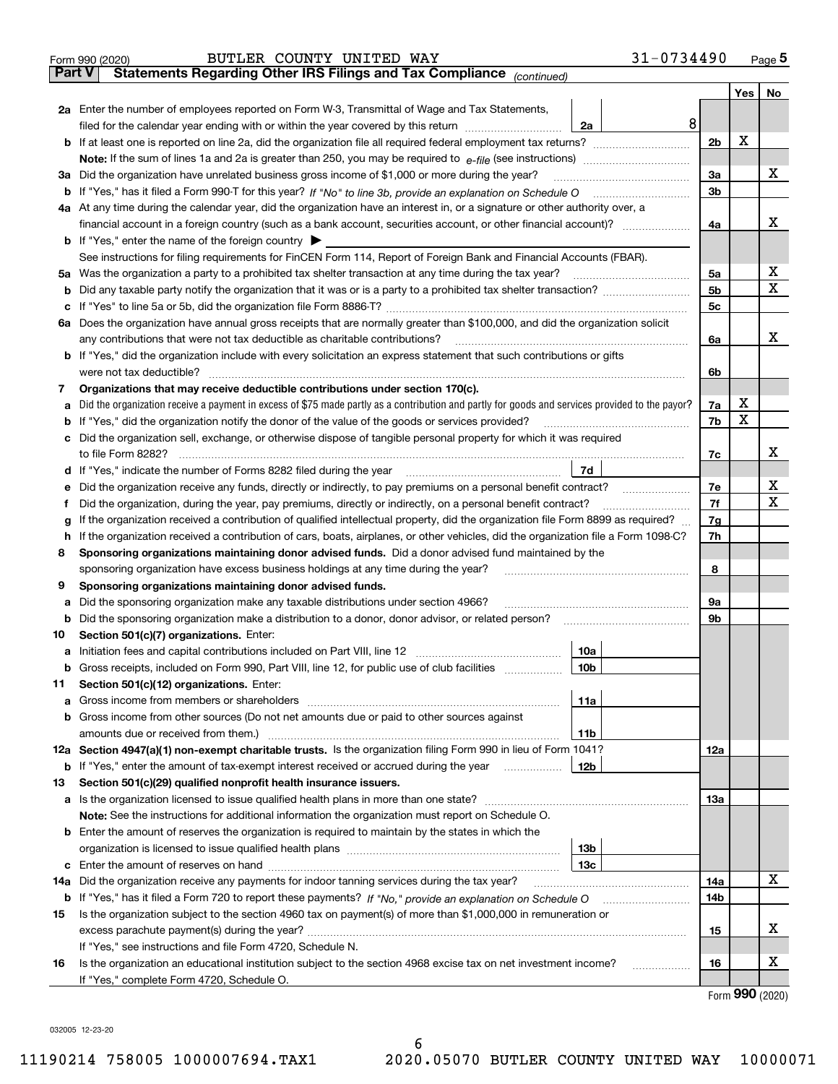|               | 31-0734490<br>BUTLER COUNTY UNITED WAY<br>Form 990 (2020)                                                                                                                                                                        |                |         | $Page$ <sup>5</sup>                 |
|---------------|----------------------------------------------------------------------------------------------------------------------------------------------------------------------------------------------------------------------------------|----------------|---------|-------------------------------------|
| <b>Part V</b> | Statements Regarding Other IRS Filings and Tax Compliance (continued)                                                                                                                                                            |                |         |                                     |
|               |                                                                                                                                                                                                                                  |                | Yes $ $ | No                                  |
|               | 2a Enter the number of employees reported on Form W-3, Transmittal of Wage and Tax Statements,                                                                                                                                   |                |         |                                     |
|               | 8<br>filed for the calendar year ending with or within the year covered by this return <i>manumumumum</i><br>2a                                                                                                                  |                |         |                                     |
|               |                                                                                                                                                                                                                                  | 2 <sub>b</sub> | Х       |                                     |
|               |                                                                                                                                                                                                                                  |                |         |                                     |
| За            | Did the organization have unrelated business gross income of \$1,000 or more during the year?                                                                                                                                    | 3a             |         | х                                   |
|               |                                                                                                                                                                                                                                  | 3b             |         |                                     |
|               | 4a At any time during the calendar year, did the organization have an interest in, or a signature or other authority over, a                                                                                                     |                |         |                                     |
|               | financial account in a foreign country (such as a bank account, securities account, or other financial account)?                                                                                                                 | 4a             |         | x                                   |
|               | <b>b</b> If "Yes," enter the name of the foreign country $\blacktriangleright$                                                                                                                                                   |                |         |                                     |
|               | See instructions for filing requirements for FinCEN Form 114, Report of Foreign Bank and Financial Accounts (FBAR).                                                                                                              |                |         |                                     |
|               |                                                                                                                                                                                                                                  | 5a             |         | х                                   |
|               |                                                                                                                                                                                                                                  | 5b             |         | х                                   |
|               |                                                                                                                                                                                                                                  | 5c             |         |                                     |
|               | 6a Does the organization have annual gross receipts that are normally greater than \$100,000, and did the organization solicit                                                                                                   |                |         |                                     |
|               |                                                                                                                                                                                                                                  | 6a             |         | х                                   |
|               | <b>b</b> If "Yes," did the organization include with every solicitation an express statement that such contributions or gifts                                                                                                    |                |         |                                     |
|               |                                                                                                                                                                                                                                  |                |         |                                     |
|               |                                                                                                                                                                                                                                  | 6b             |         |                                     |
| 7             | Organizations that may receive deductible contributions under section 170(c).<br>Did the organization receive a payment in excess of \$75 made partly as a contribution and partly for goods and services provided to the payor? |                | х       |                                     |
| а             |                                                                                                                                                                                                                                  | 7a<br>7b       | х       |                                     |
|               | <b>b</b> If "Yes," did the organization notify the donor of the value of the goods or services provided?                                                                                                                         |                |         |                                     |
|               | c Did the organization sell, exchange, or otherwise dispose of tangible personal property for which it was required                                                                                                              |                |         | x                                   |
|               |                                                                                                                                                                                                                                  | 7c             |         |                                     |
|               | 7d                                                                                                                                                                                                                               |                |         | х                                   |
| е             | Did the organization receive any funds, directly or indirectly, to pay premiums on a personal benefit contract?                                                                                                                  | 7e             |         | X                                   |
| f             | Did the organization, during the year, pay premiums, directly or indirectly, on a personal benefit contract?                                                                                                                     | 7f             |         |                                     |
| g             | If the organization received a contribution of qualified intellectual property, did the organization file Form 8899 as required?                                                                                                 | 7g             |         |                                     |
| h.            | If the organization received a contribution of cars, boats, airplanes, or other vehicles, did the organization file a Form 1098-C?                                                                                               | 7h             |         |                                     |
| 8             | Sponsoring organizations maintaining donor advised funds. Did a donor advised fund maintained by the                                                                                                                             |                |         |                                     |
|               | sponsoring organization have excess business holdings at any time during the year?                                                                                                                                               | 8              |         |                                     |
| 9             | Sponsoring organizations maintaining donor advised funds.                                                                                                                                                                        |                |         |                                     |
| а             | Did the sponsoring organization make any taxable distributions under section 4966?                                                                                                                                               | 9а             |         |                                     |
|               | <b>b</b> Did the sponsoring organization make a distribution to a donor, donor advisor, or related person?                                                                                                                       | 9b             |         |                                     |
| 10            | Section 501(c)(7) organizations. Enter:                                                                                                                                                                                          |                |         |                                     |
|               | 10a                                                                                                                                                                                                                              |                |         |                                     |
|               | 10 <sub>b</sub><br>Gross receipts, included on Form 990, Part VIII, line 12, for public use of club facilities                                                                                                                   |                |         |                                     |
| 11            | Section 501(c)(12) organizations. Enter:                                                                                                                                                                                         |                |         |                                     |
|               | <b>a</b> Gross income from members or shareholders<br>11a                                                                                                                                                                        |                |         |                                     |
|               | b Gross income from other sources (Do not net amounts due or paid to other sources against                                                                                                                                       |                |         |                                     |
|               | 11b                                                                                                                                                                                                                              |                |         |                                     |
|               | 12a Section 4947(a)(1) non-exempt charitable trusts. Is the organization filing Form 990 in lieu of Form 1041?                                                                                                                   | 12a            |         |                                     |
|               | 12b<br><b>b</b> If "Yes," enter the amount of tax-exempt interest received or accrued during the year <i>manument</i>                                                                                                            |                |         |                                     |
| 13            | Section 501(c)(29) qualified nonprofit health insurance issuers.                                                                                                                                                                 |                |         |                                     |
|               | a Is the organization licensed to issue qualified health plans in more than one state?                                                                                                                                           | 13а            |         |                                     |
|               | Note: See the instructions for additional information the organization must report on Schedule O.                                                                                                                                |                |         |                                     |
|               | <b>b</b> Enter the amount of reserves the organization is required to maintain by the states in which the                                                                                                                        |                |         |                                     |
|               | 13b                                                                                                                                                                                                                              |                |         |                                     |
|               | 13с                                                                                                                                                                                                                              |                |         |                                     |
| 14a           | Did the organization receive any payments for indoor tanning services during the tax year?                                                                                                                                       | 14a            |         | х                                   |
|               | <b>b</b> If "Yes," has it filed a Form 720 to report these payments? If "No," provide an explanation on Schedule O                                                                                                               | 14b            |         |                                     |
| 15            | Is the organization subject to the section 4960 tax on payment(s) of more than \$1,000,000 in remuneration or                                                                                                                    |                |         |                                     |
|               |                                                                                                                                                                                                                                  | 15             |         | X                                   |
|               | If "Yes," see instructions and file Form 4720, Schedule N.                                                                                                                                                                       |                |         |                                     |
| 16            | Is the organization an educational institution subject to the section 4968 excise tax on net investment income?                                                                                                                  | 16             |         | X                                   |
|               | If "Yes," complete Form 4720, Schedule O.                                                                                                                                                                                        |                |         |                                     |
|               |                                                                                                                                                                                                                                  |                |         | $T_{\text{arm}}$ QQ $\Omega$ (2020) |

Form (2020) **990**

032005 12-23-20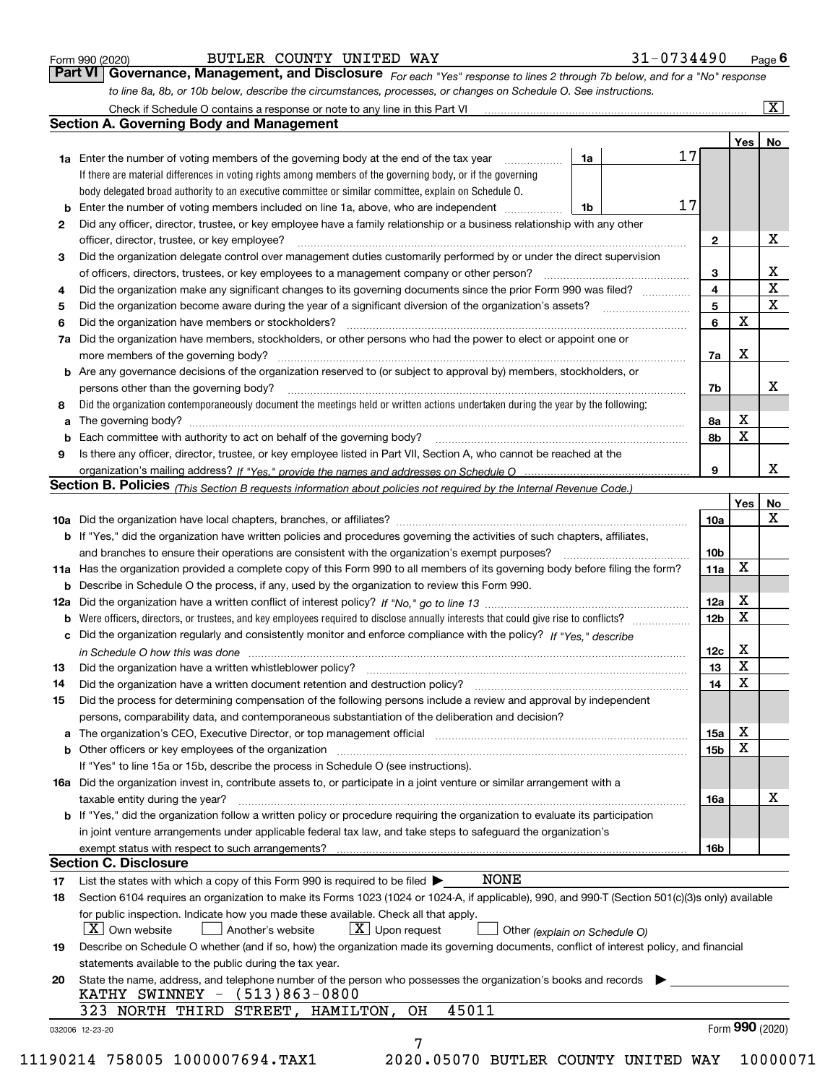|  | Form 990 (2020) |
|--|-----------------|
|  |                 |

#### $_{\rm Form}$   $_{990}$   $_{(2020)}$   $_{\rm BQe}$   $_{\rm BQe}$   $_{\rm BQe}$

| Form 990 (2020) | BUTLER COUNTY UNITED WAY |  | 31-0734490                                                                                                                         | Page $6$ |
|-----------------|--------------------------|--|------------------------------------------------------------------------------------------------------------------------------------|----------|
|                 |                          |  | <b>Part VI Governance, Management, and Disclosure</b> For each "Yes" response to lines 2 through 7b below, and for a "No" response |          |
|                 |                          |  | to line 8a, 8b, or 10b below, describe the circumstances, processes, or changes on Schedule O. See instructions.                   |          |

|    |                                                                                                                                                                                                                                |    |  |    |                         | Yes | No                      |
|----|--------------------------------------------------------------------------------------------------------------------------------------------------------------------------------------------------------------------------------|----|--|----|-------------------------|-----|-------------------------|
|    | <b>1a</b> Enter the number of voting members of the governing body at the end of the tax year<br>.                                                                                                                             | 1a |  | 17 |                         |     |                         |
|    | If there are material differences in voting rights among members of the governing body, or if the governing                                                                                                                    |    |  |    |                         |     |                         |
|    | body delegated broad authority to an executive committee or similar committee, explain on Schedule O.                                                                                                                          |    |  |    |                         |     |                         |
| b  | Enter the number of voting members included on line 1a, above, who are independent                                                                                                                                             | 1b |  | 17 |                         |     |                         |
| 2  | Did any officer, director, trustee, or key employee have a family relationship or a business relationship with any other                                                                                                       |    |  |    |                         |     |                         |
|    | officer, director, trustee, or key employee?                                                                                                                                                                                   |    |  |    | $\mathbf{2}$            |     | X                       |
| 3  | Did the organization delegate control over management duties customarily performed by or under the direct supervision                                                                                                          |    |  |    |                         |     |                         |
|    |                                                                                                                                                                                                                                |    |  |    | 3                       |     | X                       |
| 4  | Did the organization make any significant changes to its governing documents since the prior Form 990 was filed?                                                                                                               |    |  |    | $\overline{\mathbf{4}}$ |     | $\overline{\textbf{X}}$ |
| 5  |                                                                                                                                                                                                                                |    |  |    | 5                       |     | $\mathbf x$             |
| 6  | Did the organization have members or stockholders?                                                                                                                                                                             |    |  |    | 6                       | X   |                         |
| 7a | Did the organization have members, stockholders, or other persons who had the power to elect or appoint one or                                                                                                                 |    |  |    |                         |     |                         |
|    |                                                                                                                                                                                                                                |    |  |    | 7a                      | X   |                         |
|    | <b>b</b> Are any governance decisions of the organization reserved to (or subject to approval by) members, stockholders, or                                                                                                    |    |  |    |                         |     |                         |
|    | persons other than the governing body?                                                                                                                                                                                         |    |  |    | 7b                      |     | х                       |
| 8  | Did the organization contemporaneously document the meetings held or written actions undertaken during the year by the following:                                                                                              |    |  |    |                         |     |                         |
| a  |                                                                                                                                                                                                                                |    |  |    | 8a                      | X   |                         |
| b  |                                                                                                                                                                                                                                |    |  |    | 8b                      | X   |                         |
| 9  | Is there any officer, director, trustee, or key employee listed in Part VII, Section A, who cannot be reached at the                                                                                                           |    |  |    |                         |     |                         |
|    |                                                                                                                                                                                                                                |    |  |    | 9                       |     | x                       |
|    | <b>Section B. Policies</b> (This Section B requests information about policies not required by the Internal Revenue Code.)                                                                                                     |    |  |    |                         |     |                         |
|    |                                                                                                                                                                                                                                |    |  |    |                         | Yes | No                      |
|    |                                                                                                                                                                                                                                |    |  |    | 10a                     |     | X                       |
|    | <b>b</b> If "Yes," did the organization have written policies and procedures governing the activities of such chapters, affiliates,                                                                                            |    |  |    |                         |     |                         |
|    |                                                                                                                                                                                                                                |    |  |    |                         |     |                         |
|    |                                                                                                                                                                                                                                |    |  |    | 10 <sub>b</sub>         | X   |                         |
|    | 11a Has the organization provided a complete copy of this Form 990 to all members of its governing body before filing the form?                                                                                                |    |  |    | 11a                     |     |                         |
|    | <b>b</b> Describe in Schedule O the process, if any, used by the organization to review this Form 990.                                                                                                                         |    |  |    |                         |     |                         |
|    |                                                                                                                                                                                                                                |    |  |    | 12a                     | Х   |                         |
| b  |                                                                                                                                                                                                                                |    |  |    | 12b                     | X   |                         |
|    | c Did the organization regularly and consistently monitor and enforce compliance with the policy? If "Yes." describe                                                                                                           |    |  |    |                         |     |                         |
|    | in Schedule O how this was done manufactured and continuum control of the state of the state of the state of t                                                                                                                 |    |  |    | 12c                     | Х   |                         |
| 13 |                                                                                                                                                                                                                                |    |  |    | 13                      | X   |                         |
| 14 | Did the organization have a written document retention and destruction policy? manufactured and the organization have a written document retention and destruction policy?                                                     |    |  |    | 14                      | X   |                         |
| 15 | Did the process for determining compensation of the following persons include a review and approval by independent                                                                                                             |    |  |    |                         |     |                         |
|    | persons, comparability data, and contemporaneous substantiation of the deliberation and decision?                                                                                                                              |    |  |    |                         |     |                         |
| a  | The organization's CEO, Executive Director, or top management official manufactured content content of the organization's CEO, Executive Director, or top management official                                                  |    |  |    | 15a                     | X   |                         |
|    | b Other officers or key employees of the organization manufactured content to content of the organization manufactured content of the organization manufactured content of the organization manufactured content of the organi |    |  |    | 15b                     | X   |                         |
|    | If "Yes" to line 15a or 15b, describe the process in Schedule O (see instructions).                                                                                                                                            |    |  |    |                         |     |                         |
|    | 16a Did the organization invest in, contribute assets to, or participate in a joint venture or similar arrangement with a                                                                                                      |    |  |    |                         |     |                         |
|    | taxable entity during the year?                                                                                                                                                                                                |    |  |    | 16a                     |     | X                       |
|    | b If "Yes," did the organization follow a written policy or procedure requiring the organization to evaluate its participation                                                                                                 |    |  |    |                         |     |                         |
|    | in joint venture arrangements under applicable federal tax law, and take steps to safeguard the organization's                                                                                                                 |    |  |    |                         |     |                         |
|    | exempt status with respect to such arrangements?                                                                                                                                                                               |    |  |    | 16b                     |     |                         |
|    | <b>Section C. Disclosure</b>                                                                                                                                                                                                   |    |  |    |                         |     |                         |
| 17 | <b>NONE</b><br>List the states with which a copy of this Form 990 is required to be filed $\blacktriangleright$                                                                                                                |    |  |    |                         |     |                         |
| 18 | Section 6104 requires an organization to make its Forms 1023 (1024 or 1024-A, if applicable), 990, and 990-T (Section 501(c)(3)s only) available                                                                               |    |  |    |                         |     |                         |
|    | for public inspection. Indicate how you made these available. Check all that apply.                                                                                                                                            |    |  |    |                         |     |                         |
|    | $X$ Upon request<br>$\mid$ $\rm X \mid$ Own website<br>Another's website<br>Other (explain on Schedule O)                                                                                                                      |    |  |    |                         |     |                         |
| 19 | Describe on Schedule O whether (and if so, how) the organization made its governing documents, conflict of interest policy, and financial                                                                                      |    |  |    |                         |     |                         |
|    | statements available to the public during the tax year.                                                                                                                                                                        |    |  |    |                         |     |                         |
| 20 | State the name, address, and telephone number of the person who possesses the organization's books and records                                                                                                                 |    |  |    |                         |     |                         |
|    | KATHY SWINNEY - (513)863-0800                                                                                                                                                                                                  |    |  |    |                         |     |                         |
|    | 45011<br>323 NORTH THIRD STREET, HAMILTON,<br>OН                                                                                                                                                                               |    |  |    |                         |     |                         |
|    |                                                                                                                                                                                                                                |    |  |    |                         |     | Form 990 (2020)         |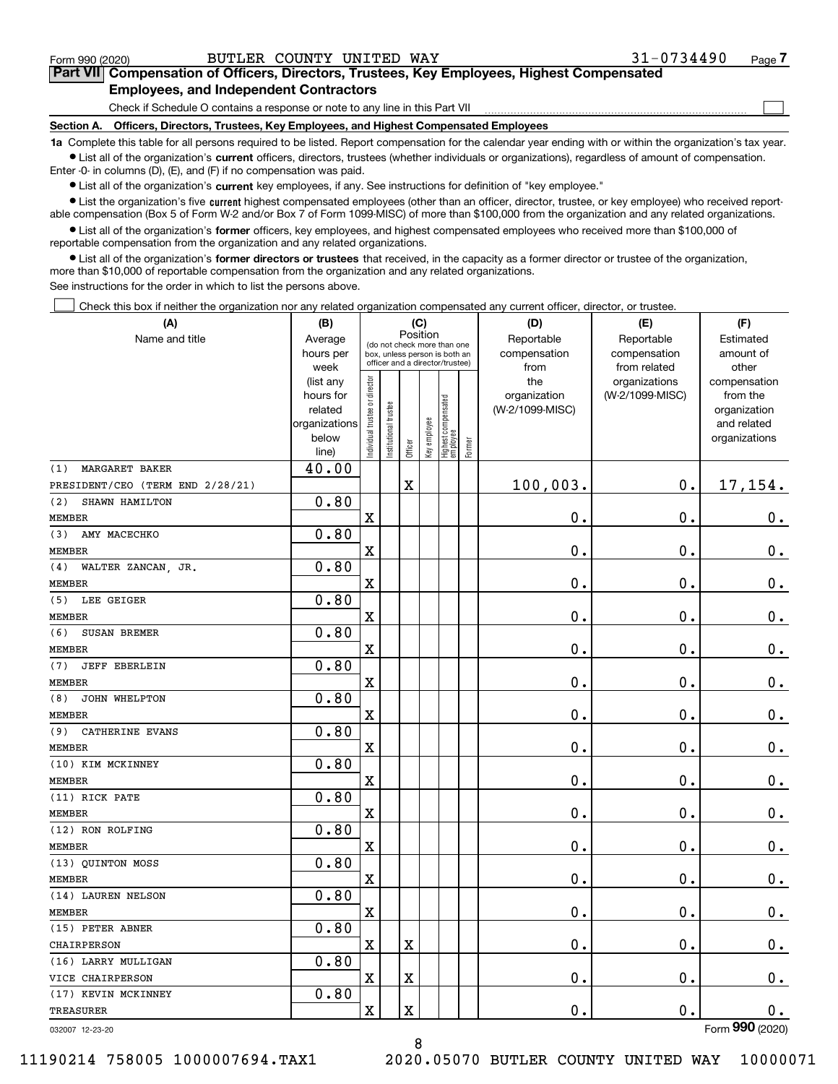$\mathcal{L}^{\text{max}}$ 

# **7Part VII Compensation of Officers, Directors, Trustees, Key Employees, Highest Compensated Employees, and Independent Contractors**

Check if Schedule O contains a response or note to any line in this Part VII

**Section A. Officers, Directors, Trustees, Key Employees, and Highest Compensated Employees**

**1a**  Complete this table for all persons required to be listed. Report compensation for the calendar year ending with or within the organization's tax year. **•** List all of the organization's current officers, directors, trustees (whether individuals or organizations), regardless of amount of compensation.

Enter -0- in columns (D), (E), and (F) if no compensation was paid.

 $\bullet$  List all of the organization's  $\,$ current key employees, if any. See instructions for definition of "key employee."

**•** List the organization's five current highest compensated employees (other than an officer, director, trustee, or key employee) who received reportable compensation (Box 5 of Form W-2 and/or Box 7 of Form 1099-MISC) of more than \$100,000 from the organization and any related organizations.

**•** List all of the organization's former officers, key employees, and highest compensated employees who received more than \$100,000 of reportable compensation from the organization and any related organizations.

**former directors or trustees**  ¥ List all of the organization's that received, in the capacity as a former director or trustee of the organization, more than \$10,000 of reportable compensation from the organization and any related organizations.

See instructions for the order in which to list the persons above.

Check this box if neither the organization nor any related organization compensated any current officer, director, or trustee.  $\mathcal{L}^{\text{max}}$ 

| (A)                              | (B)<br>(C)               |                                         |                                 |         |              |                                  |              | (D)             | (E)             | (F)                         |
|----------------------------------|--------------------------|-----------------------------------------|---------------------------------|---------|--------------|----------------------------------|--------------|-----------------|-----------------|-----------------------------|
| Name and title                   | Average                  | Position<br>(do not check more than one |                                 |         |              |                                  |              | Reportable      | Reportable      | Estimated                   |
|                                  | hours per                |                                         | box, unless person is both an   |         |              |                                  |              | compensation    | compensation    | amount of                   |
|                                  | week                     |                                         | officer and a director/trustee) |         |              | from                             | from related | other           |                 |                             |
|                                  | (list any                |                                         |                                 |         |              |                                  |              | the             | organizations   | compensation                |
|                                  | hours for                |                                         |                                 |         |              |                                  |              | organization    | (W-2/1099-MISC) | from the                    |
|                                  | related<br>organizations |                                         |                                 |         |              |                                  |              | (W-2/1099-MISC) |                 | organization<br>and related |
|                                  | below                    |                                         |                                 |         |              |                                  |              |                 |                 | organizations               |
|                                  | line)                    | Individual trustee or director          | Institutional trustee           | Officer | Key employee | Highest compensated<br> employee | Former       |                 |                 |                             |
| MARGARET BAKER<br>(1)            | 40.00                    |                                         |                                 |         |              |                                  |              |                 |                 |                             |
| PRESIDENT/CEO (TERM END 2/28/21) |                          |                                         |                                 | X       |              |                                  |              | 100,003.        | $\mathbf 0$ .   | 17,154.                     |
| (2)<br>SHAWN HAMILTON            | 0.80                     |                                         |                                 |         |              |                                  |              |                 |                 |                             |
| <b>MEMBER</b>                    |                          | X                                       |                                 |         |              |                                  |              | 0.              | $\mathbf 0$ .   | 0.                          |
| AMY MACECHKO<br>(3)              | 0.80                     |                                         |                                 |         |              |                                  |              |                 |                 |                             |
| <b>MEMBER</b>                    |                          | X                                       |                                 |         |              |                                  |              | 0.              | 0.              | $0_{.}$                     |
| (4)<br>WALTER ZANCAN, JR.        | 0.80                     |                                         |                                 |         |              |                                  |              |                 |                 |                             |
| <b>MEMBER</b>                    |                          | X                                       |                                 |         |              |                                  |              | 0.              | 0.              | 0.                          |
| LEE GEIGER<br>(5)                | 0.80                     |                                         |                                 |         |              |                                  |              |                 |                 |                             |
| <b>MEMBER</b>                    |                          | X                                       |                                 |         |              |                                  |              | 0.              | 0.              | $0_{.}$                     |
| SUSAN BREMER<br>(6)              | 0.80                     |                                         |                                 |         |              |                                  |              |                 |                 |                             |
| <b>MEMBER</b>                    |                          | X                                       |                                 |         |              |                                  |              | 0.              | 0.              | $0_{.}$                     |
| (7)<br><b>JEFF EBERLEIN</b>      | 0.80                     |                                         |                                 |         |              |                                  |              |                 |                 |                             |
| <b>MEMBER</b>                    |                          | X                                       |                                 |         |              |                                  |              | 0.              | 0.              | $0_{.}$                     |
| JOHN WHELPTON<br>(8)             | 0.80                     |                                         |                                 |         |              |                                  |              |                 |                 |                             |
| <b>MEMBER</b>                    |                          | X                                       |                                 |         |              |                                  |              | 0.              | 0.              | $0_{.}$                     |
| (9)<br>CATHERINE EVANS           | 0.80                     |                                         |                                 |         |              |                                  |              |                 |                 |                             |
| <b>MEMBER</b>                    |                          | X                                       |                                 |         |              |                                  |              | 0.              | 0.              | $0_{.}$                     |
| (10) KIM MCKINNEY                | 0.80                     |                                         |                                 |         |              |                                  |              |                 |                 |                             |
| <b>MEMBER</b>                    |                          | X                                       |                                 |         |              |                                  |              | 0.              | 0.              | $0_{.}$                     |
| (11) RICK PATE                   | 0.80                     |                                         |                                 |         |              |                                  |              |                 |                 |                             |
| <b>MEMBER</b>                    |                          | X                                       |                                 |         |              |                                  |              | 0.              | 0.              | $0_{.}$                     |
| (12) RON ROLFING                 | 0.80                     |                                         |                                 |         |              |                                  |              |                 |                 |                             |
| <b>MEMBER</b>                    |                          | X                                       |                                 |         |              |                                  |              | 0.              | 0.              | 0.                          |
| (13) QUINTON MOSS                | 0.80                     |                                         |                                 |         |              |                                  |              |                 |                 |                             |
| <b>MEMBER</b>                    |                          | X                                       |                                 |         |              |                                  |              | 0.              | 0.              | 0.                          |
| (14) LAUREN NELSON               | 0.80                     |                                         |                                 |         |              |                                  |              |                 |                 |                             |
| <b>MEMBER</b>                    |                          | $\mathbf X$                             |                                 |         |              |                                  |              | 0.              | $\mathbf 0$ .   | 0.                          |
| (15) PETER ABNER                 | 0.80                     |                                         |                                 |         |              |                                  |              |                 |                 |                             |
| CHAIRPERSON                      |                          | X                                       |                                 | X       |              |                                  |              | $\mathbf 0$ .   | $\mathbf 0$ .   | 0.                          |
| (16) LARRY MULLIGAN              | 0.80                     |                                         |                                 |         |              |                                  |              |                 |                 |                             |
| VICE CHAIRPERSON                 |                          | X                                       |                                 | X       |              |                                  |              | 0.              | $\mathbf 0$ .   | 0.                          |
| (17) KEVIN MCKINNEY              | 0.80                     |                                         |                                 |         |              |                                  |              |                 |                 |                             |
| TREASURER                        |                          | X                                       |                                 | X       |              |                                  |              | $\mathbf 0$ .   | $\mathbf 0$ .   | 0.                          |
| 032007 12-23-20                  |                          |                                         |                                 |         |              |                                  |              |                 |                 | Form 990 (2020)             |

8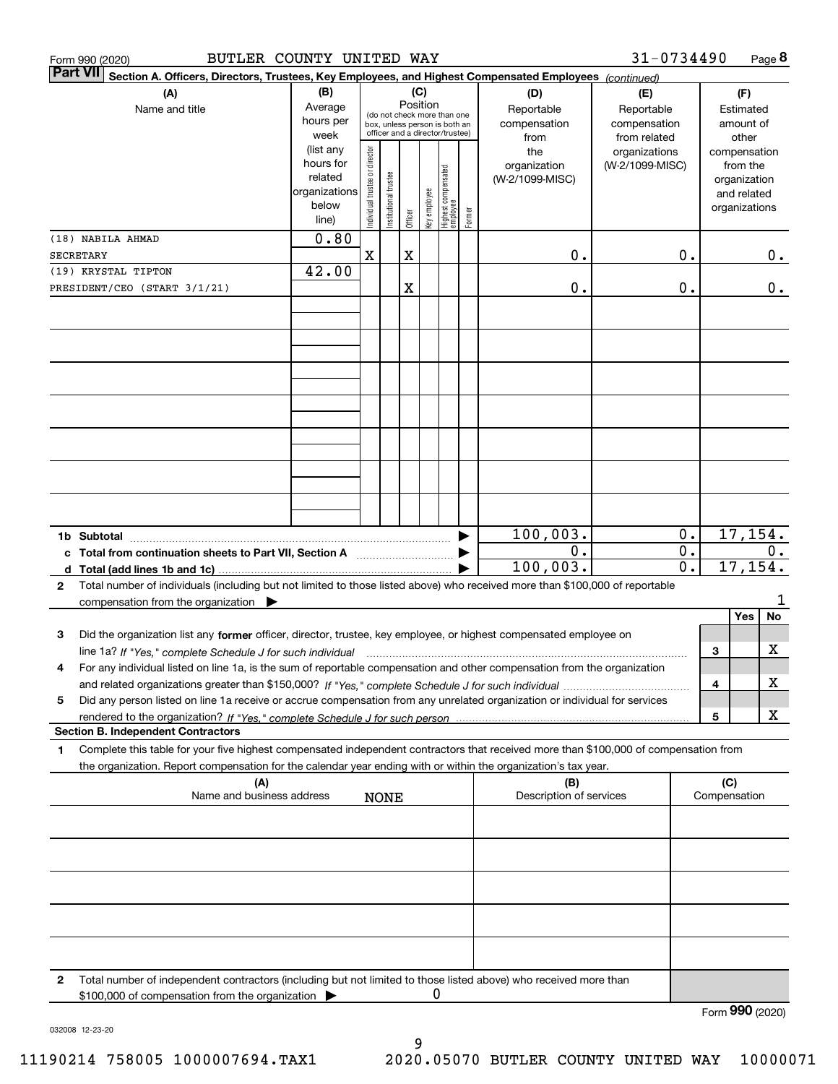| BUTLER COUNTY UNITED WAY<br>Form 990 (2020)                                                                                                                                                                                                                 |                                                                      |                                                                                                                    |                       |         |              |                                 |        |                                           | 31-0734490                                        |                                      |                     | Page 8                                                                   |
|-------------------------------------------------------------------------------------------------------------------------------------------------------------------------------------------------------------------------------------------------------------|----------------------------------------------------------------------|--------------------------------------------------------------------------------------------------------------------|-----------------------|---------|--------------|---------------------------------|--------|-------------------------------------------|---------------------------------------------------|--------------------------------------|---------------------|--------------------------------------------------------------------------|
| <b>Part VII</b><br>Section A. Officers, Directors, Trustees, Key Employees, and Highest Compensated Employees (continued)                                                                                                                                   |                                                                      |                                                                                                                    |                       |         |              |                                 |        |                                           |                                                   |                                      |                     |                                                                          |
| (A)<br>Name and title                                                                                                                                                                                                                                       | (B)<br>Average<br>hours per<br>week                                  | (C)<br>Position<br>(do not check more than one<br>box, unless person is both an<br>officer and a director/trustee) |                       |         |              |                                 |        | (D)<br>Reportable<br>compensation<br>from | (E)<br>Reportable<br>compensation<br>from related |                                      |                     | (F)<br>Estimated<br>amount of<br>other                                   |
|                                                                                                                                                                                                                                                             | (list any<br>hours for<br>related<br>organizations<br>below<br>line) | Individual trustee or director                                                                                     | Institutional trustee | Officer | Key employee | Highest compensated<br>employee | Former | the<br>organization<br>(W-2/1099-MISC)    | organizations<br>(W-2/1099-MISC)                  |                                      |                     | compensation<br>from the<br>organization<br>and related<br>organizations |
| (18) NABILA AHMAD                                                                                                                                                                                                                                           | 0.80                                                                 |                                                                                                                    |                       |         |              |                                 |        |                                           |                                                   |                                      |                     |                                                                          |
| <b>SECRETARY</b>                                                                                                                                                                                                                                            |                                                                      | $\mathbf X$                                                                                                        |                       | X       |              |                                 |        | 0.                                        |                                                   | 0.                                   |                     | 0.                                                                       |
| (19) KRYSTAL TIPTON<br>PRESIDENT/CEO (START 3/1/21)                                                                                                                                                                                                         | 42.00                                                                |                                                                                                                    |                       | Χ       |              |                                 |        | 0.                                        |                                                   | 0.                                   |                     | 0.                                                                       |
|                                                                                                                                                                                                                                                             |                                                                      |                                                                                                                    |                       |         |              |                                 |        |                                           |                                                   |                                      |                     |                                                                          |
|                                                                                                                                                                                                                                                             |                                                                      |                                                                                                                    |                       |         |              |                                 |        |                                           |                                                   |                                      |                     |                                                                          |
|                                                                                                                                                                                                                                                             |                                                                      |                                                                                                                    |                       |         |              |                                 |        |                                           |                                                   |                                      |                     |                                                                          |
|                                                                                                                                                                                                                                                             |                                                                      |                                                                                                                    |                       |         |              |                                 |        |                                           |                                                   |                                      |                     |                                                                          |
|                                                                                                                                                                                                                                                             |                                                                      |                                                                                                                    |                       |         |              |                                 |        |                                           |                                                   |                                      |                     |                                                                          |
|                                                                                                                                                                                                                                                             |                                                                      |                                                                                                                    |                       |         |              |                                 |        |                                           |                                                   |                                      |                     |                                                                          |
|                                                                                                                                                                                                                                                             |                                                                      |                                                                                                                    |                       |         |              |                                 |        |                                           |                                                   |                                      |                     |                                                                          |
|                                                                                                                                                                                                                                                             |                                                                      |                                                                                                                    |                       |         |              |                                 |        | 100,003.                                  |                                                   | 0.                                   |                     | 17, 154.                                                                 |
| c Total from continuation sheets to Part VII, Section A                                                                                                                                                                                                     |                                                                      |                                                                                                                    |                       |         |              |                                 |        | 0.<br>100,003.                            |                                                   | $\overline{0}$ .<br>$\overline{0}$ . |                     | 0.<br>17, 154.                                                           |
| Total number of individuals (including but not limited to those listed above) who received more than \$100,000 of reportable<br>$\mathbf{2}$<br>compensation from the organization $\blacktriangleright$                                                    |                                                                      |                                                                                                                    |                       |         |              |                                 |        |                                           |                                                   |                                      |                     | 1                                                                        |
|                                                                                                                                                                                                                                                             |                                                                      |                                                                                                                    |                       |         |              |                                 |        |                                           |                                                   |                                      |                     | No<br>Yes                                                                |
| Did the organization list any former officer, director, trustee, key employee, or highest compensated employee on<br>3<br>line 1a? If "Yes," complete Schedule J for such individual material content in the content of the Schedule J for such individual  |                                                                      |                                                                                                                    |                       |         |              |                                 |        |                                           |                                                   |                                      | 3                   | х                                                                        |
| For any individual listed on line 1a, is the sum of reportable compensation and other compensation from the organization<br>4                                                                                                                               |                                                                      |                                                                                                                    |                       |         |              |                                 |        |                                           |                                                   |                                      |                     |                                                                          |
| Did any person listed on line 1a receive or accrue compensation from any unrelated organization or individual for services<br>5                                                                                                                             |                                                                      |                                                                                                                    |                       |         |              |                                 |        |                                           |                                                   |                                      | 4                   | х                                                                        |
|                                                                                                                                                                                                                                                             |                                                                      |                                                                                                                    |                       |         |              |                                 |        |                                           |                                                   |                                      | 5                   | х                                                                        |
| <b>Section B. Independent Contractors</b>                                                                                                                                                                                                                   |                                                                      |                                                                                                                    |                       |         |              |                                 |        |                                           |                                                   |                                      |                     |                                                                          |
| Complete this table for your five highest compensated independent contractors that received more than \$100,000 of compensation from<br>1<br>the organization. Report compensation for the calendar year ending with or within the organization's tax year. |                                                                      |                                                                                                                    |                       |         |              |                                 |        |                                           |                                                   |                                      |                     |                                                                          |
| (A)<br>Name and business address                                                                                                                                                                                                                            |                                                                      |                                                                                                                    | <b>NONE</b>           |         |              |                                 |        | (B)<br>Description of services            |                                                   |                                      | (C)<br>Compensation |                                                                          |
|                                                                                                                                                                                                                                                             |                                                                      |                                                                                                                    |                       |         |              |                                 |        |                                           |                                                   |                                      |                     |                                                                          |
|                                                                                                                                                                                                                                                             |                                                                      |                                                                                                                    |                       |         |              |                                 |        |                                           |                                                   |                                      |                     |                                                                          |
|                                                                                                                                                                                                                                                             |                                                                      |                                                                                                                    |                       |         |              |                                 |        |                                           |                                                   |                                      |                     |                                                                          |
|                                                                                                                                                                                                                                                             |                                                                      |                                                                                                                    |                       |         |              |                                 |        |                                           |                                                   |                                      |                     |                                                                          |
|                                                                                                                                                                                                                                                             |                                                                      |                                                                                                                    |                       |         |              |                                 |        |                                           |                                                   |                                      |                     |                                                                          |
| Total number of independent contractors (including but not limited to those listed above) who received more than<br>2<br>\$100,000 of compensation from the organization                                                                                    |                                                                      |                                                                                                                    |                       |         | U            |                                 |        |                                           |                                                   |                                      |                     | QQQ                                                                      |

9

032008 12-23-20

Form (2020) **990**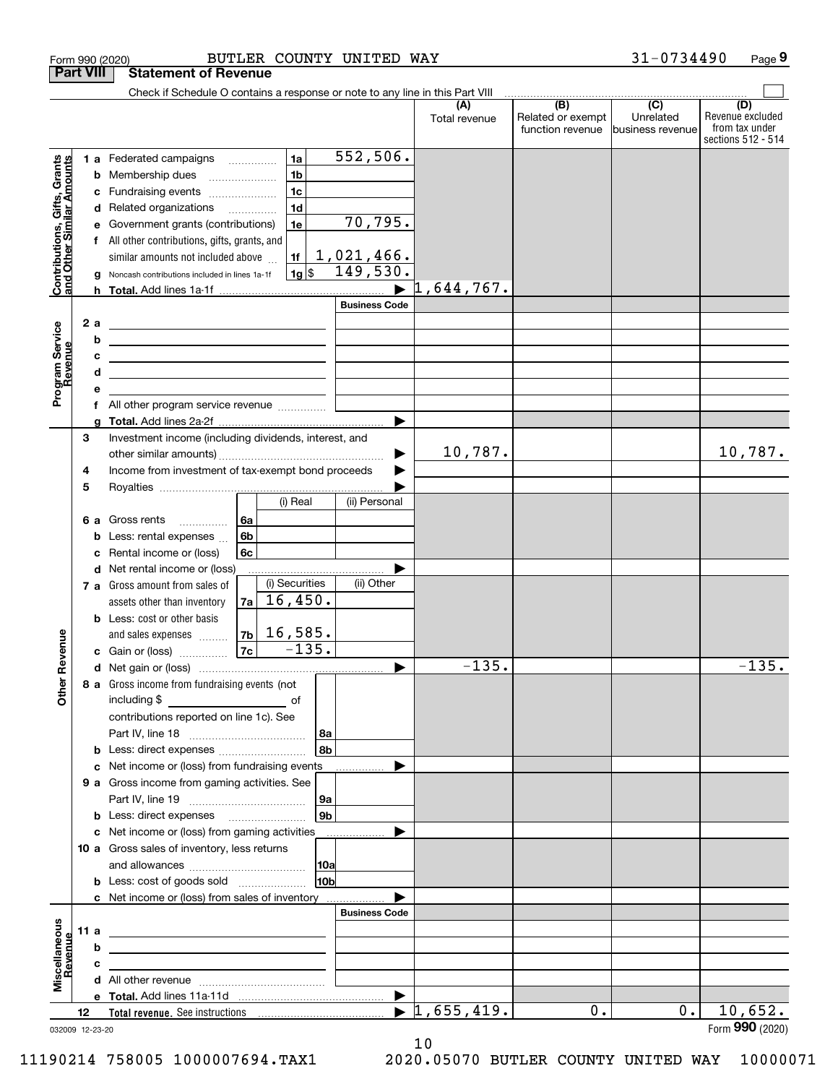| <b>Part VIII</b><br>Check if Schedule O contains a response or note to any line in this Part VIII<br>$\begin{array}{c c c c c c} \hline \text{ } & \text{(B)} & \text{ } & \text{(C)} & \text{ } \end{array}$<br>(D)<br>(A)<br>Revenue excluded<br>Related or exempt<br>Unrelated<br>Total revenue<br>from tax under<br>function revenue<br>business revenue<br>552,506.<br>1a<br>1 a Federated campaigns<br>Contributions, Gifts, Grants<br>and Other Similar Amounts<br>1 <sub>b</sub><br>Membership dues<br>b<br>$\ldots \ldots \ldots \ldots \ldots$<br>1 <sub>c</sub><br>Fundraising events<br>c<br>1 <sub>d</sub><br>d Related organizations<br>70, 795.<br>Government grants (contributions)<br>1e<br>е<br>f All other contributions, gifts, grants, and<br>1,021,466.<br>1f<br>similar amounts not included above<br>149,530.<br>$1g$ \$<br>Noncash contributions included in lines 1a-1f<br>g<br>1,644,767.<br>h.<br><b>Business Code</b><br>2 a<br>Program Service<br>Revenue<br><u> 2008 - An Dùbhlachd ann an Dùbhad ann an Dùbhad ann an Dùbhad ann an Dùbhad ann an Dùbhad ann an Dùbhad ann an </u><br>b<br>the contract of the contract of the contract of the contract of the contract of<br>с<br><u> 1989 - Johann John Stone, markin fizikar (h. 1982).</u><br>d<br>the control of the control of the control of the control of the control of the control of<br>е<br>f All other program service revenue<br>a<br>Investment income (including dividends, interest, and<br>3<br>10,787.<br>10,787.<br>Income from investment of tax-exempt bond proceeds<br>4<br>5<br>(i) Real<br>(ii) Personal<br>6а<br>6 a Gross rents<br>6b<br>Less: rental expenses<br>b<br>Rental income or (loss)<br>6c<br>c<br><b>d</b> Net rental income or (loss)<br>(i) Securities<br>(ii) Other<br>7 a Gross amount from sales of<br>16,450.<br>7a<br>assets other than inventory<br><b>b</b> Less: cost or other basis<br>$7b$ 16,585.<br>evenue<br>and sales expenses <b>contained</b><br>$-135.$<br>7c<br>c Gain or (loss)<br>$-135.$<br>$-135.$<br>Œ<br>Other<br>8 a Gross income from fundraising events (not<br>including \$<br>contributions reported on line 1c). See<br><b>∣8a</b><br>8bl<br><b>b</b> Less: direct expenses<br>c Net income or (loss) from fundraising events<br>9 a Gross income from gaming activities. See<br>∣9a  <br>9b l<br><b>b</b> Less: direct expenses <b>manually</b><br>c Net income or (loss) from gaming activities _______________<br>10 a Gross sales of inventory, less returns<br> 10a<br>10 <sub>b</sub><br><b>b</b> Less: cost of goods sold<br>c Net income or (loss) from sales of inventory<br><b>Business Code</b><br>Miscellaneous<br>11 a<br><u> 1989 - Johann Barn, mars et al. (b. 1989)</u><br>evenue<br>b<br>the contract of the contract of the contract of the contract of the contract of<br>с<br>$\blacktriangleright$ 1,655,419.<br>10,652.<br>0.<br>$0$ .<br>12<br>032009 12-23-20 | Form 990 (2020) |  | BUTLER COUNTY UNITED WAY    |  | 31-0734490 | Page 9             |
|-----------------------------------------------------------------------------------------------------------------------------------------------------------------------------------------------------------------------------------------------------------------------------------------------------------------------------------------------------------------------------------------------------------------------------------------------------------------------------------------------------------------------------------------------------------------------------------------------------------------------------------------------------------------------------------------------------------------------------------------------------------------------------------------------------------------------------------------------------------------------------------------------------------------------------------------------------------------------------------------------------------------------------------------------------------------------------------------------------------------------------------------------------------------------------------------------------------------------------------------------------------------------------------------------------------------------------------------------------------------------------------------------------------------------------------------------------------------------------------------------------------------------------------------------------------------------------------------------------------------------------------------------------------------------------------------------------------------------------------------------------------------------------------------------------------------------------------------------------------------------------------------------------------------------------------------------------------------------------------------------------------------------------------------------------------------------------------------------------------------------------------------------------------------------------------------------------------------------------------------------------------------------------------------------------------------------------------------------------------------------------------------------------------------------------------------------------------------------------------------------------------------------------------------------------------------------------------------------------------------------------------------------------------------------------------------------------------------------------------------------------------------------------------------------------------------------------------------------------------------------------------------------------------------------------------------------|-----------------|--|-----------------------------|--|------------|--------------------|
|                                                                                                                                                                                                                                                                                                                                                                                                                                                                                                                                                                                                                                                                                                                                                                                                                                                                                                                                                                                                                                                                                                                                                                                                                                                                                                                                                                                                                                                                                                                                                                                                                                                                                                                                                                                                                                                                                                                                                                                                                                                                                                                                                                                                                                                                                                                                                                                                                                                                                                                                                                                                                                                                                                                                                                                                                                                                                                                                               |                 |  | <b>Statement of Revenue</b> |  |            |                    |
|                                                                                                                                                                                                                                                                                                                                                                                                                                                                                                                                                                                                                                                                                                                                                                                                                                                                                                                                                                                                                                                                                                                                                                                                                                                                                                                                                                                                                                                                                                                                                                                                                                                                                                                                                                                                                                                                                                                                                                                                                                                                                                                                                                                                                                                                                                                                                                                                                                                                                                                                                                                                                                                                                                                                                                                                                                                                                                                                               |                 |  |                             |  |            |                    |
|                                                                                                                                                                                                                                                                                                                                                                                                                                                                                                                                                                                                                                                                                                                                                                                                                                                                                                                                                                                                                                                                                                                                                                                                                                                                                                                                                                                                                                                                                                                                                                                                                                                                                                                                                                                                                                                                                                                                                                                                                                                                                                                                                                                                                                                                                                                                                                                                                                                                                                                                                                                                                                                                                                                                                                                                                                                                                                                                               |                 |  |                             |  |            | sections 512 - 514 |
|                                                                                                                                                                                                                                                                                                                                                                                                                                                                                                                                                                                                                                                                                                                                                                                                                                                                                                                                                                                                                                                                                                                                                                                                                                                                                                                                                                                                                                                                                                                                                                                                                                                                                                                                                                                                                                                                                                                                                                                                                                                                                                                                                                                                                                                                                                                                                                                                                                                                                                                                                                                                                                                                                                                                                                                                                                                                                                                                               |                 |  |                             |  |            |                    |
|                                                                                                                                                                                                                                                                                                                                                                                                                                                                                                                                                                                                                                                                                                                                                                                                                                                                                                                                                                                                                                                                                                                                                                                                                                                                                                                                                                                                                                                                                                                                                                                                                                                                                                                                                                                                                                                                                                                                                                                                                                                                                                                                                                                                                                                                                                                                                                                                                                                                                                                                                                                                                                                                                                                                                                                                                                                                                                                                               |                 |  |                             |  |            |                    |
|                                                                                                                                                                                                                                                                                                                                                                                                                                                                                                                                                                                                                                                                                                                                                                                                                                                                                                                                                                                                                                                                                                                                                                                                                                                                                                                                                                                                                                                                                                                                                                                                                                                                                                                                                                                                                                                                                                                                                                                                                                                                                                                                                                                                                                                                                                                                                                                                                                                                                                                                                                                                                                                                                                                                                                                                                                                                                                                                               |                 |  |                             |  |            |                    |
|                                                                                                                                                                                                                                                                                                                                                                                                                                                                                                                                                                                                                                                                                                                                                                                                                                                                                                                                                                                                                                                                                                                                                                                                                                                                                                                                                                                                                                                                                                                                                                                                                                                                                                                                                                                                                                                                                                                                                                                                                                                                                                                                                                                                                                                                                                                                                                                                                                                                                                                                                                                                                                                                                                                                                                                                                                                                                                                                               |                 |  |                             |  |            |                    |
|                                                                                                                                                                                                                                                                                                                                                                                                                                                                                                                                                                                                                                                                                                                                                                                                                                                                                                                                                                                                                                                                                                                                                                                                                                                                                                                                                                                                                                                                                                                                                                                                                                                                                                                                                                                                                                                                                                                                                                                                                                                                                                                                                                                                                                                                                                                                                                                                                                                                                                                                                                                                                                                                                                                                                                                                                                                                                                                                               |                 |  |                             |  |            |                    |
|                                                                                                                                                                                                                                                                                                                                                                                                                                                                                                                                                                                                                                                                                                                                                                                                                                                                                                                                                                                                                                                                                                                                                                                                                                                                                                                                                                                                                                                                                                                                                                                                                                                                                                                                                                                                                                                                                                                                                                                                                                                                                                                                                                                                                                                                                                                                                                                                                                                                                                                                                                                                                                                                                                                                                                                                                                                                                                                                               |                 |  |                             |  |            |                    |
|                                                                                                                                                                                                                                                                                                                                                                                                                                                                                                                                                                                                                                                                                                                                                                                                                                                                                                                                                                                                                                                                                                                                                                                                                                                                                                                                                                                                                                                                                                                                                                                                                                                                                                                                                                                                                                                                                                                                                                                                                                                                                                                                                                                                                                                                                                                                                                                                                                                                                                                                                                                                                                                                                                                                                                                                                                                                                                                                               |                 |  |                             |  |            |                    |
|                                                                                                                                                                                                                                                                                                                                                                                                                                                                                                                                                                                                                                                                                                                                                                                                                                                                                                                                                                                                                                                                                                                                                                                                                                                                                                                                                                                                                                                                                                                                                                                                                                                                                                                                                                                                                                                                                                                                                                                                                                                                                                                                                                                                                                                                                                                                                                                                                                                                                                                                                                                                                                                                                                                                                                                                                                                                                                                                               |                 |  |                             |  |            |                    |
|                                                                                                                                                                                                                                                                                                                                                                                                                                                                                                                                                                                                                                                                                                                                                                                                                                                                                                                                                                                                                                                                                                                                                                                                                                                                                                                                                                                                                                                                                                                                                                                                                                                                                                                                                                                                                                                                                                                                                                                                                                                                                                                                                                                                                                                                                                                                                                                                                                                                                                                                                                                                                                                                                                                                                                                                                                                                                                                                               |                 |  |                             |  |            |                    |
|                                                                                                                                                                                                                                                                                                                                                                                                                                                                                                                                                                                                                                                                                                                                                                                                                                                                                                                                                                                                                                                                                                                                                                                                                                                                                                                                                                                                                                                                                                                                                                                                                                                                                                                                                                                                                                                                                                                                                                                                                                                                                                                                                                                                                                                                                                                                                                                                                                                                                                                                                                                                                                                                                                                                                                                                                                                                                                                                               |                 |  |                             |  |            |                    |
|                                                                                                                                                                                                                                                                                                                                                                                                                                                                                                                                                                                                                                                                                                                                                                                                                                                                                                                                                                                                                                                                                                                                                                                                                                                                                                                                                                                                                                                                                                                                                                                                                                                                                                                                                                                                                                                                                                                                                                                                                                                                                                                                                                                                                                                                                                                                                                                                                                                                                                                                                                                                                                                                                                                                                                                                                                                                                                                                               |                 |  |                             |  |            |                    |
|                                                                                                                                                                                                                                                                                                                                                                                                                                                                                                                                                                                                                                                                                                                                                                                                                                                                                                                                                                                                                                                                                                                                                                                                                                                                                                                                                                                                                                                                                                                                                                                                                                                                                                                                                                                                                                                                                                                                                                                                                                                                                                                                                                                                                                                                                                                                                                                                                                                                                                                                                                                                                                                                                                                                                                                                                                                                                                                                               |                 |  |                             |  |            |                    |
|                                                                                                                                                                                                                                                                                                                                                                                                                                                                                                                                                                                                                                                                                                                                                                                                                                                                                                                                                                                                                                                                                                                                                                                                                                                                                                                                                                                                                                                                                                                                                                                                                                                                                                                                                                                                                                                                                                                                                                                                                                                                                                                                                                                                                                                                                                                                                                                                                                                                                                                                                                                                                                                                                                                                                                                                                                                                                                                                               |                 |  |                             |  |            |                    |
|                                                                                                                                                                                                                                                                                                                                                                                                                                                                                                                                                                                                                                                                                                                                                                                                                                                                                                                                                                                                                                                                                                                                                                                                                                                                                                                                                                                                                                                                                                                                                                                                                                                                                                                                                                                                                                                                                                                                                                                                                                                                                                                                                                                                                                                                                                                                                                                                                                                                                                                                                                                                                                                                                                                                                                                                                                                                                                                                               |                 |  |                             |  |            |                    |
|                                                                                                                                                                                                                                                                                                                                                                                                                                                                                                                                                                                                                                                                                                                                                                                                                                                                                                                                                                                                                                                                                                                                                                                                                                                                                                                                                                                                                                                                                                                                                                                                                                                                                                                                                                                                                                                                                                                                                                                                                                                                                                                                                                                                                                                                                                                                                                                                                                                                                                                                                                                                                                                                                                                                                                                                                                                                                                                                               |                 |  |                             |  |            |                    |
|                                                                                                                                                                                                                                                                                                                                                                                                                                                                                                                                                                                                                                                                                                                                                                                                                                                                                                                                                                                                                                                                                                                                                                                                                                                                                                                                                                                                                                                                                                                                                                                                                                                                                                                                                                                                                                                                                                                                                                                                                                                                                                                                                                                                                                                                                                                                                                                                                                                                                                                                                                                                                                                                                                                                                                                                                                                                                                                                               |                 |  |                             |  |            |                    |
|                                                                                                                                                                                                                                                                                                                                                                                                                                                                                                                                                                                                                                                                                                                                                                                                                                                                                                                                                                                                                                                                                                                                                                                                                                                                                                                                                                                                                                                                                                                                                                                                                                                                                                                                                                                                                                                                                                                                                                                                                                                                                                                                                                                                                                                                                                                                                                                                                                                                                                                                                                                                                                                                                                                                                                                                                                                                                                                                               |                 |  |                             |  |            |                    |
|                                                                                                                                                                                                                                                                                                                                                                                                                                                                                                                                                                                                                                                                                                                                                                                                                                                                                                                                                                                                                                                                                                                                                                                                                                                                                                                                                                                                                                                                                                                                                                                                                                                                                                                                                                                                                                                                                                                                                                                                                                                                                                                                                                                                                                                                                                                                                                                                                                                                                                                                                                                                                                                                                                                                                                                                                                                                                                                                               |                 |  |                             |  |            |                    |
|                                                                                                                                                                                                                                                                                                                                                                                                                                                                                                                                                                                                                                                                                                                                                                                                                                                                                                                                                                                                                                                                                                                                                                                                                                                                                                                                                                                                                                                                                                                                                                                                                                                                                                                                                                                                                                                                                                                                                                                                                                                                                                                                                                                                                                                                                                                                                                                                                                                                                                                                                                                                                                                                                                                                                                                                                                                                                                                                               |                 |  |                             |  |            |                    |
|                                                                                                                                                                                                                                                                                                                                                                                                                                                                                                                                                                                                                                                                                                                                                                                                                                                                                                                                                                                                                                                                                                                                                                                                                                                                                                                                                                                                                                                                                                                                                                                                                                                                                                                                                                                                                                                                                                                                                                                                                                                                                                                                                                                                                                                                                                                                                                                                                                                                                                                                                                                                                                                                                                                                                                                                                                                                                                                                               |                 |  |                             |  |            |                    |
|                                                                                                                                                                                                                                                                                                                                                                                                                                                                                                                                                                                                                                                                                                                                                                                                                                                                                                                                                                                                                                                                                                                                                                                                                                                                                                                                                                                                                                                                                                                                                                                                                                                                                                                                                                                                                                                                                                                                                                                                                                                                                                                                                                                                                                                                                                                                                                                                                                                                                                                                                                                                                                                                                                                                                                                                                                                                                                                                               |                 |  |                             |  |            |                    |
|                                                                                                                                                                                                                                                                                                                                                                                                                                                                                                                                                                                                                                                                                                                                                                                                                                                                                                                                                                                                                                                                                                                                                                                                                                                                                                                                                                                                                                                                                                                                                                                                                                                                                                                                                                                                                                                                                                                                                                                                                                                                                                                                                                                                                                                                                                                                                                                                                                                                                                                                                                                                                                                                                                                                                                                                                                                                                                                                               |                 |  |                             |  |            |                    |
|                                                                                                                                                                                                                                                                                                                                                                                                                                                                                                                                                                                                                                                                                                                                                                                                                                                                                                                                                                                                                                                                                                                                                                                                                                                                                                                                                                                                                                                                                                                                                                                                                                                                                                                                                                                                                                                                                                                                                                                                                                                                                                                                                                                                                                                                                                                                                                                                                                                                                                                                                                                                                                                                                                                                                                                                                                                                                                                                               |                 |  |                             |  |            |                    |
|                                                                                                                                                                                                                                                                                                                                                                                                                                                                                                                                                                                                                                                                                                                                                                                                                                                                                                                                                                                                                                                                                                                                                                                                                                                                                                                                                                                                                                                                                                                                                                                                                                                                                                                                                                                                                                                                                                                                                                                                                                                                                                                                                                                                                                                                                                                                                                                                                                                                                                                                                                                                                                                                                                                                                                                                                                                                                                                                               |                 |  |                             |  |            |                    |
|                                                                                                                                                                                                                                                                                                                                                                                                                                                                                                                                                                                                                                                                                                                                                                                                                                                                                                                                                                                                                                                                                                                                                                                                                                                                                                                                                                                                                                                                                                                                                                                                                                                                                                                                                                                                                                                                                                                                                                                                                                                                                                                                                                                                                                                                                                                                                                                                                                                                                                                                                                                                                                                                                                                                                                                                                                                                                                                                               |                 |  |                             |  |            |                    |
|                                                                                                                                                                                                                                                                                                                                                                                                                                                                                                                                                                                                                                                                                                                                                                                                                                                                                                                                                                                                                                                                                                                                                                                                                                                                                                                                                                                                                                                                                                                                                                                                                                                                                                                                                                                                                                                                                                                                                                                                                                                                                                                                                                                                                                                                                                                                                                                                                                                                                                                                                                                                                                                                                                                                                                                                                                                                                                                                               |                 |  |                             |  |            |                    |
|                                                                                                                                                                                                                                                                                                                                                                                                                                                                                                                                                                                                                                                                                                                                                                                                                                                                                                                                                                                                                                                                                                                                                                                                                                                                                                                                                                                                                                                                                                                                                                                                                                                                                                                                                                                                                                                                                                                                                                                                                                                                                                                                                                                                                                                                                                                                                                                                                                                                                                                                                                                                                                                                                                                                                                                                                                                                                                                                               |                 |  |                             |  |            |                    |
|                                                                                                                                                                                                                                                                                                                                                                                                                                                                                                                                                                                                                                                                                                                                                                                                                                                                                                                                                                                                                                                                                                                                                                                                                                                                                                                                                                                                                                                                                                                                                                                                                                                                                                                                                                                                                                                                                                                                                                                                                                                                                                                                                                                                                                                                                                                                                                                                                                                                                                                                                                                                                                                                                                                                                                                                                                                                                                                                               |                 |  |                             |  |            |                    |
|                                                                                                                                                                                                                                                                                                                                                                                                                                                                                                                                                                                                                                                                                                                                                                                                                                                                                                                                                                                                                                                                                                                                                                                                                                                                                                                                                                                                                                                                                                                                                                                                                                                                                                                                                                                                                                                                                                                                                                                                                                                                                                                                                                                                                                                                                                                                                                                                                                                                                                                                                                                                                                                                                                                                                                                                                                                                                                                                               |                 |  |                             |  |            |                    |
|                                                                                                                                                                                                                                                                                                                                                                                                                                                                                                                                                                                                                                                                                                                                                                                                                                                                                                                                                                                                                                                                                                                                                                                                                                                                                                                                                                                                                                                                                                                                                                                                                                                                                                                                                                                                                                                                                                                                                                                                                                                                                                                                                                                                                                                                                                                                                                                                                                                                                                                                                                                                                                                                                                                                                                                                                                                                                                                                               |                 |  |                             |  |            |                    |
|                                                                                                                                                                                                                                                                                                                                                                                                                                                                                                                                                                                                                                                                                                                                                                                                                                                                                                                                                                                                                                                                                                                                                                                                                                                                                                                                                                                                                                                                                                                                                                                                                                                                                                                                                                                                                                                                                                                                                                                                                                                                                                                                                                                                                                                                                                                                                                                                                                                                                                                                                                                                                                                                                                                                                                                                                                                                                                                                               |                 |  |                             |  |            |                    |
|                                                                                                                                                                                                                                                                                                                                                                                                                                                                                                                                                                                                                                                                                                                                                                                                                                                                                                                                                                                                                                                                                                                                                                                                                                                                                                                                                                                                                                                                                                                                                                                                                                                                                                                                                                                                                                                                                                                                                                                                                                                                                                                                                                                                                                                                                                                                                                                                                                                                                                                                                                                                                                                                                                                                                                                                                                                                                                                                               |                 |  |                             |  |            |                    |
|                                                                                                                                                                                                                                                                                                                                                                                                                                                                                                                                                                                                                                                                                                                                                                                                                                                                                                                                                                                                                                                                                                                                                                                                                                                                                                                                                                                                                                                                                                                                                                                                                                                                                                                                                                                                                                                                                                                                                                                                                                                                                                                                                                                                                                                                                                                                                                                                                                                                                                                                                                                                                                                                                                                                                                                                                                                                                                                                               |                 |  |                             |  |            |                    |
|                                                                                                                                                                                                                                                                                                                                                                                                                                                                                                                                                                                                                                                                                                                                                                                                                                                                                                                                                                                                                                                                                                                                                                                                                                                                                                                                                                                                                                                                                                                                                                                                                                                                                                                                                                                                                                                                                                                                                                                                                                                                                                                                                                                                                                                                                                                                                                                                                                                                                                                                                                                                                                                                                                                                                                                                                                                                                                                                               |                 |  |                             |  |            |                    |
|                                                                                                                                                                                                                                                                                                                                                                                                                                                                                                                                                                                                                                                                                                                                                                                                                                                                                                                                                                                                                                                                                                                                                                                                                                                                                                                                                                                                                                                                                                                                                                                                                                                                                                                                                                                                                                                                                                                                                                                                                                                                                                                                                                                                                                                                                                                                                                                                                                                                                                                                                                                                                                                                                                                                                                                                                                                                                                                                               |                 |  |                             |  |            |                    |
|                                                                                                                                                                                                                                                                                                                                                                                                                                                                                                                                                                                                                                                                                                                                                                                                                                                                                                                                                                                                                                                                                                                                                                                                                                                                                                                                                                                                                                                                                                                                                                                                                                                                                                                                                                                                                                                                                                                                                                                                                                                                                                                                                                                                                                                                                                                                                                                                                                                                                                                                                                                                                                                                                                                                                                                                                                                                                                                                               |                 |  |                             |  |            |                    |
|                                                                                                                                                                                                                                                                                                                                                                                                                                                                                                                                                                                                                                                                                                                                                                                                                                                                                                                                                                                                                                                                                                                                                                                                                                                                                                                                                                                                                                                                                                                                                                                                                                                                                                                                                                                                                                                                                                                                                                                                                                                                                                                                                                                                                                                                                                                                                                                                                                                                                                                                                                                                                                                                                                                                                                                                                                                                                                                                               |                 |  |                             |  |            |                    |
|                                                                                                                                                                                                                                                                                                                                                                                                                                                                                                                                                                                                                                                                                                                                                                                                                                                                                                                                                                                                                                                                                                                                                                                                                                                                                                                                                                                                                                                                                                                                                                                                                                                                                                                                                                                                                                                                                                                                                                                                                                                                                                                                                                                                                                                                                                                                                                                                                                                                                                                                                                                                                                                                                                                                                                                                                                                                                                                                               |                 |  |                             |  |            |                    |
|                                                                                                                                                                                                                                                                                                                                                                                                                                                                                                                                                                                                                                                                                                                                                                                                                                                                                                                                                                                                                                                                                                                                                                                                                                                                                                                                                                                                                                                                                                                                                                                                                                                                                                                                                                                                                                                                                                                                                                                                                                                                                                                                                                                                                                                                                                                                                                                                                                                                                                                                                                                                                                                                                                                                                                                                                                                                                                                                               |                 |  |                             |  |            |                    |
|                                                                                                                                                                                                                                                                                                                                                                                                                                                                                                                                                                                                                                                                                                                                                                                                                                                                                                                                                                                                                                                                                                                                                                                                                                                                                                                                                                                                                                                                                                                                                                                                                                                                                                                                                                                                                                                                                                                                                                                                                                                                                                                                                                                                                                                                                                                                                                                                                                                                                                                                                                                                                                                                                                                                                                                                                                                                                                                                               |                 |  |                             |  |            |                    |
|                                                                                                                                                                                                                                                                                                                                                                                                                                                                                                                                                                                                                                                                                                                                                                                                                                                                                                                                                                                                                                                                                                                                                                                                                                                                                                                                                                                                                                                                                                                                                                                                                                                                                                                                                                                                                                                                                                                                                                                                                                                                                                                                                                                                                                                                                                                                                                                                                                                                                                                                                                                                                                                                                                                                                                                                                                                                                                                                               |                 |  |                             |  |            |                    |
|                                                                                                                                                                                                                                                                                                                                                                                                                                                                                                                                                                                                                                                                                                                                                                                                                                                                                                                                                                                                                                                                                                                                                                                                                                                                                                                                                                                                                                                                                                                                                                                                                                                                                                                                                                                                                                                                                                                                                                                                                                                                                                                                                                                                                                                                                                                                                                                                                                                                                                                                                                                                                                                                                                                                                                                                                                                                                                                                               |                 |  |                             |  |            |                    |
|                                                                                                                                                                                                                                                                                                                                                                                                                                                                                                                                                                                                                                                                                                                                                                                                                                                                                                                                                                                                                                                                                                                                                                                                                                                                                                                                                                                                                                                                                                                                                                                                                                                                                                                                                                                                                                                                                                                                                                                                                                                                                                                                                                                                                                                                                                                                                                                                                                                                                                                                                                                                                                                                                                                                                                                                                                                                                                                                               |                 |  |                             |  |            |                    |
|                                                                                                                                                                                                                                                                                                                                                                                                                                                                                                                                                                                                                                                                                                                                                                                                                                                                                                                                                                                                                                                                                                                                                                                                                                                                                                                                                                                                                                                                                                                                                                                                                                                                                                                                                                                                                                                                                                                                                                                                                                                                                                                                                                                                                                                                                                                                                                                                                                                                                                                                                                                                                                                                                                                                                                                                                                                                                                                                               |                 |  |                             |  |            |                    |
|                                                                                                                                                                                                                                                                                                                                                                                                                                                                                                                                                                                                                                                                                                                                                                                                                                                                                                                                                                                                                                                                                                                                                                                                                                                                                                                                                                                                                                                                                                                                                                                                                                                                                                                                                                                                                                                                                                                                                                                                                                                                                                                                                                                                                                                                                                                                                                                                                                                                                                                                                                                                                                                                                                                                                                                                                                                                                                                                               |                 |  |                             |  |            |                    |
|                                                                                                                                                                                                                                                                                                                                                                                                                                                                                                                                                                                                                                                                                                                                                                                                                                                                                                                                                                                                                                                                                                                                                                                                                                                                                                                                                                                                                                                                                                                                                                                                                                                                                                                                                                                                                                                                                                                                                                                                                                                                                                                                                                                                                                                                                                                                                                                                                                                                                                                                                                                                                                                                                                                                                                                                                                                                                                                                               |                 |  |                             |  |            |                    |
|                                                                                                                                                                                                                                                                                                                                                                                                                                                                                                                                                                                                                                                                                                                                                                                                                                                                                                                                                                                                                                                                                                                                                                                                                                                                                                                                                                                                                                                                                                                                                                                                                                                                                                                                                                                                                                                                                                                                                                                                                                                                                                                                                                                                                                                                                                                                                                                                                                                                                                                                                                                                                                                                                                                                                                                                                                                                                                                                               |                 |  |                             |  |            |                    |
|                                                                                                                                                                                                                                                                                                                                                                                                                                                                                                                                                                                                                                                                                                                                                                                                                                                                                                                                                                                                                                                                                                                                                                                                                                                                                                                                                                                                                                                                                                                                                                                                                                                                                                                                                                                                                                                                                                                                                                                                                                                                                                                                                                                                                                                                                                                                                                                                                                                                                                                                                                                                                                                                                                                                                                                                                                                                                                                                               |                 |  |                             |  |            |                    |
|                                                                                                                                                                                                                                                                                                                                                                                                                                                                                                                                                                                                                                                                                                                                                                                                                                                                                                                                                                                                                                                                                                                                                                                                                                                                                                                                                                                                                                                                                                                                                                                                                                                                                                                                                                                                                                                                                                                                                                                                                                                                                                                                                                                                                                                                                                                                                                                                                                                                                                                                                                                                                                                                                                                                                                                                                                                                                                                                               |                 |  |                             |  |            |                    |
|                                                                                                                                                                                                                                                                                                                                                                                                                                                                                                                                                                                                                                                                                                                                                                                                                                                                                                                                                                                                                                                                                                                                                                                                                                                                                                                                                                                                                                                                                                                                                                                                                                                                                                                                                                                                                                                                                                                                                                                                                                                                                                                                                                                                                                                                                                                                                                                                                                                                                                                                                                                                                                                                                                                                                                                                                                                                                                                                               |                 |  |                             |  |            |                    |
|                                                                                                                                                                                                                                                                                                                                                                                                                                                                                                                                                                                                                                                                                                                                                                                                                                                                                                                                                                                                                                                                                                                                                                                                                                                                                                                                                                                                                                                                                                                                                                                                                                                                                                                                                                                                                                                                                                                                                                                                                                                                                                                                                                                                                                                                                                                                                                                                                                                                                                                                                                                                                                                                                                                                                                                                                                                                                                                                               |                 |  |                             |  |            |                    |
|                                                                                                                                                                                                                                                                                                                                                                                                                                                                                                                                                                                                                                                                                                                                                                                                                                                                                                                                                                                                                                                                                                                                                                                                                                                                                                                                                                                                                                                                                                                                                                                                                                                                                                                                                                                                                                                                                                                                                                                                                                                                                                                                                                                                                                                                                                                                                                                                                                                                                                                                                                                                                                                                                                                                                                                                                                                                                                                                               |                 |  |                             |  |            |                    |
|                                                                                                                                                                                                                                                                                                                                                                                                                                                                                                                                                                                                                                                                                                                                                                                                                                                                                                                                                                                                                                                                                                                                                                                                                                                                                                                                                                                                                                                                                                                                                                                                                                                                                                                                                                                                                                                                                                                                                                                                                                                                                                                                                                                                                                                                                                                                                                                                                                                                                                                                                                                                                                                                                                                                                                                                                                                                                                                                               |                 |  |                             |  |            | Form 990 (2020)    |

10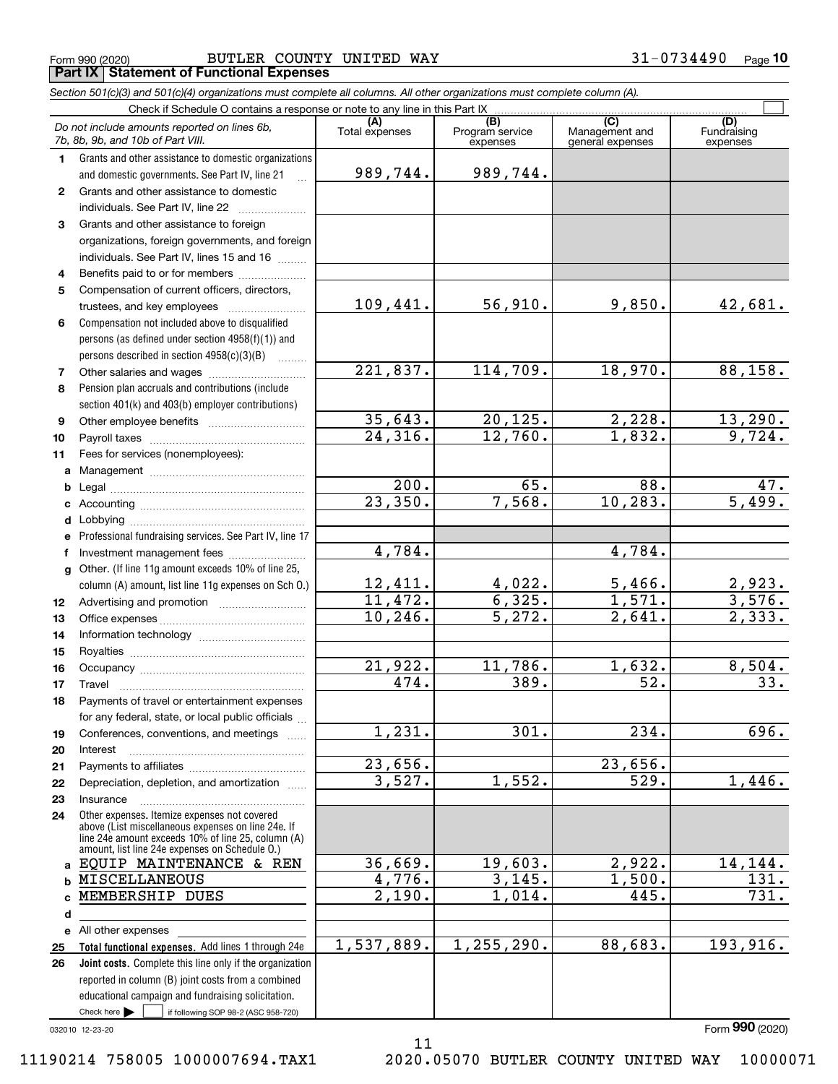$_{\rm Form}$   $_{990}$   $_{(2020)}$   $_{\rm Bge}$   $_{\rm Bge}$ **Part IX Statement of Functional Expenses**

*Section 501(c)(3) and 501(c)(4) organizations must complete all columns. All other organizations must complete column (A).*

|              | Do not include amounts reported on lines 6b,<br>7b, 8b, 9b, and 10b of Part VIII.                  | (A)<br>Total expenses | (B)<br>Program service<br>expenses | (C)<br>Management and<br>general expenses | (D)<br>Fundraising<br>expenses |
|--------------|----------------------------------------------------------------------------------------------------|-----------------------|------------------------------------|-------------------------------------------|--------------------------------|
| 1.           | Grants and other assistance to domestic organizations                                              |                       |                                    |                                           |                                |
|              | and domestic governments. See Part IV, line 21                                                     | 989,744.              | 989,744.                           |                                           |                                |
| $\mathbf{2}$ | Grants and other assistance to domestic                                                            |                       |                                    |                                           |                                |
|              | individuals. See Part IV, line 22                                                                  |                       |                                    |                                           |                                |
| 3            | Grants and other assistance to foreign                                                             |                       |                                    |                                           |                                |
|              | organizations, foreign governments, and foreign                                                    |                       |                                    |                                           |                                |
|              | individuals. See Part IV, lines 15 and 16                                                          |                       |                                    |                                           |                                |
| 4            | Benefits paid to or for members                                                                    |                       |                                    |                                           |                                |
| 5            | Compensation of current officers, directors,                                                       |                       |                                    |                                           |                                |
|              | trustees, and key employees                                                                        | 109,441.              | 56,910.                            | 9,850.                                    | 42,681.                        |
| 6            | Compensation not included above to disqualified                                                    |                       |                                    |                                           |                                |
|              | persons (as defined under section 4958(f)(1)) and                                                  |                       |                                    |                                           |                                |
|              | persons described in section 4958(c)(3)(B)                                                         |                       |                                    |                                           |                                |
| 7            |                                                                                                    | 221,837.              | 114,709.                           | 18,970.                                   | 88,158.                        |
| 8            | Pension plan accruals and contributions (include                                                   |                       |                                    |                                           |                                |
|              | section 401(k) and 403(b) employer contributions)                                                  |                       |                                    |                                           |                                |
| 9            |                                                                                                    | 35,643.               | 20, 125.                           | 2,228.                                    | 13,290.                        |
| 10           |                                                                                                    | 24,316.               | 12,760.                            | 1,832.                                    | 9,724.                         |
| 11           | Fees for services (nonemployees):                                                                  |                       |                                    |                                           |                                |
| a            |                                                                                                    |                       |                                    |                                           |                                |
| b            |                                                                                                    | 200.                  | 65.                                | 88.                                       | 47.                            |
|              |                                                                                                    | 23,350.               | 7,568.                             | 10, 283.                                  | $\overline{5,499}$ .           |
|              |                                                                                                    |                       |                                    |                                           |                                |
|              | e Professional fundraising services. See Part IV, line 17                                          |                       |                                    |                                           |                                |
| f            | Investment management fees                                                                         | 4,784.                |                                    | 4,784.                                    |                                |
| g            | Other. (If line 11g amount exceeds 10% of line 25,                                                 |                       |                                    |                                           |                                |
|              | column (A) amount, list line 11g expenses on Sch 0.)                                               | 12,411.               | $4,022$ .                          | 5,466.                                    | $\frac{2,923}{3,576}$          |
| 12           |                                                                                                    | 11,472.               | 6,325.                             | 1,571.                                    |                                |
| 13           |                                                                                                    | 10, 246.              | 5,272.                             | 2,641.                                    | 2,333.                         |
| 14           |                                                                                                    |                       |                                    |                                           |                                |
| 15           |                                                                                                    |                       |                                    |                                           |                                |
| 16           |                                                                                                    | 21,922.               | 11,786.                            | 1,632.                                    | 8,504.                         |
| 17           | Travel                                                                                             | 474.                  | 389.                               | 52.                                       | 33.                            |
| 18           | Payments of travel or entertainment expenses                                                       |                       |                                    |                                           |                                |
|              | for any federal, state, or local public officials                                                  |                       |                                    |                                           |                                |
| 19           | Conferences, conventions, and meetings                                                             | 1,231.                | 301.                               | 234.                                      | 696.                           |
| 20           | Interest                                                                                           |                       |                                    |                                           |                                |
| 21           |                                                                                                    | 23,656.<br>3,527.     | 1,552.                             | 23,656.<br>529.                           | 1,446.                         |
| 22           | Depreciation, depletion, and amortization                                                          |                       |                                    |                                           |                                |
| 23           | Insurance                                                                                          |                       |                                    |                                           |                                |
| 24           | Other expenses. Itemize expenses not covered<br>above (List miscellaneous expenses on line 24e. If |                       |                                    |                                           |                                |
|              | line 24e amount exceeds 10% of line 25, column (A)                                                 |                       |                                    |                                           |                                |
|              | amount, list line 24e expenses on Schedule O.)<br>a EQUIP MAINTENANCE & REN                        | 36,669.               | 19,603.                            | 2,922.                                    | 14,144.                        |
| b            | MISCELLANEOUS                                                                                      | 4,776.                | 3,145.                             | 1,500.                                    | 131.                           |
| c            | MEMBERSHIP DUES                                                                                    | 2,190.                | 1,014.                             | 445.                                      | 731.                           |
| d            |                                                                                                    |                       |                                    |                                           |                                |
|              | e All other expenses                                                                               |                       |                                    |                                           |                                |
| 25           | Total functional expenses. Add lines 1 through 24e                                                 | 1,537,889.            | 1, 255, 290.                       | 88,683.                                   | 193,916.                       |
| 26           | <b>Joint costs.</b> Complete this line only if the organization                                    |                       |                                    |                                           |                                |
|              | reported in column (B) joint costs from a combined                                                 |                       |                                    |                                           |                                |
|              | educational campaign and fundraising solicitation.                                                 |                       |                                    |                                           |                                |
|              | Check here $\blacktriangleright$<br>if following SOP 98-2 (ASC 958-720)                            |                       |                                    |                                           |                                |

032010 12-23-20

Form (2020) **990**

11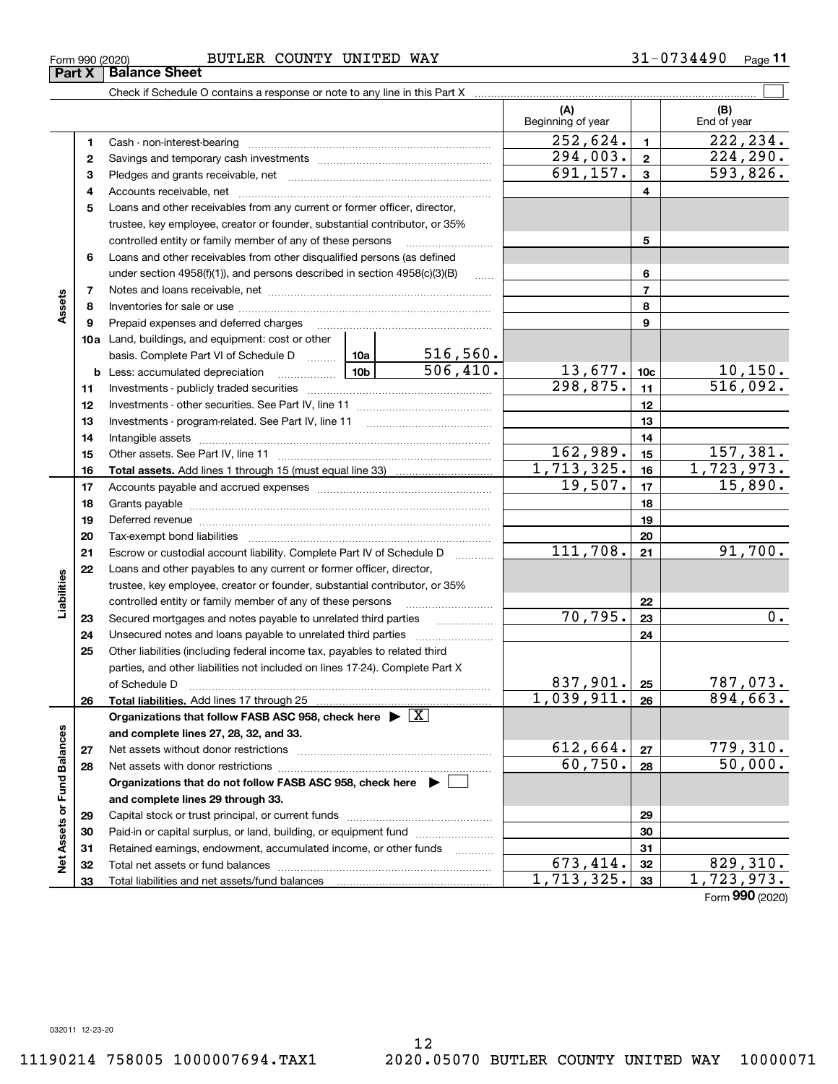12

**(A) (B)** Beginning of year | | End of year  $252,624.$  1  $222,234.$ **11**Cash - non-interest-bearing ~~~~~~~~~~~~~~~~~~~~~~~~~  $294,003$ .  $224,290$ . **22**Savings and temporary cash investments ~~~~~~~~~~~~~~~~~~ $691, 157. | 3 | 593, 826.$ **33**Pledges and grants receivable, net ~~~~~~~~~~~~~~~~~~~~~ Accounts receivable, net ~~~~~~~~~~~~~~~~~~~~~~~~~~ **445**Loans and other receivables from any current or former officer, director, trustee, key employee, creator or founder, substantial contributor, or 35% controlled entity or family member of any of these persons ............................ **5**Loans and other receivables from other disqualified persons (as defined **6**under section 4958(f)(1)), and persons described in section 4958(c)(3)(B) **677**Notes and loans receivable, net ~~~~~~~~~~~~~~~~~~~~~~~**Assets 88**Inventories for sale or use ~~~~~~~~~~~~~~~~~~~~~~~~~~**99**Prepaid expenses and deferred charges ~~~~~~~~~~~~~~~~~~ **10a**Land, buildings, and equipment: cost or other 516,560. basis. Complete Part VI of Schedule D will aller **10c**506,410. 13,677. 10,150. **b** Less: accumulated depreciation  $\ldots$  **10b**  $298,875.$  11 516,092. **1111**Investments - publicly traded securities ~~~~~~~~~~~~~~~~~~~ **1212**Investments - other securities. See Part IV, line 11 ~~~~~~~~~~~~~~ **1313** Investments - program-related. See Part IV, line 11 ~~~~~~~~~~~~~**1414**Intangible assets ……………………………………………………………………………………  $162,989.$  15 $\boxed{157,381.}$ Other assets. See Part IV, line 11 ~~~~~~~~~~~~~~~~~~~~~~ **1515** $1,713,325.$  16 1,723,973. **1616Total assets.**  Add lines 1 through 15 (must equal line 33)  $19,507$ .  $17$   $15,890$ . **1717**Accounts payable and accrued expenses ~~~~~~~~~~~~~~~~~~ **1818**Grants payable ~~~~~~~~~~~~~~~~~~~~~~~~~~~~~~~ **1919**Deferred revenue ~~~~~~~~~~~~~~~~~~~~~~~~~~~~~~ **2020**Tax-exempt bond liabilities …………………………………………………………… 111,708. 91,700. Escrow or custodial account liability. Complete Part IV of Schedule D **2121**Loans and other payables to any current or former officer, director, **22**iabilities **Liabilities** trustee, key employee, creator or founder, substantial contributor, or 35% controlled entity or family member of any of these persons ~~~~~~~~~**22** $70, 795.$  |  $23$  |  $0.$ **23**Secured mortgages and notes payable to unrelated third parties **23**Unsecured notes and loans payable to unrelated third parties **242425**Other liabilities (including federal income tax, payables to related third parties, and other liabilities not included on lines 17-24). Complete Part X 837,901. | 25 | 787,073. **25**of Schedule D ~~~~~~~~~~~~~~~~~~~~~~~~~~~~~~~  $1,039,911. |26 | 894,663.$ **2626Total liabilities.**  Add lines 17 through 25 **Organizations that follow FASB ASC 958, check here** | X Net Assets or Fund Balances **Net Assets or Fund Balances and complete lines 27, 28, 32, and 33.**  $612,664. |27|$  779,310. **2727**Net assets without donor restrictions <sub>…………………………………………………</sub>……  $60,750.$  28 50,000. **2828**Net assets with donor restrictions ~~~~~~~~~~~~~~~~~~~~~~ **Organizations that do not follow FASB ASC 958, check here** | **and complete lines 29 through 33. 2929**Capital stock or trust principal, or current funds ~~~~~~~~~~~~~~~**3030**Paid-in or capital surplus, or land, building, or equipment fund www.commun.com **3131**Retained earnings, endowment, accumulated income, or other funds www.com Total net assets or fund balances ~~~~~~~~~~~~~~~~~~~~~~  $673,414. |32|$  829,310. **3232** $713,325. |33 | 1,723,973.$ Total liabilities and net assets/fund balances **3333**

31-0734490 Page 11

 $\mathcal{L}^{\text{max}}$ 

Form (2020) **990**

## $_{\rm Form}$   $_{990}$   $_{(2020)}$   $_{\rm Bge}$   $_{\rm Bge}$

Check if Schedule O contains a response or note to any line in this Part X **Part X** Balance Sheet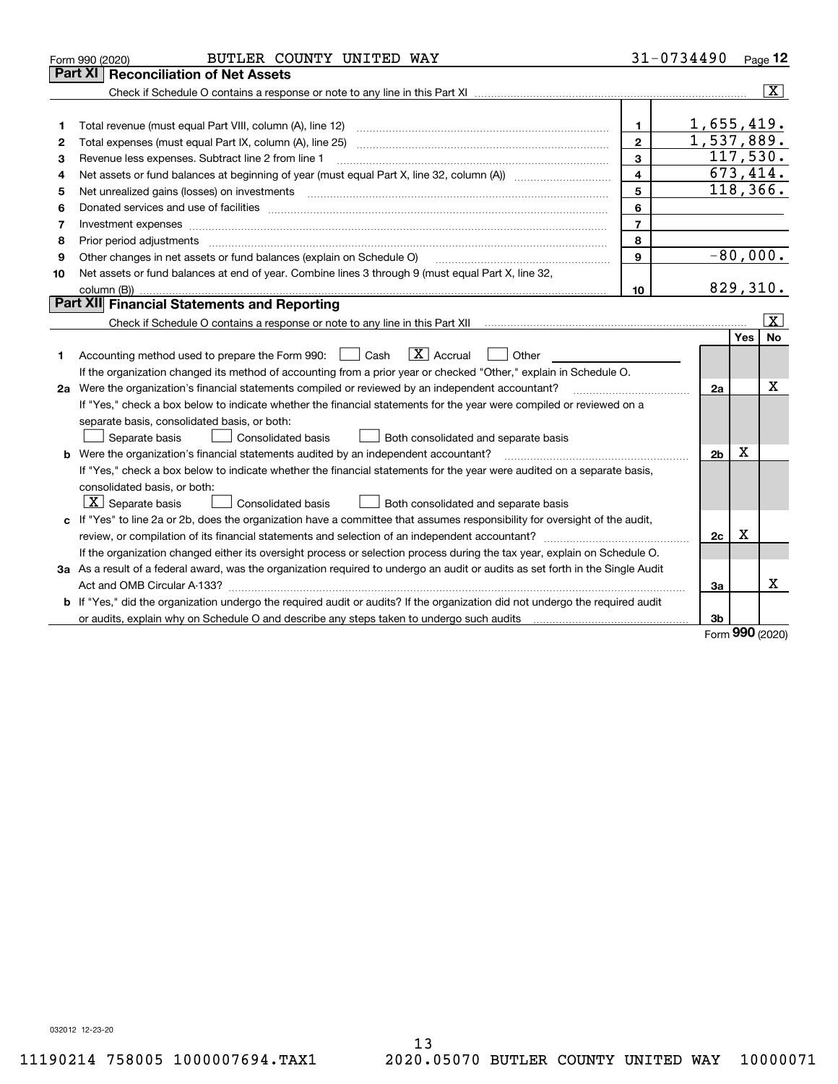|    | BUTLER COUNTY UNITED WAY<br>Form 990 (2020)                                                                                     |                         | 31-0734490     |     | Page $12$               |
|----|---------------------------------------------------------------------------------------------------------------------------------|-------------------------|----------------|-----|-------------------------|
|    | <b>Reconciliation of Net Assets</b><br>Part XI                                                                                  |                         |                |     |                         |
|    |                                                                                                                                 |                         |                |     | $\overline{\mathbf{x}}$ |
|    |                                                                                                                                 |                         |                |     |                         |
| 1  | Total revenue (must equal Part VIII, column (A), line 12)                                                                       | $\mathbf 1$             | 1,655,419.     |     |                         |
| 2  | Total expenses (must equal Part IX, column (A), line 25) maturing content content content content content conte                 | $\overline{2}$          | 1,537,889.     |     |                         |
| 3  | Revenue less expenses. Subtract line 2 from line 1                                                                              | 3                       | 117,530.       |     |                         |
| 4  |                                                                                                                                 | $\overline{\mathbf{4}}$ | 673,414.       |     |                         |
| 5  | Net unrealized gains (losses) on investments                                                                                    | 5                       | 118,366.       |     |                         |
| 6  |                                                                                                                                 | 6                       |                |     |                         |
| 7  | Investment expenses www.communication.com/www.communication.com/www.communication.com/www.com                                   | $\overline{7}$          |                |     |                         |
| 8  | Prior period adjustments                                                                                                        | 8                       |                |     |                         |
| 9  | Other changes in net assets or fund balances (explain on Schedule O)                                                            | $\mathbf{9}$            |                |     | $-80,000.$              |
| 10 | Net assets or fund balances at end of year. Combine lines 3 through 9 (must equal Part X, line 32,                              |                         |                |     |                         |
|    |                                                                                                                                 | 10                      | 829,310.       |     |                         |
|    | Part XII Financial Statements and Reporting                                                                                     |                         |                |     |                         |
|    |                                                                                                                                 |                         |                |     | $\overline{\text{X}}$   |
|    |                                                                                                                                 |                         |                | Yes | No                      |
| 1  | $ X $ Accrual<br>Accounting method used to prepare the Form 990: <u>II</u> Cash<br>Other                                        |                         |                |     |                         |
|    | If the organization changed its method of accounting from a prior year or checked "Other," explain in Schedule O.               |                         |                |     |                         |
|    | 2a Were the organization's financial statements compiled or reviewed by an independent accountant?                              |                         | 2a             |     | Χ                       |
|    | If "Yes," check a box below to indicate whether the financial statements for the year were compiled or reviewed on a            |                         |                |     |                         |
|    | separate basis, consolidated basis, or both:                                                                                    |                         |                |     |                         |
|    | Separate basis<br><b>Consolidated basis</b><br>Both consolidated and separate basis                                             |                         |                |     |                         |
|    | <b>b</b> Were the organization's financial statements audited by an independent accountant?                                     |                         | 2 <sub>b</sub> | х   |                         |
|    | If "Yes," check a box below to indicate whether the financial statements for the year were audited on a separate basis,         |                         |                |     |                         |
|    | consolidated basis, or both:                                                                                                    |                         |                |     |                         |
|    | $ \mathbf{X} $ Separate basis<br><b>Consolidated basis</b><br>Both consolidated and separate basis                              |                         |                |     |                         |
|    | c If "Yes" to line 2a or 2b, does the organization have a committee that assumes responsibility for oversight of the audit,     |                         |                |     |                         |
|    | review, or compilation of its financial statements and selection of an independent accountant?                                  |                         | 2c             | х   |                         |
|    | If the organization changed either its oversight process or selection process during the tax year, explain on Schedule O.       |                         |                |     |                         |
|    | 3a As a result of a federal award, was the organization required to undergo an audit or audits as set forth in the Single Audit |                         |                |     |                         |
|    |                                                                                                                                 |                         | 3a             |     | x                       |
|    | b If "Yes," did the organization undergo the required audit or audits? If the organization did not undergo the required audit   |                         |                |     |                         |
|    |                                                                                                                                 |                         | 3b             | מהה |                         |

Form (2020) **990**

032012 12-23-20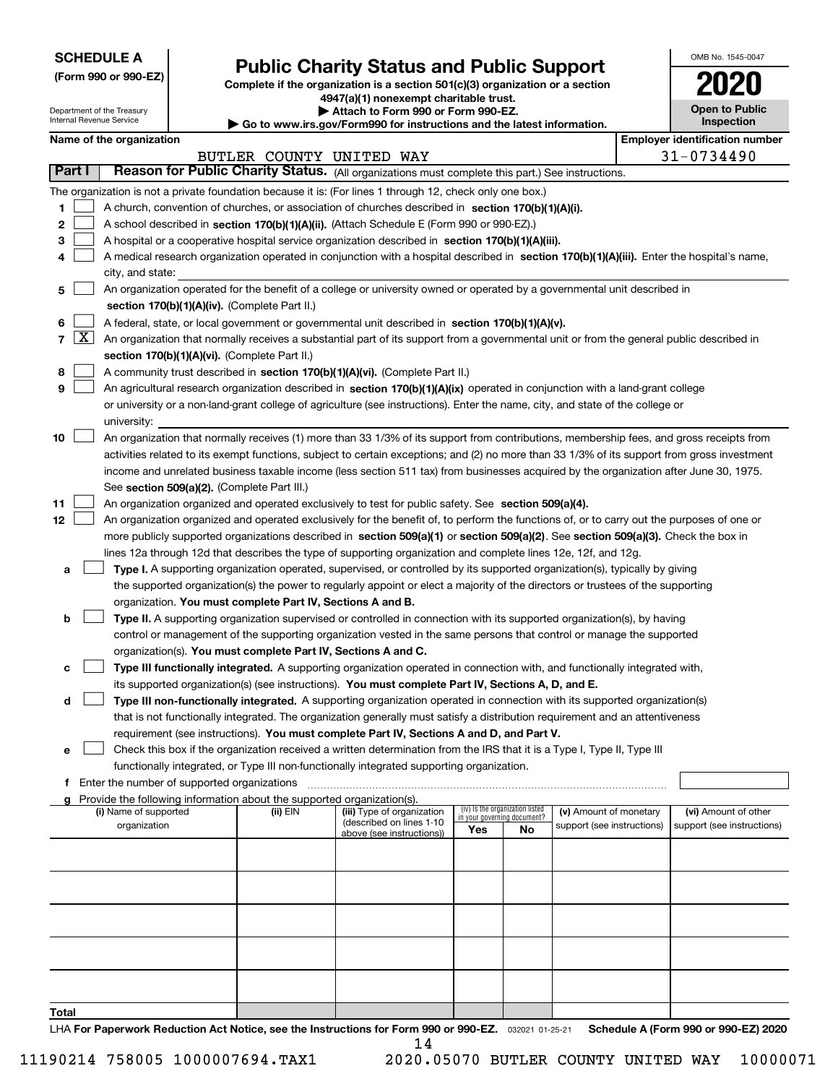| <b>SCHEDULE A</b> |
|-------------------|
|-------------------|

Department of the Treasury Internal Revenue Service

**(Form 990 or 990-EZ)**

# **Public Charity Status and Public Support**

**Complete if the organization is a section 501(c)(3) organization or a section 4947(a)(1) nonexempt charitable trust.**

| Attach to Form 990 or Form 990-EZ.                          |
|-------------------------------------------------------------|
| uw ire aou/Eorm000 for instructions and the latest informal |

**| Go to www.irs.gov/Form990 for instructions and the latest information.**

| OMB No. 1545-0047                   |
|-------------------------------------|
| 02                                  |
| <b>Open to Public</b><br>Inspection |

|  |  | Name of the organization |
|--|--|--------------------------|
|--|--|--------------------------|

|       |                                                                                                                                                                            | Name of the organization                                                                                                                                |                          |                                                        |     |                                 |                                                      |  | <b>Employer identification number</b>              |  |  |  |
|-------|----------------------------------------------------------------------------------------------------------------------------------------------------------------------------|---------------------------------------------------------------------------------------------------------------------------------------------------------|--------------------------|--------------------------------------------------------|-----|---------------------------------|------------------------------------------------------|--|----------------------------------------------------|--|--|--|
|       | Part I                                                                                                                                                                     | Reason for Public Charity Status. (All organizations must complete this part.) See instructions.                                                        | BUTLER COUNTY UNITED WAY |                                                        |     |                                 |                                                      |  | 31-0734490                                         |  |  |  |
|       |                                                                                                                                                                            |                                                                                                                                                         |                          |                                                        |     |                                 |                                                      |  |                                                    |  |  |  |
|       |                                                                                                                                                                            | The organization is not a private foundation because it is: (For lines 1 through 12, check only one box.)                                               |                          |                                                        |     |                                 |                                                      |  |                                                    |  |  |  |
| 1     |                                                                                                                                                                            | A church, convention of churches, or association of churches described in section 170(b)(1)(A)(i).                                                      |                          |                                                        |     |                                 |                                                      |  |                                                    |  |  |  |
| 2     |                                                                                                                                                                            | A school described in section 170(b)(1)(A)(ii). (Attach Schedule E (Form 990 or 990-EZ).)                                                               |                          |                                                        |     |                                 |                                                      |  |                                                    |  |  |  |
| 3     |                                                                                                                                                                            | A hospital or a cooperative hospital service organization described in section $170(b)(1)(A)(iii)$ .                                                    |                          |                                                        |     |                                 |                                                      |  |                                                    |  |  |  |
| 4     | A medical research organization operated in conjunction with a hospital described in section 170(b)(1)(A)(iii). Enter the hospital's name,                                 |                                                                                                                                                         |                          |                                                        |     |                                 |                                                      |  |                                                    |  |  |  |
|       | city, and state:                                                                                                                                                           |                                                                                                                                                         |                          |                                                        |     |                                 |                                                      |  |                                                    |  |  |  |
| 5     | An organization operated for the benefit of a college or university owned or operated by a governmental unit described in<br>section 170(b)(1)(A)(iv). (Complete Part II.) |                                                                                                                                                         |                          |                                                        |     |                                 |                                                      |  |                                                    |  |  |  |
|       |                                                                                                                                                                            |                                                                                                                                                         |                          |                                                        |     |                                 |                                                      |  |                                                    |  |  |  |
| 6     |                                                                                                                                                                            | A federal, state, or local government or governmental unit described in section 170(b)(1)(A)(v).                                                        |                          |                                                        |     |                                 |                                                      |  |                                                    |  |  |  |
|       | $7 \times$                                                                                                                                                                 | An organization that normally receives a substantial part of its support from a governmental unit or from the general public described in               |                          |                                                        |     |                                 |                                                      |  |                                                    |  |  |  |
|       |                                                                                                                                                                            | section 170(b)(1)(A)(vi). (Complete Part II.)                                                                                                           |                          |                                                        |     |                                 |                                                      |  |                                                    |  |  |  |
| 8     |                                                                                                                                                                            | A community trust described in section 170(b)(1)(A)(vi). (Complete Part II.)                                                                            |                          |                                                        |     |                                 |                                                      |  |                                                    |  |  |  |
| 9     |                                                                                                                                                                            | An agricultural research organization described in section 170(b)(1)(A)(ix) operated in conjunction with a land-grant college                           |                          |                                                        |     |                                 |                                                      |  |                                                    |  |  |  |
|       |                                                                                                                                                                            | or university or a non-land-grant college of agriculture (see instructions). Enter the name, city, and state of the college or                          |                          |                                                        |     |                                 |                                                      |  |                                                    |  |  |  |
| 10    |                                                                                                                                                                            | university:<br>An organization that normally receives (1) more than 33 1/3% of its support from contributions, membership fees, and gross receipts from |                          |                                                        |     |                                 |                                                      |  |                                                    |  |  |  |
|       |                                                                                                                                                                            | activities related to its exempt functions, subject to certain exceptions; and (2) no more than 33 1/3% of its support from gross investment            |                          |                                                        |     |                                 |                                                      |  |                                                    |  |  |  |
|       |                                                                                                                                                                            | income and unrelated business taxable income (less section 511 tax) from businesses acquired by the organization after June 30, 1975.                   |                          |                                                        |     |                                 |                                                      |  |                                                    |  |  |  |
|       |                                                                                                                                                                            | See section 509(a)(2). (Complete Part III.)                                                                                                             |                          |                                                        |     |                                 |                                                      |  |                                                    |  |  |  |
| 11    |                                                                                                                                                                            | An organization organized and operated exclusively to test for public safety. See section 509(a)(4).                                                    |                          |                                                        |     |                                 |                                                      |  |                                                    |  |  |  |
| 12    |                                                                                                                                                                            | An organization organized and operated exclusively for the benefit of, to perform the functions of, or to carry out the purposes of one or              |                          |                                                        |     |                                 |                                                      |  |                                                    |  |  |  |
|       |                                                                                                                                                                            | more publicly supported organizations described in section 509(a)(1) or section 509(a)(2). See section 509(a)(3). Check the box in                      |                          |                                                        |     |                                 |                                                      |  |                                                    |  |  |  |
|       |                                                                                                                                                                            | lines 12a through 12d that describes the type of supporting organization and complete lines 12e, 12f, and 12g.                                          |                          |                                                        |     |                                 |                                                      |  |                                                    |  |  |  |
| а     |                                                                                                                                                                            | Type I. A supporting organization operated, supervised, or controlled by its supported organization(s), typically by giving                             |                          |                                                        |     |                                 |                                                      |  |                                                    |  |  |  |
|       |                                                                                                                                                                            | the supported organization(s) the power to regularly appoint or elect a majority of the directors or trustees of the supporting                         |                          |                                                        |     |                                 |                                                      |  |                                                    |  |  |  |
|       |                                                                                                                                                                            | organization. You must complete Part IV, Sections A and B.                                                                                              |                          |                                                        |     |                                 |                                                      |  |                                                    |  |  |  |
| b     |                                                                                                                                                                            | Type II. A supporting organization supervised or controlled in connection with its supported organization(s), by having                                 |                          |                                                        |     |                                 |                                                      |  |                                                    |  |  |  |
|       |                                                                                                                                                                            | control or management of the supporting organization vested in the same persons that control or manage the supported                                    |                          |                                                        |     |                                 |                                                      |  |                                                    |  |  |  |
|       |                                                                                                                                                                            | organization(s). You must complete Part IV, Sections A and C.                                                                                           |                          |                                                        |     |                                 |                                                      |  |                                                    |  |  |  |
| с     |                                                                                                                                                                            | Type III functionally integrated. A supporting organization operated in connection with, and functionally integrated with,                              |                          |                                                        |     |                                 |                                                      |  |                                                    |  |  |  |
|       |                                                                                                                                                                            | its supported organization(s) (see instructions). You must complete Part IV, Sections A, D, and E.                                                      |                          |                                                        |     |                                 |                                                      |  |                                                    |  |  |  |
| d     |                                                                                                                                                                            | Type III non-functionally integrated. A supporting organization operated in connection with its supported organization(s)                               |                          |                                                        |     |                                 |                                                      |  |                                                    |  |  |  |
|       |                                                                                                                                                                            | that is not functionally integrated. The organization generally must satisfy a distribution requirement and an attentiveness                            |                          |                                                        |     |                                 |                                                      |  |                                                    |  |  |  |
|       |                                                                                                                                                                            | requirement (see instructions). You must complete Part IV, Sections A and D, and Part V.                                                                |                          |                                                        |     |                                 |                                                      |  |                                                    |  |  |  |
|       |                                                                                                                                                                            | Check this box if the organization received a written determination from the IRS that it is a Type I, Type II, Type III                                 |                          |                                                        |     |                                 |                                                      |  |                                                    |  |  |  |
|       |                                                                                                                                                                            | functionally integrated, or Type III non-functionally integrated supporting organization.                                                               |                          |                                                        |     |                                 |                                                      |  |                                                    |  |  |  |
|       |                                                                                                                                                                            | f Enter the number of supported organizations                                                                                                           |                          |                                                        |     |                                 |                                                      |  |                                                    |  |  |  |
|       |                                                                                                                                                                            | g Provide the following information about the supported organization(s).                                                                                |                          |                                                        |     | (iv) Is the organization listed |                                                      |  |                                                    |  |  |  |
|       |                                                                                                                                                                            | (i) Name of supported<br>organization                                                                                                                   | (ii) EIN                 | (iii) Type of organization<br>(described on lines 1-10 |     | in your governing document?     | (v) Amount of monetary<br>support (see instructions) |  | (vi) Amount of other<br>support (see instructions) |  |  |  |
|       |                                                                                                                                                                            |                                                                                                                                                         |                          | above (see instructions))                              | Yes | No                              |                                                      |  |                                                    |  |  |  |
|       |                                                                                                                                                                            |                                                                                                                                                         |                          |                                                        |     |                                 |                                                      |  |                                                    |  |  |  |
|       |                                                                                                                                                                            |                                                                                                                                                         |                          |                                                        |     |                                 |                                                      |  |                                                    |  |  |  |
|       |                                                                                                                                                                            |                                                                                                                                                         |                          |                                                        |     |                                 |                                                      |  |                                                    |  |  |  |
|       |                                                                                                                                                                            |                                                                                                                                                         |                          |                                                        |     |                                 |                                                      |  |                                                    |  |  |  |
|       |                                                                                                                                                                            |                                                                                                                                                         |                          |                                                        |     |                                 |                                                      |  |                                                    |  |  |  |
|       |                                                                                                                                                                            |                                                                                                                                                         |                          |                                                        |     |                                 |                                                      |  |                                                    |  |  |  |
|       |                                                                                                                                                                            |                                                                                                                                                         |                          |                                                        |     |                                 |                                                      |  |                                                    |  |  |  |
|       |                                                                                                                                                                            |                                                                                                                                                         |                          |                                                        |     |                                 |                                                      |  |                                                    |  |  |  |
|       |                                                                                                                                                                            |                                                                                                                                                         |                          |                                                        |     |                                 |                                                      |  |                                                    |  |  |  |
|       |                                                                                                                                                                            |                                                                                                                                                         |                          |                                                        |     |                                 |                                                      |  |                                                    |  |  |  |
| Total |                                                                                                                                                                            |                                                                                                                                                         |                          |                                                        |     |                                 |                                                      |  |                                                    |  |  |  |

LHA For Paperwork Reduction Act Notice, see the Instructions for Form 990 or 990-EZ. <sub>032021</sub> o1-25-21 Schedule A (Form 990 or 990-EZ) 2020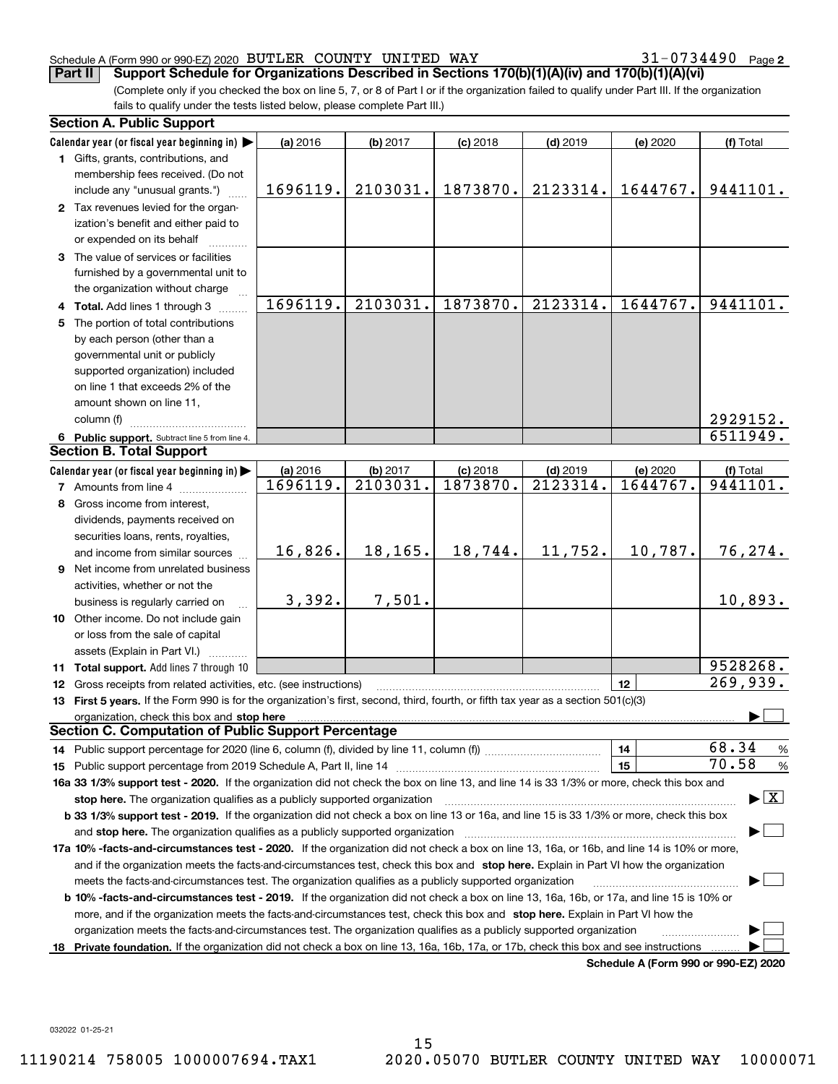31-0734490 Page 2

(Complete only if you checked the box on line 5, 7, or 8 of Part I or if the organization failed to qualify under Part III. If the organization fails to qualify under the tests listed below, please complete Part III.) **Part II** Support Schedule for Organizations Described in Sections 170(b)(1)(A)(iv) and 170(b)(1)(A)(vi)

|    | <b>Section A. Public Support</b>                                                                                                                                                                                               |          |          |            |                        |                                      |                                          |
|----|--------------------------------------------------------------------------------------------------------------------------------------------------------------------------------------------------------------------------------|----------|----------|------------|------------------------|--------------------------------------|------------------------------------------|
|    | Calendar year (or fiscal year beginning in)                                                                                                                                                                                    | (a) 2016 | (b) 2017 | $(c)$ 2018 | $(d)$ 2019             | (e) 2020                             | (f) Total                                |
|    | 1 Gifts, grants, contributions, and                                                                                                                                                                                            |          |          |            |                        |                                      |                                          |
|    | membership fees received. (Do not                                                                                                                                                                                              |          |          |            |                        |                                      |                                          |
|    | include any "unusual grants.")                                                                                                                                                                                                 | 1696119. | 2103031. | 1873870.   | 2123314.               | 1644767.                             | 9441101.                                 |
|    | 2 Tax revenues levied for the organ-                                                                                                                                                                                           |          |          |            |                        |                                      |                                          |
|    | ization's benefit and either paid to                                                                                                                                                                                           |          |          |            |                        |                                      |                                          |
|    | or expended on its behalf                                                                                                                                                                                                      |          |          |            |                        |                                      |                                          |
|    | 3 The value of services or facilities                                                                                                                                                                                          |          |          |            |                        |                                      |                                          |
|    | furnished by a governmental unit to                                                                                                                                                                                            |          |          |            |                        |                                      |                                          |
|    | the organization without charge                                                                                                                                                                                                |          |          |            |                        |                                      |                                          |
|    | 4 Total. Add lines 1 through 3                                                                                                                                                                                                 | 1696119. | 2103031. | 1873870.   | 2123314.               | 1644767.                             | 9441101.                                 |
|    | 5 The portion of total contributions                                                                                                                                                                                           |          |          |            |                        |                                      |                                          |
|    | by each person (other than a                                                                                                                                                                                                   |          |          |            |                        |                                      |                                          |
|    | governmental unit or publicly                                                                                                                                                                                                  |          |          |            |                        |                                      |                                          |
|    | supported organization) included                                                                                                                                                                                               |          |          |            |                        |                                      |                                          |
|    | on line 1 that exceeds 2% of the                                                                                                                                                                                               |          |          |            |                        |                                      |                                          |
|    | amount shown on line 11,                                                                                                                                                                                                       |          |          |            |                        |                                      |                                          |
|    | column (f)                                                                                                                                                                                                                     |          |          |            |                        |                                      | 2929152.                                 |
|    | 6 Public support. Subtract line 5 from line 4.                                                                                                                                                                                 |          |          |            |                        |                                      | 6511949.                                 |
|    | <b>Section B. Total Support</b>                                                                                                                                                                                                |          |          |            |                        |                                      |                                          |
|    | Calendar year (or fiscal year beginning in)                                                                                                                                                                                    | (a) 2016 | (b) 2017 | $(c)$ 2018 | $(d)$ 2019             | (e) 2020                             | (f) Total                                |
|    | <b>7</b> Amounts from line 4                                                                                                                                                                                                   | 1696119. | 2103031. | 1873870.   | $\overline{2123314}$ . | 1644767.                             | 9441101.                                 |
|    | 8 Gross income from interest,                                                                                                                                                                                                  |          |          |            |                        |                                      |                                          |
|    | dividends, payments received on                                                                                                                                                                                                |          |          |            |                        |                                      |                                          |
|    | securities loans, rents, royalties,                                                                                                                                                                                            |          |          |            |                        |                                      |                                          |
|    | and income from similar sources                                                                                                                                                                                                | 16,826.  | 18,165.  | 18,744.    | 11,752.                | 10,787.                              | 76,274.                                  |
|    | 9 Net income from unrelated business                                                                                                                                                                                           |          |          |            |                        |                                      |                                          |
|    | activities, whether or not the                                                                                                                                                                                                 |          |          |            |                        |                                      |                                          |
|    | business is regularly carried on                                                                                                                                                                                               | 3,392.   | 7,501.   |            |                        |                                      | 10,893.                                  |
|    | 10 Other income. Do not include gain                                                                                                                                                                                           |          |          |            |                        |                                      |                                          |
|    | or loss from the sale of capital                                                                                                                                                                                               |          |          |            |                        |                                      |                                          |
|    | assets (Explain in Part VI.)                                                                                                                                                                                                   |          |          |            |                        |                                      |                                          |
|    | 11 Total support. Add lines 7 through 10                                                                                                                                                                                       |          |          |            |                        |                                      | 9528268.                                 |
|    | 12 Gross receipts from related activities, etc. (see instructions)                                                                                                                                                             |          |          |            |                        | 12                                   | 269,939.                                 |
|    | 13 First 5 years. If the Form 990 is for the organization's first, second, third, fourth, or fifth tax year as a section 501(c)(3)                                                                                             |          |          |            |                        |                                      |                                          |
|    | organization, check this box and stop here manufactured and according to the state of the state of the state of the state of the state of the state of the state of the state of the state of the state of the state of the st |          |          |            |                        |                                      |                                          |
|    | <b>Section C. Computation of Public Support Percentage</b>                                                                                                                                                                     |          |          |            |                        |                                      |                                          |
|    |                                                                                                                                                                                                                                |          |          |            |                        | 14                                   | 68.34<br>%                               |
|    |                                                                                                                                                                                                                                |          |          |            |                        | 15                                   | 70.58<br>$\%$                            |
|    | 16a 33 1/3% support test - 2020. If the organization did not check the box on line 13, and line 14 is 33 1/3% or more, check this box and                                                                                      |          |          |            |                        |                                      |                                          |
|    | stop here. The organization qualifies as a publicly supported organization                                                                                                                                                     |          |          |            |                        |                                      | $\blacktriangleright$ $\boxed{\text{X}}$ |
|    | b 33 1/3% support test - 2019. If the organization did not check a box on line 13 or 16a, and line 15 is 33 1/3% or more, check this box                                                                                       |          |          |            |                        |                                      |                                          |
|    | and stop here. The organization qualifies as a publicly supported organization                                                                                                                                                 |          |          |            |                        |                                      |                                          |
|    | 17a 10% -facts-and-circumstances test - 2020. If the organization did not check a box on line 13, 16a, or 16b, and line 14 is 10% or more,                                                                                     |          |          |            |                        |                                      |                                          |
|    | and if the organization meets the facts-and-circumstances test, check this box and stop here. Explain in Part VI how the organization                                                                                          |          |          |            |                        |                                      |                                          |
|    | meets the facts-and-circumstances test. The organization qualifies as a publicly supported organization                                                                                                                        |          |          |            |                        |                                      |                                          |
|    | <b>b 10% -facts-and-circumstances test - 2019.</b> If the organization did not check a box on line 13, 16a, 16b, or 17a, and line 15 is 10% or                                                                                 |          |          |            |                        |                                      |                                          |
|    | more, and if the organization meets the facts-and-circumstances test, check this box and stop here. Explain in Part VI how the                                                                                                 |          |          |            |                        |                                      |                                          |
|    | organization meets the facts-and-circumstances test. The organization qualifies as a publicly supported organization                                                                                                           |          |          |            |                        |                                      |                                          |
| 18 | Private foundation. If the organization did not check a box on line 13, 16a, 16b, 17a, or 17b, check this box and see instructions                                                                                             |          |          |            |                        |                                      |                                          |
|    |                                                                                                                                                                                                                                |          |          |            |                        | Schedule A (Form 990 or 990-F7) 2020 |                                          |

**Schedule A (Form 990 or 990-EZ) 2020**

032022 01-25-21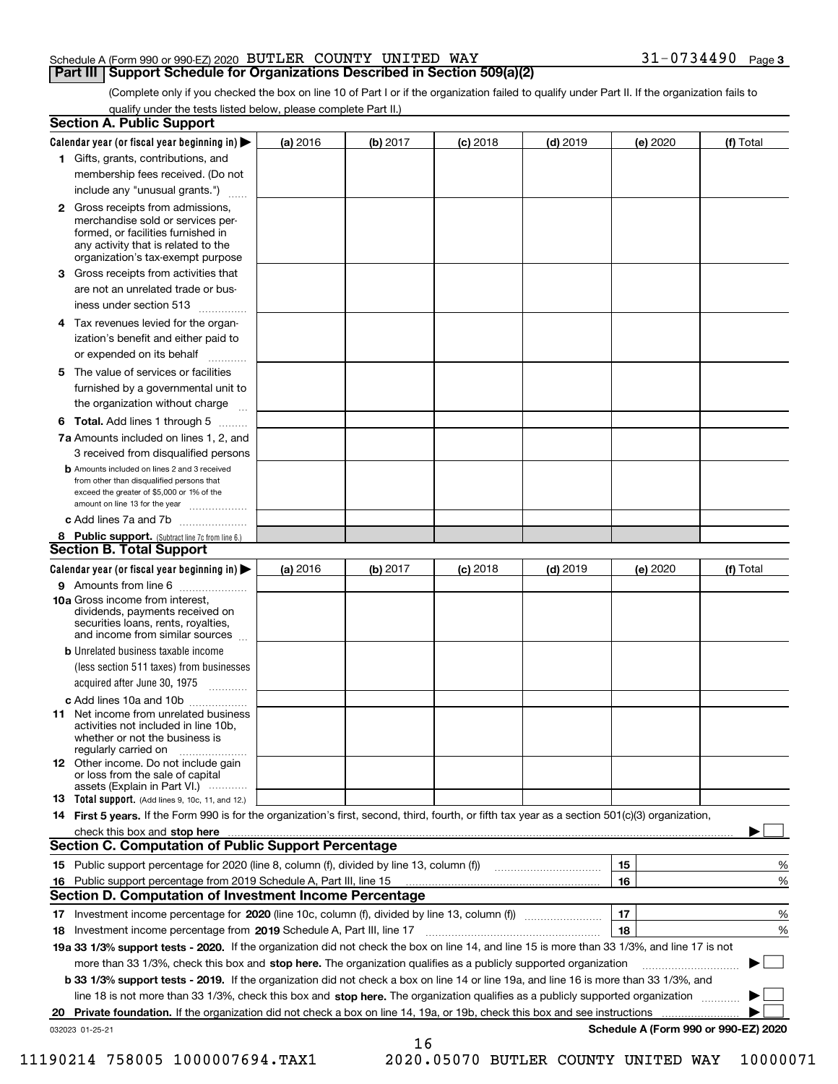(Complete only if you checked the box on line 10 of Part I or if the organization failed to qualify under Part II. If the organization fails to qualify under the tests listed below, please complete Part II.)

| <b>Section A. Public Support</b>                                                                                                                                                                                                    |          |          |                 |            |          |                                      |
|-------------------------------------------------------------------------------------------------------------------------------------------------------------------------------------------------------------------------------------|----------|----------|-----------------|------------|----------|--------------------------------------|
| Calendar year (or fiscal year beginning in) $\blacktriangleright$                                                                                                                                                                   | (a) 2016 | (b) 2017 | $(c)$ 2018      | $(d)$ 2019 | (e) 2020 | (f) Total                            |
| 1 Gifts, grants, contributions, and                                                                                                                                                                                                 |          |          |                 |            |          |                                      |
| membership fees received. (Do not                                                                                                                                                                                                   |          |          |                 |            |          |                                      |
| include any "unusual grants.")                                                                                                                                                                                                      |          |          |                 |            |          |                                      |
| <b>2</b> Gross receipts from admissions,<br>merchandise sold or services per-<br>formed, or facilities furnished in<br>any activity that is related to the<br>organization's tax-exempt purpose                                     |          |          |                 |            |          |                                      |
| 3 Gross receipts from activities that                                                                                                                                                                                               |          |          |                 |            |          |                                      |
| are not an unrelated trade or bus-                                                                                                                                                                                                  |          |          |                 |            |          |                                      |
| iness under section 513                                                                                                                                                                                                             |          |          |                 |            |          |                                      |
| 4 Tax revenues levied for the organ-                                                                                                                                                                                                |          |          |                 |            |          |                                      |
| ization's benefit and either paid to<br>or expended on its behalf<br>.                                                                                                                                                              |          |          |                 |            |          |                                      |
| 5 The value of services or facilities                                                                                                                                                                                               |          |          |                 |            |          |                                      |
| furnished by a governmental unit to                                                                                                                                                                                                 |          |          |                 |            |          |                                      |
| the organization without charge                                                                                                                                                                                                     |          |          |                 |            |          |                                      |
| <b>6 Total.</b> Add lines 1 through 5                                                                                                                                                                                               |          |          |                 |            |          |                                      |
| 7a Amounts included on lines 1, 2, and<br>3 received from disqualified persons                                                                                                                                                      |          |          |                 |            |          |                                      |
| <b>b</b> Amounts included on lines 2 and 3 received<br>from other than disqualified persons that<br>exceed the greater of \$5,000 or 1% of the<br>amount on line 13 for the year                                                    |          |          |                 |            |          |                                      |
| c Add lines 7a and 7b                                                                                                                                                                                                               |          |          |                 |            |          |                                      |
| 8 Public support. (Subtract line 7c from line 6.)                                                                                                                                                                                   |          |          |                 |            |          |                                      |
| <b>Section B. Total Support</b>                                                                                                                                                                                                     |          |          |                 |            |          |                                      |
| Calendar year (or fiscal year beginning in)                                                                                                                                                                                         | (a) 2016 | (b) 2017 | <b>(c)</b> 2018 | $(d)$ 2019 | (e) 2020 | (f) Total                            |
| 9 Amounts from line 6                                                                                                                                                                                                               |          |          |                 |            |          |                                      |
| <b>10a</b> Gross income from interest,<br>dividends, payments received on<br>securities loans, rents, royalties,<br>and income from similar sources                                                                                 |          |          |                 |            |          |                                      |
| <b>b</b> Unrelated business taxable income                                                                                                                                                                                          |          |          |                 |            |          |                                      |
| (less section 511 taxes) from businesses                                                                                                                                                                                            |          |          |                 |            |          |                                      |
| acquired after June 30, 1975                                                                                                                                                                                                        |          |          |                 |            |          |                                      |
| c Add lines 10a and 10b                                                                                                                                                                                                             |          |          |                 |            |          |                                      |
| 11 Net income from unrelated business<br>activities not included in line 10b,<br>whether or not the business is<br>regularly carried on                                                                                             |          |          |                 |            |          |                                      |
| 12 Other income. Do not include gain<br>or loss from the sale of capital<br>assets (Explain in Part VI.)                                                                                                                            |          |          |                 |            |          |                                      |
| <b>13</b> Total support. (Add lines 9, 10c, 11, and 12.)                                                                                                                                                                            |          |          |                 |            |          |                                      |
| 14 First 5 years. If the Form 990 is for the organization's first, second, third, fourth, or fifth tax year as a section 501(c)(3) organization,                                                                                    |          |          |                 |            |          |                                      |
| check this box and stop here <b>contractly constructed</b> that the state of the state of the state of the state of the state of the state of the state of the state of the state of the state of the state of the state of the sta |          |          |                 |            |          |                                      |
| <b>Section C. Computation of Public Support Percentage</b>                                                                                                                                                                          |          |          |                 |            |          |                                      |
|                                                                                                                                                                                                                                     |          |          |                 |            | 15       | %                                    |
| 16 Public support percentage from 2019 Schedule A, Part III, line 15                                                                                                                                                                |          |          |                 |            | 16       | %                                    |
| Section D. Computation of Investment Income Percentage                                                                                                                                                                              |          |          |                 |            |          |                                      |
| 17 Investment income percentage for 2020 (line 10c, column (f), divided by line 13, column (f))                                                                                                                                     |          |          |                 |            | 17       | %                                    |
| 18 Investment income percentage from 2019 Schedule A, Part III, line 17                                                                                                                                                             |          |          |                 |            | 18       | %                                    |
| 19a 33 1/3% support tests - 2020. If the organization did not check the box on line 14, and line 15 is more than 33 1/3%, and line 17 is not                                                                                        |          |          |                 |            |          |                                      |
| more than 33 1/3%, check this box and stop here. The organization qualifies as a publicly supported organization                                                                                                                    |          |          |                 |            |          |                                      |
| b 33 1/3% support tests - 2019. If the organization did not check a box on line 14 or line 19a, and line 16 is more than 33 1/3%, and                                                                                               |          |          |                 |            |          |                                      |
| line 18 is not more than 33 1/3%, check this box and stop here. The organization qualifies as a publicly supported organization                                                                                                     |          |          |                 |            |          |                                      |
| 20 Private foundation. If the organization did not check a box on line 14, 19a, or 19b, check this box and see instructions                                                                                                         |          |          |                 |            |          | .                                    |
| 032023 01-25-21                                                                                                                                                                                                                     |          |          |                 |            |          | Schedule A (Form 990 or 990-EZ) 2020 |
|                                                                                                                                                                                                                                     |          | 16       |                 |            |          |                                      |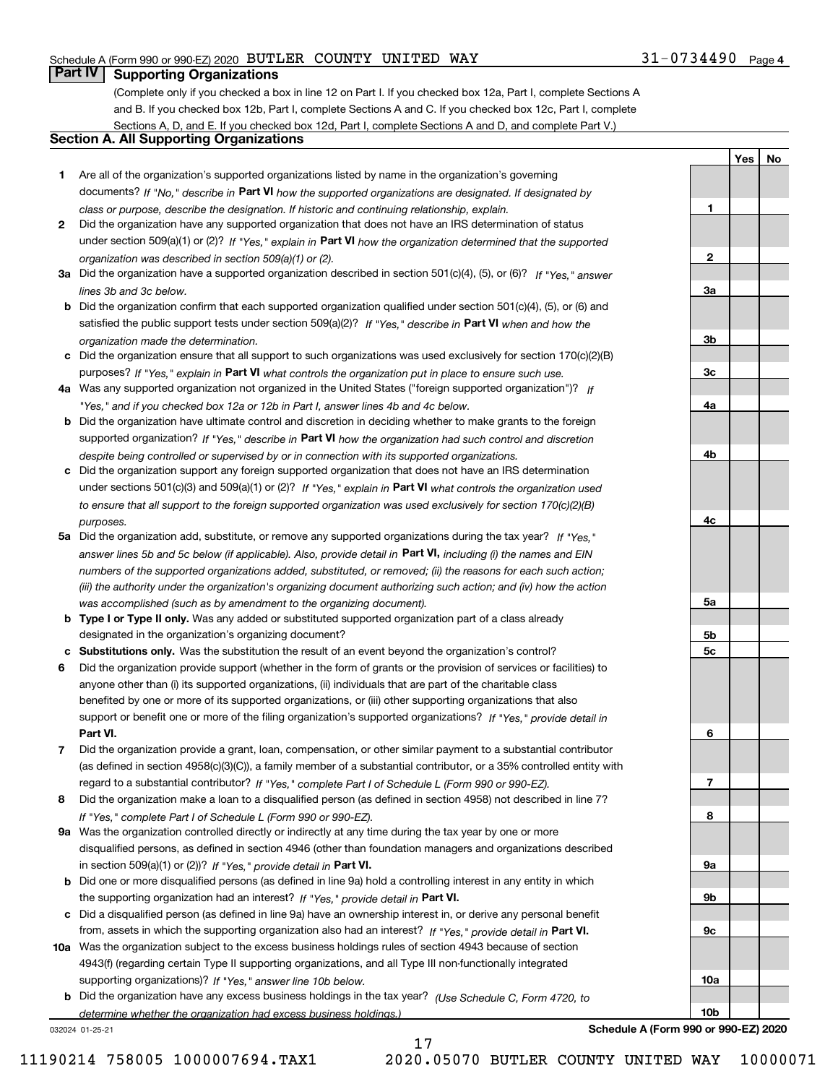## **Part IV Supporting Organizations**

(Complete only if you checked a box in line 12 on Part I. If you checked box 12a, Part I, complete Sections A and B. If you checked box 12b, Part I, complete Sections A and C. If you checked box 12c, Part I, complete Sections A, D, and E. If you checked box 12d, Part I, complete Sections A and D, and complete Part V.)

## **Section A. All Supporting Organizations**

- **1** Are all of the organization's supported organizations listed by name in the organization's governing documents? If "No," describe in **Part VI** how the supported organizations are designated. If designated by *class or purpose, describe the designation. If historic and continuing relationship, explain.*
- **2** Did the organization have any supported organization that does not have an IRS determination of status under section 509(a)(1) or (2)? If "Yes," explain in Part VI how the organization determined that the supported *organization was described in section 509(a)(1) or (2).*
- **3a** Did the organization have a supported organization described in section 501(c)(4), (5), or (6)? If "Yes," answer *lines 3b and 3c below.*
- **b** Did the organization confirm that each supported organization qualified under section 501(c)(4), (5), or (6) and satisfied the public support tests under section 509(a)(2)? If "Yes," describe in **Part VI** when and how the *organization made the determination.*
- **c**Did the organization ensure that all support to such organizations was used exclusively for section 170(c)(2)(B) purposes? If "Yes," explain in **Part VI** what controls the organization put in place to ensure such use.
- **4a***If* Was any supported organization not organized in the United States ("foreign supported organization")? *"Yes," and if you checked box 12a or 12b in Part I, answer lines 4b and 4c below.*
- **b** Did the organization have ultimate control and discretion in deciding whether to make grants to the foreign supported organization? If "Yes," describe in **Part VI** how the organization had such control and discretion *despite being controlled or supervised by or in connection with its supported organizations.*
- **c** Did the organization support any foreign supported organization that does not have an IRS determination under sections 501(c)(3) and 509(a)(1) or (2)? If "Yes," explain in **Part VI** what controls the organization used *to ensure that all support to the foreign supported organization was used exclusively for section 170(c)(2)(B) purposes.*
- **5a** Did the organization add, substitute, or remove any supported organizations during the tax year? If "Yes," answer lines 5b and 5c below (if applicable). Also, provide detail in **Part VI,** including (i) the names and EIN *numbers of the supported organizations added, substituted, or removed; (ii) the reasons for each such action; (iii) the authority under the organization's organizing document authorizing such action; and (iv) how the action was accomplished (such as by amendment to the organizing document).*
- **b** Type I or Type II only. Was any added or substituted supported organization part of a class already designated in the organization's organizing document?
- **cSubstitutions only.**  Was the substitution the result of an event beyond the organization's control?
- **6** Did the organization provide support (whether in the form of grants or the provision of services or facilities) to **Part VI.** *If "Yes," provide detail in* support or benefit one or more of the filing organization's supported organizations? anyone other than (i) its supported organizations, (ii) individuals that are part of the charitable class benefited by one or more of its supported organizations, or (iii) other supporting organizations that also
- **7**Did the organization provide a grant, loan, compensation, or other similar payment to a substantial contributor *If "Yes," complete Part I of Schedule L (Form 990 or 990-EZ).* regard to a substantial contributor? (as defined in section 4958(c)(3)(C)), a family member of a substantial contributor, or a 35% controlled entity with
- **8** Did the organization make a loan to a disqualified person (as defined in section 4958) not described in line 7? *If "Yes," complete Part I of Schedule L (Form 990 or 990-EZ).*
- **9a** Was the organization controlled directly or indirectly at any time during the tax year by one or more in section 509(a)(1) or (2))? If "Yes," *provide detail in* <code>Part VI.</code> disqualified persons, as defined in section 4946 (other than foundation managers and organizations described
- **b** Did one or more disqualified persons (as defined in line 9a) hold a controlling interest in any entity in which the supporting organization had an interest? If "Yes," provide detail in P**art VI**.
- **c**Did a disqualified person (as defined in line 9a) have an ownership interest in, or derive any personal benefit from, assets in which the supporting organization also had an interest? If "Yes," provide detail in P**art VI.**
- **10a** Was the organization subject to the excess business holdings rules of section 4943 because of section supporting organizations)? If "Yes," answer line 10b below. 4943(f) (regarding certain Type II supporting organizations, and all Type III non-functionally integrated
- **b** Did the organization have any excess business holdings in the tax year? (Use Schedule C, Form 4720, to *determine whether the organization had excess business holdings.)*

17

032024 01-25-21

**10bSchedule A (Form 990 or 990-EZ) 2020**

**1**

**2**

**3a**

**3b**

**3c**

**4a**

**4b**

**4c**

**5a**

**5b5c**

**6**

**7**

**8**

**9a**

**9b**

**9c**

**10a**

**YesNo**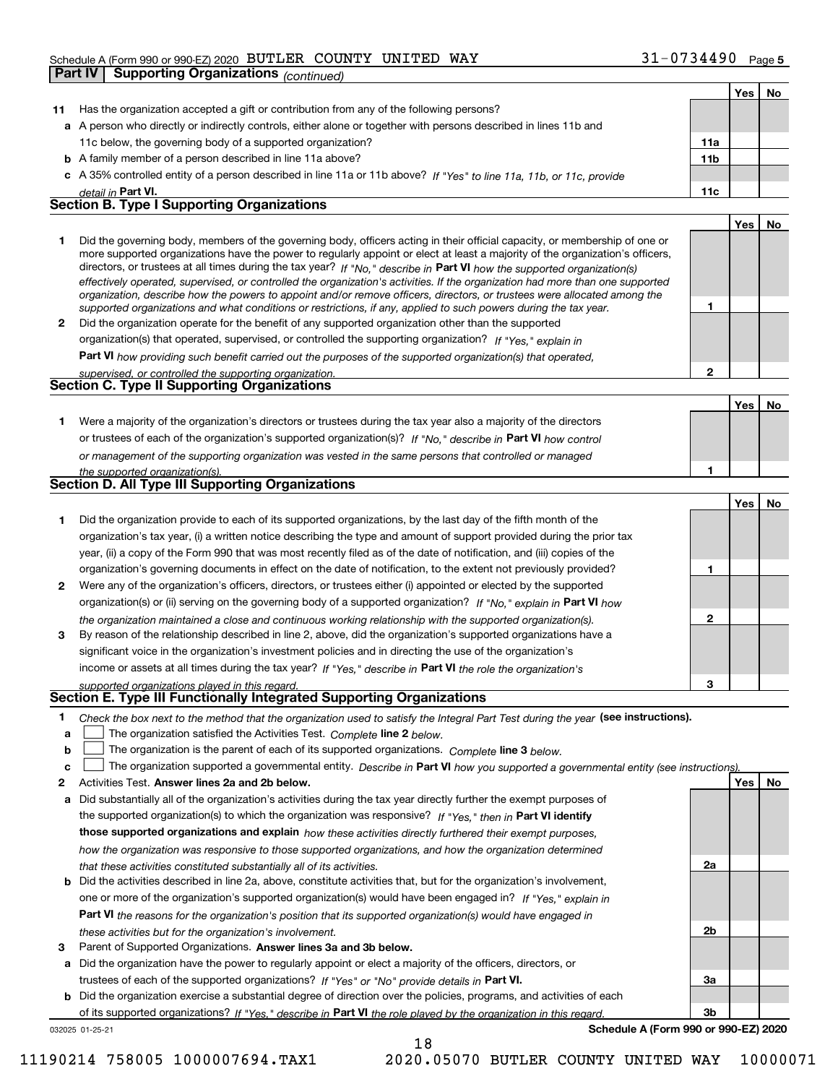#### Schedule A (Form 990 or 990-EZ) 2020 Page BUTLER COUNTY UNITED WAY 31-0734490 **Part IV Supporting Organizations** *(continued)*

|    |                                                                                                                                                                                                                                                           |                 | Yes | No. |
|----|-----------------------------------------------------------------------------------------------------------------------------------------------------------------------------------------------------------------------------------------------------------|-----------------|-----|-----|
| 11 | Has the organization accepted a gift or contribution from any of the following persons?                                                                                                                                                                   |                 |     |     |
|    | a A person who directly or indirectly controls, either alone or together with persons described in lines 11b and                                                                                                                                          |                 |     |     |
|    | 11c below, the governing body of a supported organization?                                                                                                                                                                                                | 11a             |     |     |
|    | <b>b</b> A family member of a person described in line 11a above?                                                                                                                                                                                         | 11 <sub>b</sub> |     |     |
|    | c A 35% controlled entity of a person described in line 11a or 11b above? If "Yes" to line 11a, 11b, or 11c, provide                                                                                                                                      |                 |     |     |
|    | detail in Part VI.                                                                                                                                                                                                                                        | 11c             |     |     |
|    | <b>Section B. Type I Supporting Organizations</b>                                                                                                                                                                                                         |                 |     |     |
|    |                                                                                                                                                                                                                                                           |                 | Yes | No  |
| 1  | Did the governing body, members of the governing body, officers acting in their official capacity, or membership of one or                                                                                                                                |                 |     |     |
|    | more supported organizations have the power to regularly appoint or elect at least a majority of the organization's officers,                                                                                                                             |                 |     |     |
|    | directors, or trustees at all times during the tax year? If "No," describe in Part VI how the supported organization(s)<br>effectively operated, supervised, or controlled the organization's activities. If the organization had more than one supported |                 |     |     |
|    | organization, describe how the powers to appoint and/or remove officers, directors, or trustees were allocated among the                                                                                                                                  |                 |     |     |
|    | supported organizations and what conditions or restrictions, if any, applied to such powers during the tax year.                                                                                                                                          | 1               |     |     |
| 2  | Did the organization operate for the benefit of any supported organization other than the supported                                                                                                                                                       |                 |     |     |
|    | organization(s) that operated, supervised, or controlled the supporting organization? If "Yes," explain in                                                                                                                                                |                 |     |     |
|    | <b>Part VI</b> how providing such benefit carried out the purposes of the supported organization(s) that operated,                                                                                                                                        |                 |     |     |
|    | supervised, or controlled the supporting organization.                                                                                                                                                                                                    | $\mathbf{2}$    |     |     |
|    | <b>Section C. Type II Supporting Organizations</b>                                                                                                                                                                                                        |                 |     |     |
|    |                                                                                                                                                                                                                                                           |                 | Yes | No  |
| 1. | Were a majority of the organization's directors or trustees during the tax year also a majority of the directors                                                                                                                                          |                 |     |     |
|    | or trustees of each of the organization's supported organization(s)? If "No," describe in Part VI how control                                                                                                                                             |                 |     |     |
|    | or management of the supporting organization was vested in the same persons that controlled or managed                                                                                                                                                    |                 |     |     |
|    | the supported organization(s).                                                                                                                                                                                                                            | 1               |     |     |
|    | <b>Section D. All Type III Supporting Organizations</b>                                                                                                                                                                                                   |                 |     |     |
|    |                                                                                                                                                                                                                                                           |                 | Yes | No  |
| 1  | Did the organization provide to each of its supported organizations, by the last day of the fifth month of the                                                                                                                                            |                 |     |     |
|    | organization's tax year, (i) a written notice describing the type and amount of support provided during the prior tax                                                                                                                                     |                 |     |     |
|    | year, (ii) a copy of the Form 990 that was most recently filed as of the date of notification, and (iii) copies of the                                                                                                                                    |                 |     |     |
|    | organization's governing documents in effect on the date of notification, to the extent not previously provided?                                                                                                                                          | 1               |     |     |
| 2  | Were any of the organization's officers, directors, or trustees either (i) appointed or elected by the supported                                                                                                                                          |                 |     |     |
|    | organization(s) or (ii) serving on the governing body of a supported organization? If "No," explain in Part VI how                                                                                                                                        |                 |     |     |
|    | the organization maintained a close and continuous working relationship with the supported organization(s).                                                                                                                                               | $\mathbf{2}$    |     |     |
| 3  | By reason of the relationship described in line 2, above, did the organization's supported organizations have a                                                                                                                                           |                 |     |     |
|    | significant voice in the organization's investment policies and in directing the use of the organization's                                                                                                                                                |                 |     |     |
|    |                                                                                                                                                                                                                                                           |                 |     |     |
|    | income or assets at all times during the tax year? If "Yes," describe in Part VI the role the organization's                                                                                                                                              | з               |     |     |
|    | supported organizations played in this regard.<br>Section E. Type III Functionally Integrated Supporting Organizations                                                                                                                                    |                 |     |     |
|    |                                                                                                                                                                                                                                                           |                 |     |     |
| 1  | Check the box next to the method that the organization used to satisfy the Integral Part Test during the year (see instructions).                                                                                                                         |                 |     |     |
| a  | The organization satisfied the Activities Test. Complete line 2 below.<br>The organization is the parent of each of its supported organizations. Complete line 3 below.                                                                                   |                 |     |     |
| b  |                                                                                                                                                                                                                                                           |                 |     |     |
| c  | The organization supported a governmental entity. Describe in Part VI how you supported a governmental entity (see instructions)                                                                                                                          |                 |     |     |
| 2  | Activities Test. Answer lines 2a and 2b below.                                                                                                                                                                                                            |                 | Yes | No  |
| a  | Did substantially all of the organization's activities during the tax year directly further the exempt purposes of                                                                                                                                        |                 |     |     |
|    | the supported organization(s) to which the organization was responsive? If "Yes." then in Part VI identify                                                                                                                                                |                 |     |     |
|    | those supported organizations and explain how these activities directly furthered their exempt purposes,                                                                                                                                                  |                 |     |     |
|    | how the organization was responsive to those supported organizations, and how the organization determined                                                                                                                                                 |                 |     |     |
|    | that these activities constituted substantially all of its activities.                                                                                                                                                                                    | 2a              |     |     |
| b  | Did the activities described in line 2a, above, constitute activities that, but for the organization's involvement,                                                                                                                                       |                 |     |     |
|    | one or more of the organization's supported organization(s) would have been engaged in? If "Yes," explain in                                                                                                                                              |                 |     |     |
|    | <b>Part VI</b> the reasons for the organization's position that its supported organization(s) would have engaged in                                                                                                                                       |                 |     |     |
|    | these activities but for the organization's involvement.                                                                                                                                                                                                  | 2b              |     |     |
| 3  | Parent of Supported Organizations. Answer lines 3a and 3b below.                                                                                                                                                                                          |                 |     |     |

**a** Did the organization have the power to regularly appoint or elect a majority of the officers, directors, or trustees of each of the supported organizations? If "Yes" or "No" provide details in **Part VI.** 

**b** Did the organization exercise a substantial degree of direction over the policies, programs, and activities of each of its supported organizations? If "Yes," describe in Part VI the role played by the organization in this regard.

18

032025 01-25-21

**Schedule A (Form 990 or 990-EZ) 2020**

**3a**

**3b**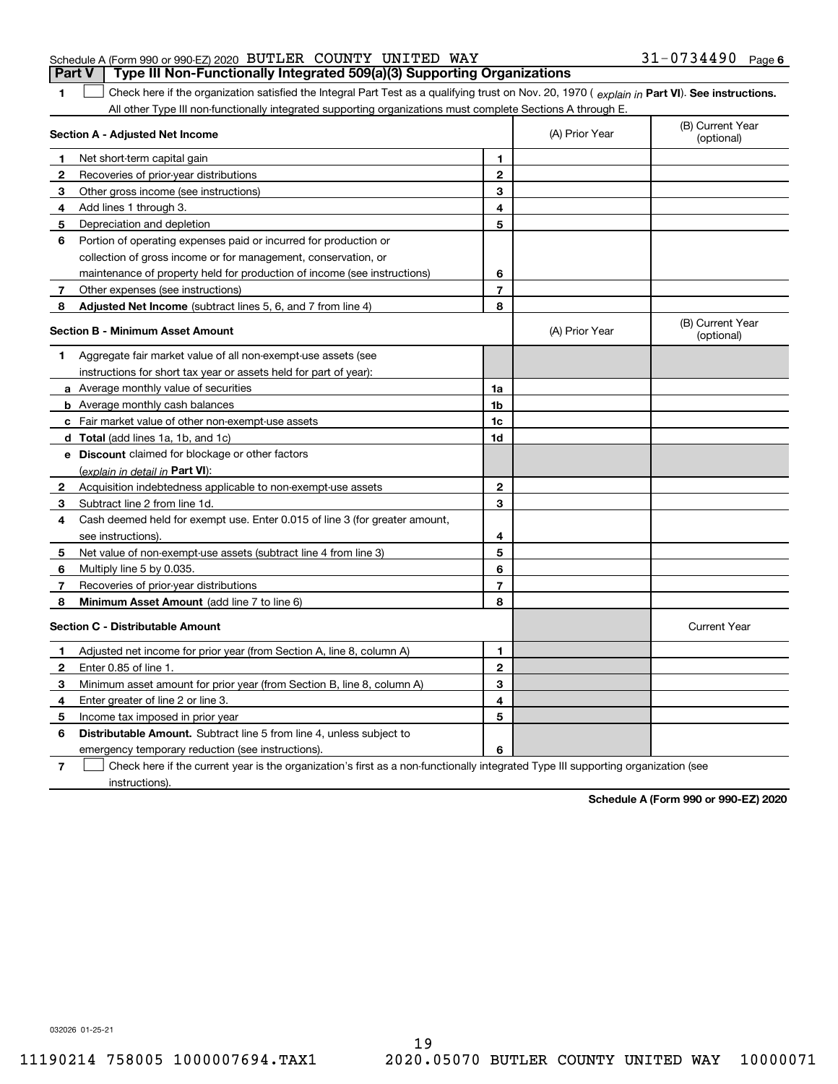| <b>Part V</b> Type III Non-Functionally Integrated 509(a)(3) Supporting Organizations |  |  |                       |  |
|---------------------------------------------------------------------------------------|--|--|-----------------------|--|
| Schedule A (Form 990 or 990-EZ) 2020 BUTLER COUNTY UNITED WAY                         |  |  | $31 - 0734490$ Page 6 |  |

1 Check here if the organization satisfied the Integral Part Test as a qualifying trust on Nov. 20, 1970 (explain in Part VI). See instructions. All other Type III non-functionally integrated supporting organizations must complete Sections A through E.

|              | Section A - Adjusted Net Income                                                                                                   |                | (A) Prior Year | (B) Current Year<br>(optional) |
|--------------|-----------------------------------------------------------------------------------------------------------------------------------|----------------|----------------|--------------------------------|
| 1.           | Net short-term capital gain                                                                                                       | 1              |                |                                |
| $\mathbf{2}$ | Recoveries of prior-year distributions                                                                                            | $\overline{2}$ |                |                                |
| 3            | Other gross income (see instructions)                                                                                             | 3              |                |                                |
| 4            | Add lines 1 through 3.                                                                                                            | 4              |                |                                |
| 5            | Depreciation and depletion                                                                                                        | 5              |                |                                |
| 6            | Portion of operating expenses paid or incurred for production or                                                                  |                |                |                                |
|              | collection of gross income or for management, conservation, or                                                                    |                |                |                                |
|              | maintenance of property held for production of income (see instructions)                                                          | 6              |                |                                |
| 7            | Other expenses (see instructions)                                                                                                 | 7              |                |                                |
| 8            | <b>Adjusted Net Income</b> (subtract lines 5, 6, and 7 from line 4)                                                               | 8              |                |                                |
|              | <b>Section B - Minimum Asset Amount</b>                                                                                           |                | (A) Prior Year | (B) Current Year<br>(optional) |
| 1            | Aggregate fair market value of all non-exempt-use assets (see                                                                     |                |                |                                |
|              | instructions for short tax year or assets held for part of year):                                                                 |                |                |                                |
|              | a Average monthly value of securities                                                                                             | 1a             |                |                                |
|              | <b>b</b> Average monthly cash balances                                                                                            | 1b             |                |                                |
|              | c Fair market value of other non-exempt-use assets                                                                                | 1c             |                |                                |
|              | d Total (add lines 1a, 1b, and 1c)                                                                                                | 1d             |                |                                |
|              | e Discount claimed for blockage or other factors                                                                                  |                |                |                                |
|              | (explain in detail in Part VI):                                                                                                   |                |                |                                |
| 2            | Acquisition indebtedness applicable to non-exempt-use assets                                                                      | $\mathbf 2$    |                |                                |
| 3            | Subtract line 2 from line 1d.                                                                                                     | 3              |                |                                |
| 4            | Cash deemed held for exempt use. Enter 0.015 of line 3 (for greater amount,                                                       |                |                |                                |
|              | see instructions)                                                                                                                 | 4              |                |                                |
| 5            | Net value of non-exempt-use assets (subtract line 4 from line 3)                                                                  | 5              |                |                                |
| 6            | Multiply line 5 by 0.035.                                                                                                         | 6              |                |                                |
| 7            | Recoveries of prior-year distributions                                                                                            | $\overline{7}$ |                |                                |
| 8            | Minimum Asset Amount (add line 7 to line 6)                                                                                       | 8              |                |                                |
|              | <b>Section C - Distributable Amount</b>                                                                                           |                |                | <b>Current Year</b>            |
| 1            | Adjusted net income for prior year (from Section A, line 8, column A)                                                             | $\mathbf{1}$   |                |                                |
| 2            | Enter 0.85 of line 1.                                                                                                             | $\overline{2}$ |                |                                |
| 3            | Minimum asset amount for prior year (from Section B, line 8, column A)                                                            | 3              |                |                                |
| 4            | Enter greater of line 2 or line 3.                                                                                                | 4              |                |                                |
| 5            | Income tax imposed in prior year                                                                                                  | 5              |                |                                |
| 6            | <b>Distributable Amount.</b> Subtract line 5 from line 4, unless subject to                                                       |                |                |                                |
|              | emergency temporary reduction (see instructions).                                                                                 | 6              |                |                                |
| 7            | Check here if the current year is the organization's first as a non-functionally integrated Type III supporting organization (see |                |                |                                |

instructions).

**1**

**Schedule A (Form 990 or 990-EZ) 2020**

032026 01-25-21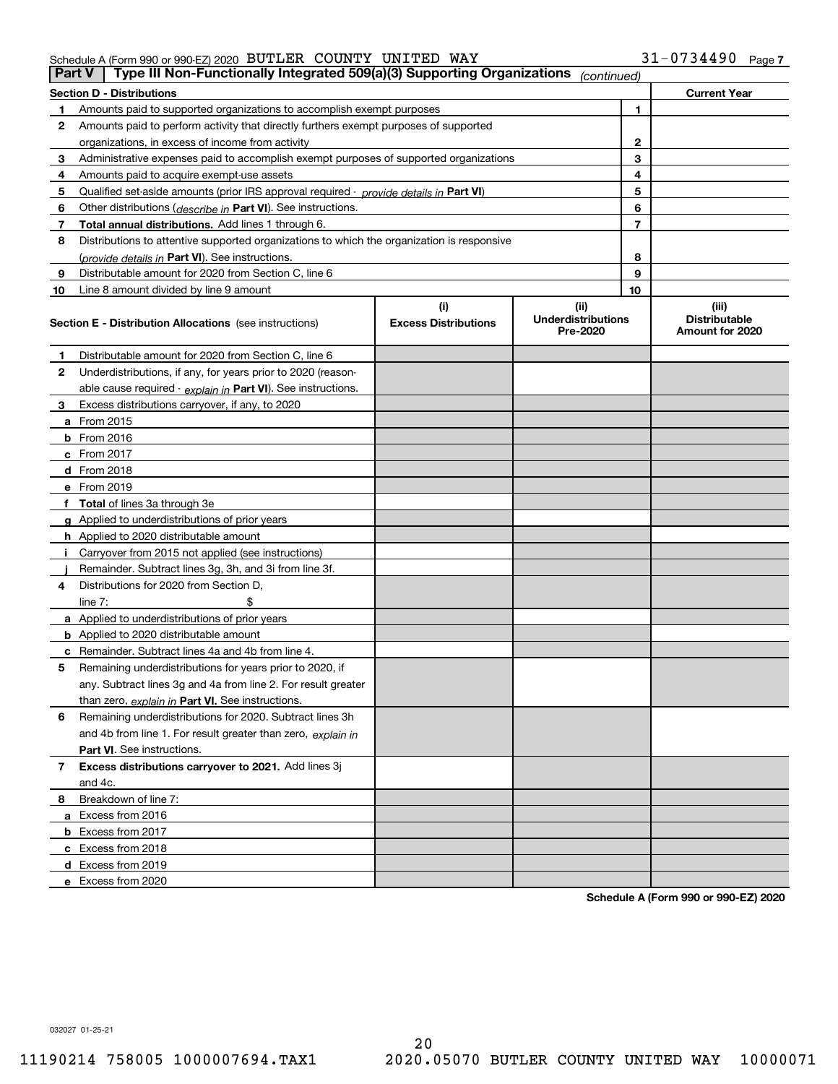|    | Type III Non-Functionally Integrated 509(a)(3) Supporting Organizations<br>Part V          |                             | (continued)                           |    |                                         |
|----|--------------------------------------------------------------------------------------------|-----------------------------|---------------------------------------|----|-----------------------------------------|
|    | <b>Section D - Distributions</b>                                                           |                             |                                       |    | <b>Current Year</b>                     |
|    | Amounts paid to supported organizations to accomplish exempt purposes                      |                             |                                       | 1  |                                         |
| 2  | Amounts paid to perform activity that directly furthers exempt purposes of supported       |                             |                                       |    |                                         |
|    | organizations, in excess of income from activity                                           |                             | 2                                     |    |                                         |
| 3  | Administrative expenses paid to accomplish exempt purposes of supported organizations      |                             | 3                                     |    |                                         |
| 4  | Amounts paid to acquire exempt-use assets                                                  |                             |                                       | 4  |                                         |
| 5  | Qualified set aside amounts (prior IRS approval required - provide details in Part VI)     |                             |                                       | 5  |                                         |
| 6  | Other distributions (describe in Part VI). See instructions.                               |                             |                                       | 6  |                                         |
| 7  | Total annual distributions. Add lines 1 through 6.                                         |                             |                                       | 7  |                                         |
| 8  | Distributions to attentive supported organizations to which the organization is responsive |                             |                                       |    |                                         |
|    | (provide details in Part VI). See instructions.                                            |                             |                                       | 8  |                                         |
| 9  | Distributable amount for 2020 from Section C, line 6                                       |                             |                                       | 9  |                                         |
| 10 | Line 8 amount divided by line 9 amount                                                     |                             |                                       | 10 |                                         |
|    |                                                                                            | (i)                         | (ii)                                  |    | (iii)                                   |
|    | <b>Section E - Distribution Allocations</b> (see instructions)                             | <b>Excess Distributions</b> | <b>Underdistributions</b><br>Pre-2020 |    | <b>Distributable</b><br>Amount for 2020 |
| 1  | Distributable amount for 2020 from Section C, line 6                                       |                             |                                       |    |                                         |
| 2  | Underdistributions, if any, for years prior to 2020 (reason-                               |                             |                                       |    |                                         |
|    | able cause required - explain in Part VI). See instructions.                               |                             |                                       |    |                                         |
| 3  | Excess distributions carryover, if any, to 2020                                            |                             |                                       |    |                                         |
|    | a From 2015                                                                                |                             |                                       |    |                                         |
|    | $b$ From 2016                                                                              |                             |                                       |    |                                         |
|    | c From $2017$                                                                              |                             |                                       |    |                                         |
|    | <b>d</b> From 2018                                                                         |                             |                                       |    |                                         |
|    | e From 2019                                                                                |                             |                                       |    |                                         |
|    | f Total of lines 3a through 3e                                                             |                             |                                       |    |                                         |
|    | g Applied to underdistributions of prior years                                             |                             |                                       |    |                                         |
|    | <b>h</b> Applied to 2020 distributable amount                                              |                             |                                       |    |                                         |
|    | Carryover from 2015 not applied (see instructions)                                         |                             |                                       |    |                                         |
|    | Remainder. Subtract lines 3g, 3h, and 3i from line 3f.                                     |                             |                                       |    |                                         |
| 4  | Distributions for 2020 from Section D.                                                     |                             |                                       |    |                                         |
|    | line $7:$                                                                                  |                             |                                       |    |                                         |
|    | a Applied to underdistributions of prior years                                             |                             |                                       |    |                                         |
|    | <b>b</b> Applied to 2020 distributable amount                                              |                             |                                       |    |                                         |
|    | <b>c</b> Remainder. Subtract lines 4a and 4b from line 4.                                  |                             |                                       |    |                                         |
| 5  | Remaining underdistributions for years prior to 2020, if                                   |                             |                                       |    |                                         |
|    | any. Subtract lines 3g and 4a from line 2. For result greater                              |                             |                                       |    |                                         |
|    | than zero, explain in Part VI. See instructions.                                           |                             |                                       |    |                                         |
| 6  | Remaining underdistributions for 2020. Subtract lines 3h                                   |                             |                                       |    |                                         |
|    | and 4b from line 1. For result greater than zero, explain in                               |                             |                                       |    |                                         |
|    | <b>Part VI.</b> See instructions.                                                          |                             |                                       |    |                                         |
| 7  | Excess distributions carryover to 2021. Add lines 3j                                       |                             |                                       |    |                                         |
|    | and 4c.                                                                                    |                             |                                       |    |                                         |
| 8  | Breakdown of line 7:                                                                       |                             |                                       |    |                                         |
|    | a Excess from 2016                                                                         |                             |                                       |    |                                         |
|    | <b>b</b> Excess from 2017                                                                  |                             |                                       |    |                                         |
|    | c Excess from 2018                                                                         |                             |                                       |    |                                         |
|    | d Excess from 2019                                                                         |                             |                                       |    |                                         |
|    | e Excess from 2020                                                                         |                             |                                       |    |                                         |

**Schedule A (Form 990 or 990-EZ) 2020**

032027 01-25-21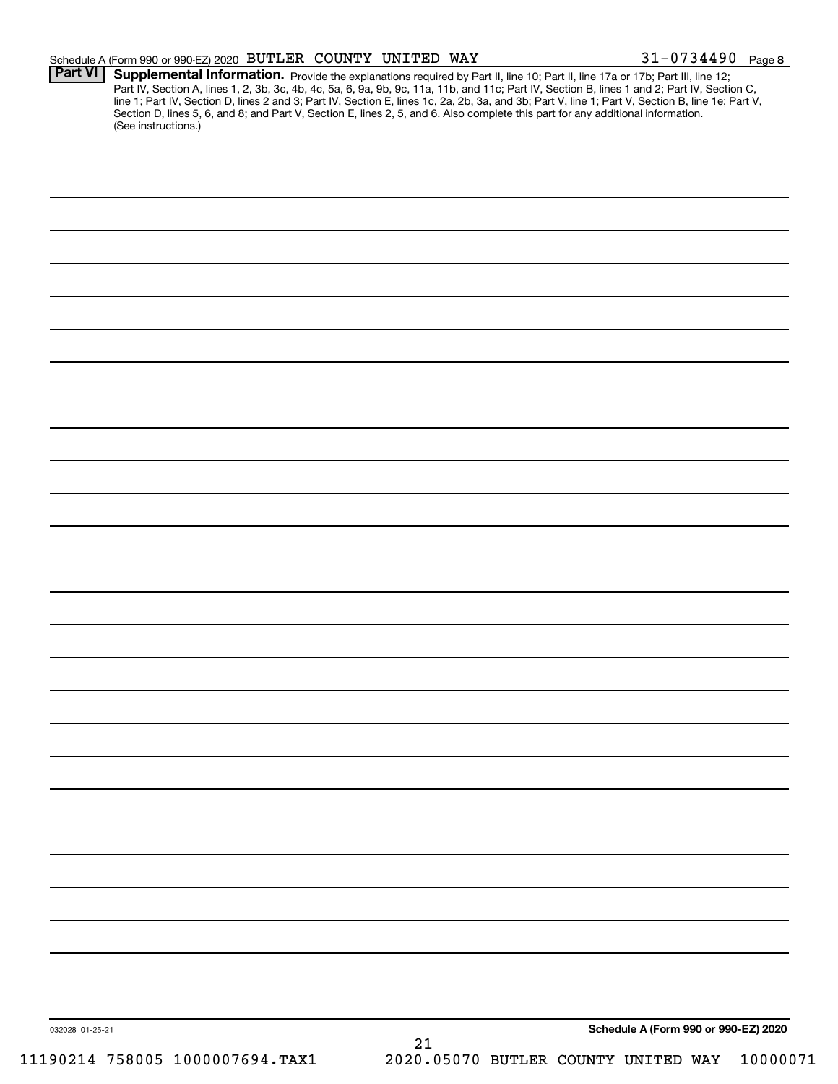|                 | Schedule A (Form 990 or 990-EZ) 2020 BUTLER COUNTY UNITED WAY                                                                                                                                                                                                                                                                                                                                                                                                                                                                                                                               |    |  | $31 - 0734490$ Page 8                |
|-----------------|---------------------------------------------------------------------------------------------------------------------------------------------------------------------------------------------------------------------------------------------------------------------------------------------------------------------------------------------------------------------------------------------------------------------------------------------------------------------------------------------------------------------------------------------------------------------------------------------|----|--|--------------------------------------|
| <b>Part VI</b>  | Supplemental Information. Provide the explanations required by Part II, line 10; Part II, line 17a or 17b; Part III, line 12;<br>Part IV, Section A, lines 1, 2, 3b, 3c, 4b, 4c, 5a, 6, 9a, 9b, 9c, 11a, 11b, and 11c; Part IV, Section B, lines 1 and 2; Part IV, Section C,<br>line 1; Part IV, Section D, lines 2 and 3; Part IV, Section E, lines 1c, 2a, 2b, 3a, and 3b; Part V, line 1; Part V, Section B, line 1e; Part V,<br>Section D, lines 5, 6, and 8; and Part V, Section E, lines 2, 5, and 6. Also complete this part for any additional information.<br>(See instructions.) |    |  |                                      |
|                 |                                                                                                                                                                                                                                                                                                                                                                                                                                                                                                                                                                                             |    |  |                                      |
|                 |                                                                                                                                                                                                                                                                                                                                                                                                                                                                                                                                                                                             |    |  |                                      |
|                 |                                                                                                                                                                                                                                                                                                                                                                                                                                                                                                                                                                                             |    |  |                                      |
|                 |                                                                                                                                                                                                                                                                                                                                                                                                                                                                                                                                                                                             |    |  |                                      |
|                 |                                                                                                                                                                                                                                                                                                                                                                                                                                                                                                                                                                                             |    |  |                                      |
|                 |                                                                                                                                                                                                                                                                                                                                                                                                                                                                                                                                                                                             |    |  |                                      |
|                 |                                                                                                                                                                                                                                                                                                                                                                                                                                                                                                                                                                                             |    |  |                                      |
|                 |                                                                                                                                                                                                                                                                                                                                                                                                                                                                                                                                                                                             |    |  |                                      |
|                 |                                                                                                                                                                                                                                                                                                                                                                                                                                                                                                                                                                                             |    |  |                                      |
|                 |                                                                                                                                                                                                                                                                                                                                                                                                                                                                                                                                                                                             |    |  |                                      |
|                 |                                                                                                                                                                                                                                                                                                                                                                                                                                                                                                                                                                                             |    |  |                                      |
|                 |                                                                                                                                                                                                                                                                                                                                                                                                                                                                                                                                                                                             |    |  |                                      |
|                 |                                                                                                                                                                                                                                                                                                                                                                                                                                                                                                                                                                                             |    |  |                                      |
|                 |                                                                                                                                                                                                                                                                                                                                                                                                                                                                                                                                                                                             |    |  |                                      |
|                 |                                                                                                                                                                                                                                                                                                                                                                                                                                                                                                                                                                                             |    |  |                                      |
|                 |                                                                                                                                                                                                                                                                                                                                                                                                                                                                                                                                                                                             |    |  |                                      |
|                 |                                                                                                                                                                                                                                                                                                                                                                                                                                                                                                                                                                                             |    |  |                                      |
|                 |                                                                                                                                                                                                                                                                                                                                                                                                                                                                                                                                                                                             |    |  |                                      |
|                 |                                                                                                                                                                                                                                                                                                                                                                                                                                                                                                                                                                                             |    |  |                                      |
|                 |                                                                                                                                                                                                                                                                                                                                                                                                                                                                                                                                                                                             |    |  |                                      |
|                 |                                                                                                                                                                                                                                                                                                                                                                                                                                                                                                                                                                                             |    |  |                                      |
|                 |                                                                                                                                                                                                                                                                                                                                                                                                                                                                                                                                                                                             |    |  |                                      |
|                 |                                                                                                                                                                                                                                                                                                                                                                                                                                                                                                                                                                                             |    |  |                                      |
|                 |                                                                                                                                                                                                                                                                                                                                                                                                                                                                                                                                                                                             |    |  |                                      |
|                 |                                                                                                                                                                                                                                                                                                                                                                                                                                                                                                                                                                                             |    |  |                                      |
|                 |                                                                                                                                                                                                                                                                                                                                                                                                                                                                                                                                                                                             |    |  |                                      |
|                 |                                                                                                                                                                                                                                                                                                                                                                                                                                                                                                                                                                                             |    |  |                                      |
|                 |                                                                                                                                                                                                                                                                                                                                                                                                                                                                                                                                                                                             |    |  |                                      |
|                 |                                                                                                                                                                                                                                                                                                                                                                                                                                                                                                                                                                                             |    |  |                                      |
|                 |                                                                                                                                                                                                                                                                                                                                                                                                                                                                                                                                                                                             |    |  |                                      |
|                 |                                                                                                                                                                                                                                                                                                                                                                                                                                                                                                                                                                                             |    |  |                                      |
| 032028 01-25-21 |                                                                                                                                                                                                                                                                                                                                                                                                                                                                                                                                                                                             | 21 |  | Schedule A (Form 990 or 990-EZ) 2020 |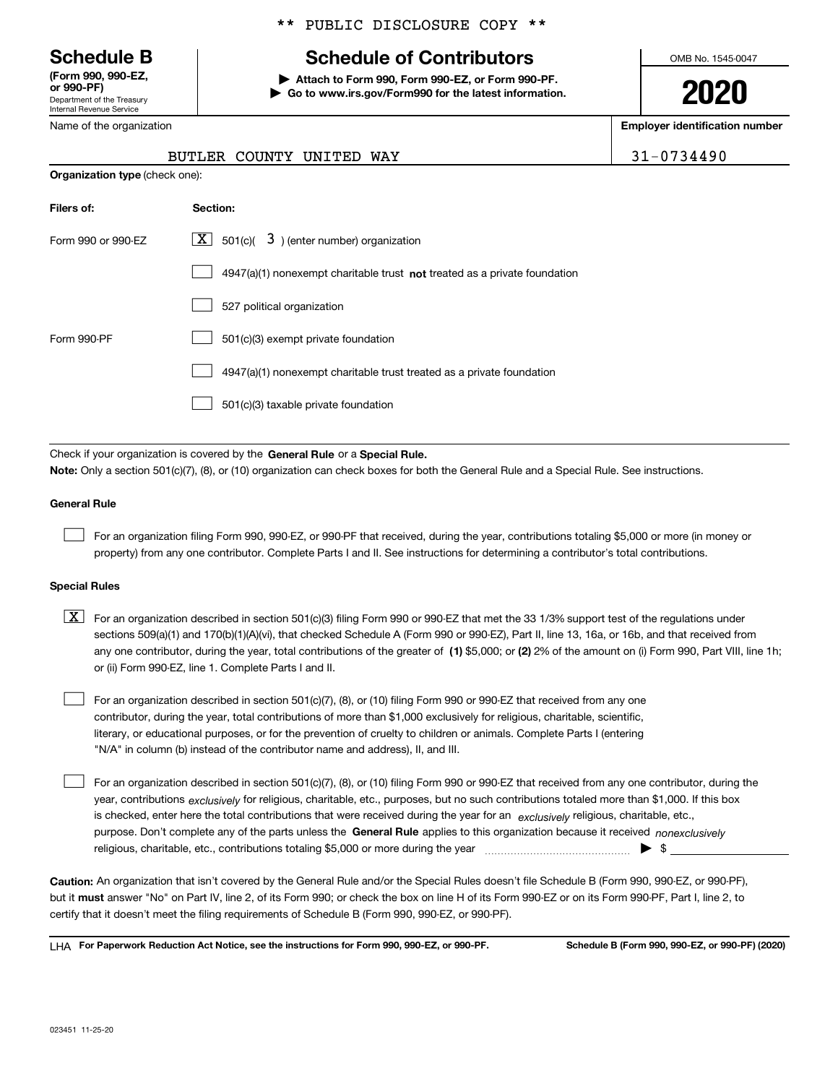Department of the Treasury Internal Revenue Service **(Form 990, 990-EZ, or 990-PF)**

\*\* PUBLIC DISCLOSURE COPY \*\*

# **Schedule B Schedule of Contributors**

**| Attach to Form 990, Form 990-EZ, or Form 990-PF. | Go to www.irs.gov/Form990 for the latest information.** OMB No. 1545-0047

**2020**

**Employer identification number**

| 0734490 |  |  |
|---------|--|--|
|---------|--|--|

| Department of the Treasury |  |
|----------------------------|--|
| Internal Revenue Service   |  |
| Name of the organization   |  |

**Organization type** (check one):

## BUTLER COUNTY UNITED WAY 3

| Filers of:         | Section:                                                                    |
|--------------------|-----------------------------------------------------------------------------|
| Form 990 or 990-EZ | $\lfloor x \rfloor$ 501(c)( 3) (enter number) organization                  |
|                    | $4947(a)(1)$ nonexempt charitable trust not treated as a private foundation |
|                    | 527 political organization                                                  |
| Form 990-PF        | 501(c)(3) exempt private foundation                                         |
|                    | 4947(a)(1) nonexempt charitable trust treated as a private foundation       |
|                    | 501(c)(3) taxable private foundation                                        |

Check if your organization is covered by the **General Rule** or a **Special Rule. Note:**  Only a section 501(c)(7), (8), or (10) organization can check boxes for both the General Rule and a Special Rule. See instructions.

## **General Rule**

 $\mathcal{L}^{\text{max}}$ 

For an organization filing Form 990, 990-EZ, or 990-PF that received, during the year, contributions totaling \$5,000 or more (in money or property) from any one contributor. Complete Parts I and II. See instructions for determining a contributor's total contributions.

#### **Special Rules**

any one contributor, during the year, total contributions of the greater of  $\,$  (1) \$5,000; or **(2)** 2% of the amount on (i) Form 990, Part VIII, line 1h;  $\boxed{\textbf{X}}$  For an organization described in section 501(c)(3) filing Form 990 or 990-EZ that met the 33 1/3% support test of the regulations under sections 509(a)(1) and 170(b)(1)(A)(vi), that checked Schedule A (Form 990 or 990-EZ), Part II, line 13, 16a, or 16b, and that received from or (ii) Form 990-EZ, line 1. Complete Parts I and II.

For an organization described in section 501(c)(7), (8), or (10) filing Form 990 or 990-EZ that received from any one contributor, during the year, total contributions of more than \$1,000 exclusively for religious, charitable, scientific, literary, or educational purposes, or for the prevention of cruelty to children or animals. Complete Parts I (entering "N/A" in column (b) instead of the contributor name and address), II, and III.  $\mathcal{L}^{\text{max}}$ 

purpose. Don't complete any of the parts unless the **General Rule** applies to this organization because it received *nonexclusively* year, contributions <sub>exclusively</sub> for religious, charitable, etc., purposes, but no such contributions totaled more than \$1,000. If this box is checked, enter here the total contributions that were received during the year for an  $\;$ exclusively religious, charitable, etc., For an organization described in section 501(c)(7), (8), or (10) filing Form 990 or 990-EZ that received from any one contributor, during the religious, charitable, etc., contributions totaling \$5,000 or more during the year  $\Box$ — $\Box$   $\Box$  $\mathcal{L}^{\text{max}}$ 

**Caution:**  An organization that isn't covered by the General Rule and/or the Special Rules doesn't file Schedule B (Form 990, 990-EZ, or 990-PF),  **must** but it answer "No" on Part IV, line 2, of its Form 990; or check the box on line H of its Form 990-EZ or on its Form 990-PF, Part I, line 2, to certify that it doesn't meet the filing requirements of Schedule B (Form 990, 990-EZ, or 990-PF).

**For Paperwork Reduction Act Notice, see the instructions for Form 990, 990-EZ, or 990-PF. Schedule B (Form 990, 990-EZ, or 990-PF) (2020)** LHA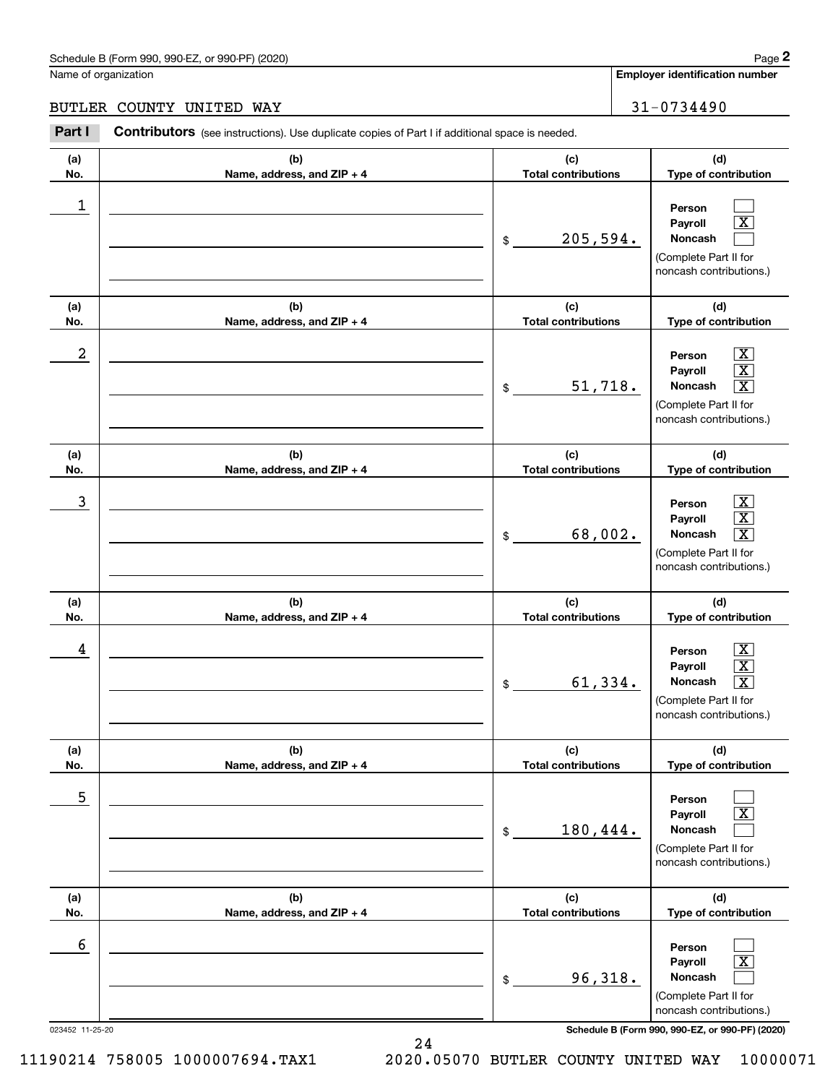## Schedule B (Form 990, 990-EZ, or 990-PF) (2020) Page 2

## BUTLER COUNTY UNITED WAY 31-0734490

|                      | Schedule B (Form 990, 990-EZ, or 990-PF) (2020)                                                       |                                   | Page 2                                                                                                                                               |
|----------------------|-------------------------------------------------------------------------------------------------------|-----------------------------------|------------------------------------------------------------------------------------------------------------------------------------------------------|
| Name of organization |                                                                                                       |                                   | <b>Employer identification number</b>                                                                                                                |
|                      | BUTLER COUNTY UNITED WAY                                                                              |                                   | $31 - 0734490$                                                                                                                                       |
| Part I               | <b>Contributors</b> (see instructions). Use duplicate copies of Part I if additional space is needed. |                                   |                                                                                                                                                      |
| (a)<br>No.           | (b)<br>Name, address, and ZIP + 4                                                                     | (c)<br><b>Total contributions</b> | (d)<br>Type of contribution                                                                                                                          |
| 1                    |                                                                                                       | 205,594.<br>\$                    | Person<br>$\overline{\texttt{X}}$<br>Payroll<br>Noncash<br>(Complete Part II for<br>noncash contributions.)                                          |
| (a)<br>No.           | (b)<br>Name, address, and ZIP + 4                                                                     | (c)<br><b>Total contributions</b> | (d)<br>Type of contribution                                                                                                                          |
| 2                    |                                                                                                       | 51,718.<br>\$                     | $\boxed{\text{X}}$<br>Person<br>$\boxed{\text{X}}$<br>Payroll<br>Noncash<br>$\boxed{\text{X}}$<br>(Complete Part II for<br>noncash contributions.)   |
| (a)<br>No.           | (b)<br>Name, address, and ZIP + 4                                                                     | (c)<br><b>Total contributions</b> | (d)<br>Type of contribution                                                                                                                          |
| 3                    |                                                                                                       | 68,002.<br>\$                     | $\boxed{\text{X}}$<br>Person<br>$\boxed{\textbf{X}}$<br>Payroll<br>$\boxed{\text{X}}$<br>Noncash<br>(Complete Part II for<br>noncash contributions.) |
| (a)<br>No.           | (b)<br>Name, address, and ZIP + 4                                                                     | (c)<br><b>Total contributions</b> | (d)<br>Type of contribution                                                                                                                          |
| 4                    |                                                                                                       | 61,334.<br>\$                     | $\mathbf{X}$<br>Person<br>$\boxed{\text{X}}$<br>Payroll<br>Noncash<br>$\boxed{\text{X}}$<br>(Complete Part II for<br>noncash contributions.)         |
| (a)<br>No.           | (b)<br>Name, address, and ZIP + 4                                                                     | (c)<br><b>Total contributions</b> | (d)<br>Type of contribution                                                                                                                          |
| 5                    |                                                                                                       | 180,444.<br>\$                    | Person<br>$\overline{\text{X}}$<br>Payroll<br>Noncash<br>(Complete Part II for<br>noncash contributions.)                                            |
| (a)<br>No.           | (b)<br>Name, address, and ZIP + 4                                                                     | (c)<br><b>Total contributions</b> | (d)<br>Type of contribution                                                                                                                          |
| 6                    |                                                                                                       | 96,318.<br>\$                     | Person<br>$\overline{\mathbf{X}}$<br>Payroll<br>Noncash<br>(Complete Part II for<br>noncash contributions.)                                          |
| 023452 11-25-20      |                                                                                                       |                                   | Schedule B (Form 990, 990-EZ, or 990-PF) (2020)                                                                                                      |

24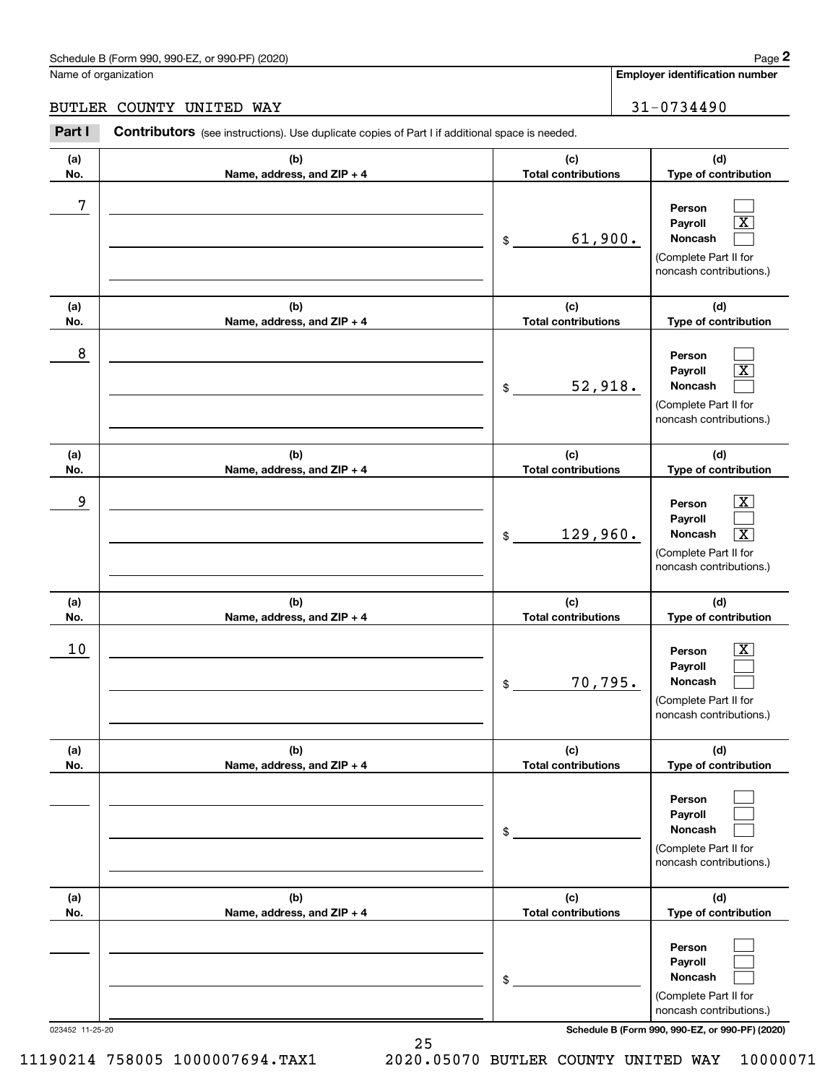## Schedule B (Form 990, 990-EZ, or 990-PF) (2020) Page 2

## BUTLER COUNTY UNITED WAY 31-0734490

|                      | Schedule B (Form 990, 990-EZ, or 990-PF) (2020)                                                       |                                   | Page 2                                                                                                                      |
|----------------------|-------------------------------------------------------------------------------------------------------|-----------------------------------|-----------------------------------------------------------------------------------------------------------------------------|
| Name of organization |                                                                                                       |                                   | <b>Employer identification number</b>                                                                                       |
| BUTLER               | COUNTY UNITED WAY                                                                                     |                                   | 31-0734490                                                                                                                  |
| Part I               | <b>Contributors</b> (see instructions). Use duplicate copies of Part I if additional space is needed. |                                   |                                                                                                                             |
| (a)<br>No.           | (b)<br>Name, address, and ZIP + 4                                                                     | (c)<br><b>Total contributions</b> | (d)<br>Type of contribution                                                                                                 |
| 7                    |                                                                                                       | 61,900.<br>\$                     | Person<br>$\boxed{\text{X}}$<br>Payroll<br>Noncash<br>(Complete Part II for<br>noncash contributions.)                      |
| (a)<br>No.           | (b)<br>Name, address, and ZIP + 4                                                                     | (c)<br><b>Total contributions</b> | (d)<br>Type of contribution                                                                                                 |
| 8                    |                                                                                                       | 52,918.<br>\$                     | Person<br>$\boxed{\text{X}}$<br>Payroll<br>Noncash<br>(Complete Part II for<br>noncash contributions.)                      |
| (a)<br>No.           | (b)<br>Name, address, and ZIP + 4                                                                     | (c)<br><b>Total contributions</b> | (d)<br>Type of contribution                                                                                                 |
| 9                    |                                                                                                       | 129,960.<br>\$                    | $\mathbf{X}$<br>Person<br>Payroll<br>$\overline{\mathbf{X}}$<br>Noncash<br>(Complete Part II for<br>noncash contributions.) |
| (a)<br>No.           | (b)<br>Name, address, and ZIP + 4                                                                     | (c)<br><b>Total contributions</b> | (d)<br>Type of contribution                                                                                                 |
| 10                   |                                                                                                       | 70,795.<br>\$                     | $\mathbf{X}$<br>Person<br>Payroll<br>Noncash<br>(Complete Part II for<br>noncash contributions.)                            |
| (a)<br>No.           | (b)<br>Name, address, and ZIP + 4                                                                     | (c)<br><b>Total contributions</b> | (d)<br>Type of contribution                                                                                                 |
|                      |                                                                                                       | \$                                | Person<br>Payroll<br>Noncash<br>(Complete Part II for<br>noncash contributions.)                                            |
| (a)<br>No.           | (b)<br>Name, address, and ZIP + 4                                                                     | (c)<br><b>Total contributions</b> | (d)<br>Type of contribution                                                                                                 |
|                      |                                                                                                       | \$                                | Person<br>Payroll<br>Noncash<br>(Complete Part II for<br>noncash contributions.)                                            |

023452 11-25-20 **Schedule B (Form 990, 990-EZ, or 990-PF) (2020)**

25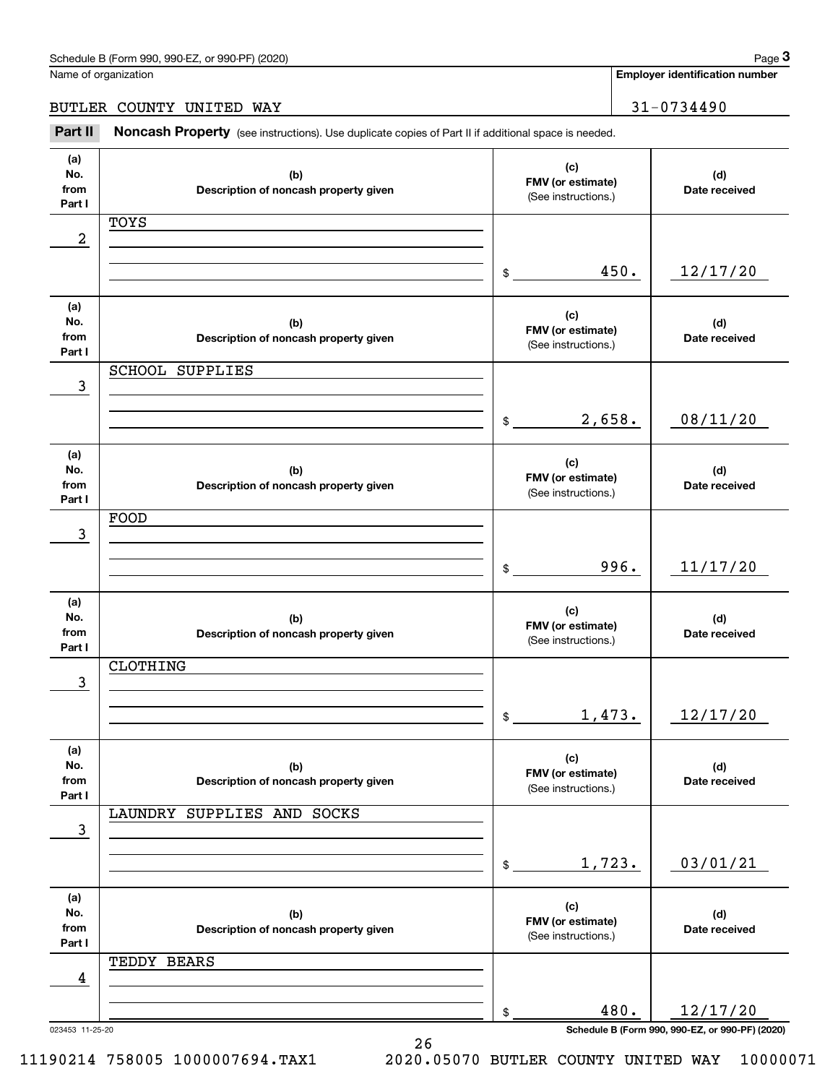Name of organization

**Employer identification number**

BUTLER COUNTY UNITED WAY 31-0734490

(see instructions). Use duplicate copies of Part II if additional space is needed.<br> **3Part II Noncash Property** (see instructions). Use duplicate copies of Part II if additional space is needed.

| (a)<br>No.<br>from<br>Part I | (b)<br>Description of noncash property given | (c)<br>FMV (or estimate)<br>(See instructions.) | (d)<br>Date received                                        |
|------------------------------|----------------------------------------------|-------------------------------------------------|-------------------------------------------------------------|
|                              |                                              |                                                 |                                                             |
|                              | TOYS                                         |                                                 |                                                             |
| 2                            |                                              |                                                 |                                                             |
|                              |                                              |                                                 |                                                             |
|                              |                                              | 450.<br>$\mathfrak s$                           | 12/17/20                                                    |
|                              |                                              |                                                 |                                                             |
| (a)                          |                                              |                                                 |                                                             |
|                              |                                              | (c)                                             |                                                             |
| No.                          | (b)                                          | FMV (or estimate)                               | (d)                                                         |
| from                         | Description of noncash property given        | (See instructions.)                             | Date received                                               |
| Part I                       |                                              |                                                 |                                                             |
|                              | <b>SCHOOL SUPPLIES</b>                       |                                                 |                                                             |
| 3                            |                                              |                                                 |                                                             |
|                              |                                              |                                                 |                                                             |
|                              |                                              | 2,658.                                          | 08/11/20                                                    |
|                              |                                              | $\frac{1}{2}$                                   |                                                             |
|                              |                                              |                                                 |                                                             |
| (a)                          |                                              |                                                 |                                                             |
| No.                          | (b)                                          | (c)                                             | (d)                                                         |
| from                         | Description of noncash property given        | FMV (or estimate)                               | Date received                                               |
| Part I                       |                                              | (See instructions.)                             |                                                             |
|                              | FOOD                                         |                                                 |                                                             |
|                              |                                              |                                                 |                                                             |
| 3                            |                                              |                                                 |                                                             |
|                              |                                              |                                                 |                                                             |
|                              |                                              | 996.<br>$\frac{1}{2}$                           | 11/17/20                                                    |
|                              |                                              |                                                 |                                                             |
| (a)                          |                                              |                                                 |                                                             |
| No.                          |                                              | (c)                                             |                                                             |
|                              | (b)                                          | FMV (or estimate)                               | (d)                                                         |
| from                         | Description of noncash property given        | (See instructions.)                             | Date received                                               |
| Part I                       |                                              |                                                 |                                                             |
|                              | CLOTHING                                     |                                                 |                                                             |
| 3                            |                                              |                                                 |                                                             |
|                              |                                              |                                                 |                                                             |
|                              |                                              | 1,473.<br>$\frac{1}{2}$                         | 12/17/20                                                    |
|                              |                                              |                                                 |                                                             |
|                              |                                              |                                                 |                                                             |
| (a)                          |                                              |                                                 |                                                             |
|                              |                                              |                                                 |                                                             |
| No.                          |                                              | (c)                                             |                                                             |
| from                         | (b)<br>Description of noncash property given | FMV (or estimate)                               | (d)<br>Date received                                        |
| Part I                       |                                              | (See instructions.)                             |                                                             |
|                              |                                              |                                                 |                                                             |
|                              | LAUNDRY SUPPLIES AND SOCKS                   |                                                 |                                                             |
| 3                            |                                              |                                                 |                                                             |
|                              |                                              |                                                 |                                                             |
|                              |                                              | 1,723.<br>$$^{\circ}$                           | 03/01/21                                                    |
|                              |                                              |                                                 |                                                             |
|                              |                                              |                                                 |                                                             |
| (a)                          |                                              | (c)                                             |                                                             |
| No.                          | (b)                                          | FMV (or estimate)                               | (d)                                                         |
| from                         | Description of noncash property given        |                                                 | Date received                                               |
| Part I                       |                                              | (See instructions.)                             |                                                             |
|                              | TEDDY BEARS                                  |                                                 |                                                             |
| 4                            |                                              |                                                 |                                                             |
|                              |                                              |                                                 |                                                             |
|                              |                                              |                                                 |                                                             |
| 023453 11-25-20              |                                              | 480.<br>\$                                      | 12/17/20<br>Schedule B (Form 990, 990-EZ, or 990-PF) (2020) |

26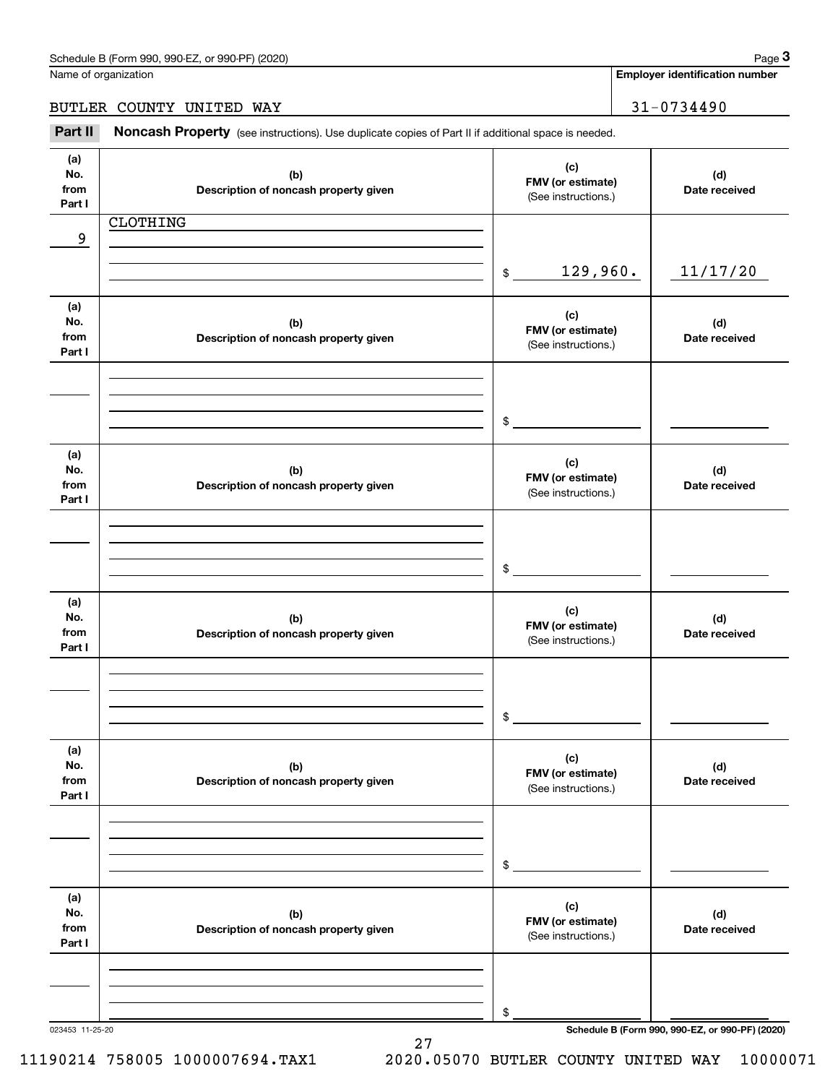**Employer identification number**

## BUTLER COUNTY UNITED WAY 31-0734490

(see instructions). Use duplicate copies of Part II if additional space is needed.<br> **3Part II Noncash Property** (see instructions). Use duplicate copies of Part II if additional space is needed.

| (a)<br>No.<br>from<br>Part I | (b)<br>Description of noncash property given | (c)<br>FMV (or estimate)<br>(See instructions.) | (d)<br>Date received                            |
|------------------------------|----------------------------------------------|-------------------------------------------------|-------------------------------------------------|
|                              | <b>CLOTHING</b>                              |                                                 |                                                 |
|                              |                                              |                                                 |                                                 |
| 9                            |                                              |                                                 |                                                 |
|                              |                                              |                                                 |                                                 |
|                              |                                              | 129,960.<br>$$\tilde$$                          | 11/17/20                                        |
|                              |                                              |                                                 |                                                 |
| (a)                          |                                              |                                                 |                                                 |
| No.                          |                                              | (c)                                             |                                                 |
|                              | (b)                                          | FMV (or estimate)                               | (d)                                             |
| from                         | Description of noncash property given        | (See instructions.)                             | Date received                                   |
| Part I                       |                                              |                                                 |                                                 |
|                              |                                              |                                                 |                                                 |
|                              |                                              |                                                 |                                                 |
|                              |                                              |                                                 |                                                 |
|                              |                                              |                                                 |                                                 |
|                              |                                              | $\mathsf{\$}$                                   |                                                 |
|                              |                                              |                                                 |                                                 |
| (a)                          |                                              | (c)                                             |                                                 |
| No.                          | (b)                                          |                                                 | (d)                                             |
| from                         | Description of noncash property given        | FMV (or estimate)                               | Date received                                   |
| Part I                       |                                              | (See instructions.)                             |                                                 |
|                              |                                              |                                                 |                                                 |
|                              |                                              |                                                 |                                                 |
|                              |                                              |                                                 |                                                 |
|                              |                                              |                                                 |                                                 |
|                              |                                              | $\mathsf{\$}$                                   |                                                 |
|                              |                                              |                                                 |                                                 |
| (a)                          |                                              |                                                 |                                                 |
| No.                          | (b)                                          | (c)                                             | (d)                                             |
| from                         |                                              | FMV (or estimate)                               |                                                 |
|                              | Description of noncash property given        | (See instructions.)                             | Date received                                   |
| Part I                       |                                              |                                                 |                                                 |
|                              |                                              |                                                 |                                                 |
|                              |                                              |                                                 |                                                 |
|                              |                                              |                                                 |                                                 |
|                              |                                              | \$                                              |                                                 |
|                              |                                              |                                                 |                                                 |
|                              |                                              |                                                 |                                                 |
| (a)                          |                                              | (c)                                             |                                                 |
| No.                          | (b)                                          | FMV (or estimate)                               | (d)                                             |
| from                         | Description of noncash property given        | (See instructions.)                             | Date received                                   |
| Part I                       |                                              |                                                 |                                                 |
|                              |                                              |                                                 |                                                 |
|                              |                                              |                                                 |                                                 |
|                              |                                              |                                                 |                                                 |
|                              |                                              |                                                 |                                                 |
|                              |                                              | \$                                              |                                                 |
|                              |                                              |                                                 |                                                 |
| (a)                          |                                              |                                                 |                                                 |
| No.                          | (b)                                          | (c)                                             | (d)                                             |
| from                         | Description of noncash property given        | FMV (or estimate)                               | Date received                                   |
| Part I                       |                                              | (See instructions.)                             |                                                 |
|                              |                                              |                                                 |                                                 |
|                              |                                              |                                                 |                                                 |
|                              |                                              |                                                 |                                                 |
|                              |                                              |                                                 |                                                 |
|                              |                                              | \$                                              |                                                 |
| 023453 11-25-20              |                                              |                                                 | Schedule B (Form 990, 990-EZ, or 990-PF) (2020) |

11190214 758005 1000007694.TAX1 2020.05070 BUTLER COUNTY UNITED WAY 10000071

27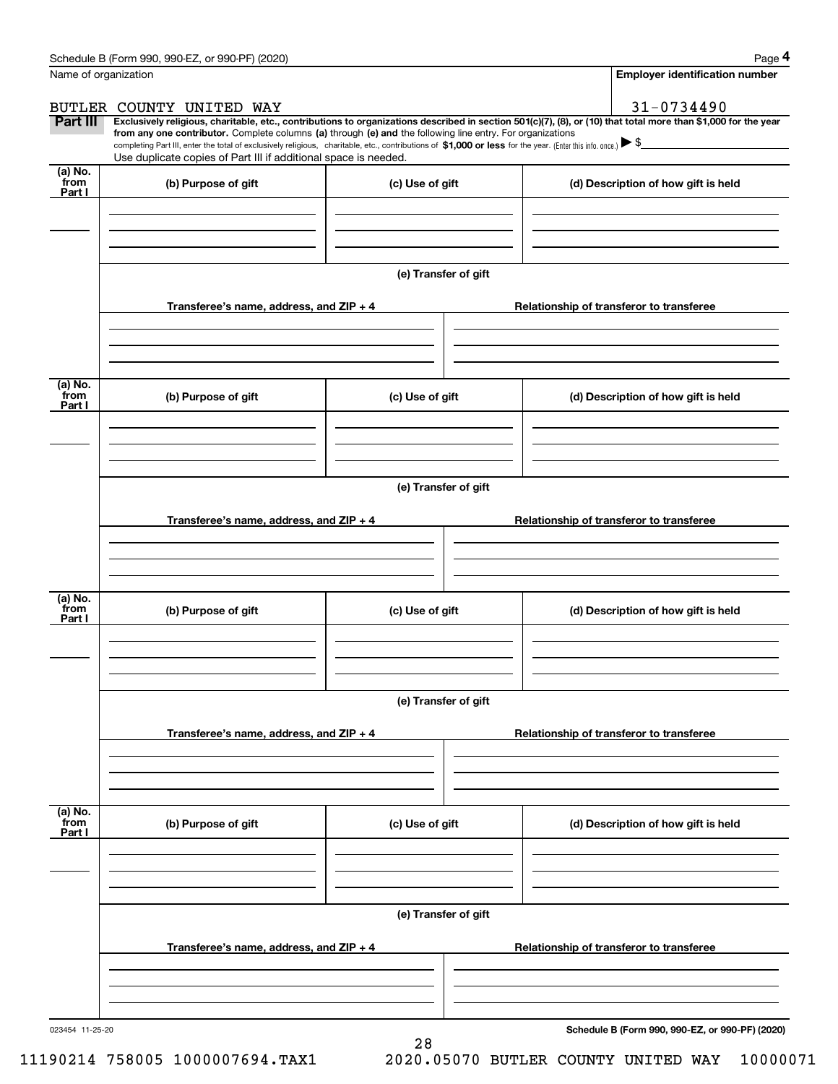|                           | Schedule B (Form 990, 990-EZ, or 990-PF) (2020)                                                                                                                                                                                                                                                 |                      |                                          |                                                                                                                                                                | Page 4 |
|---------------------------|-------------------------------------------------------------------------------------------------------------------------------------------------------------------------------------------------------------------------------------------------------------------------------------------------|----------------------|------------------------------------------|----------------------------------------------------------------------------------------------------------------------------------------------------------------|--------|
| Name of organization      |                                                                                                                                                                                                                                                                                                 |                      |                                          | <b>Employer identification number</b>                                                                                                                          |        |
|                           | BUTLER COUNTY UNITED WAY                                                                                                                                                                                                                                                                        |                      |                                          | 31-0734490                                                                                                                                                     |        |
| Part III                  | from any one contributor. Complete columns (a) through (e) and the following line entry. For organizations<br>completing Part III, enter the total of exclusively religious, charitable, etc., contributions of \$1,000 or less for the year. (Enter this info. once.) $\blacktriangleright$ \$ |                      |                                          | Exclusively religious, charitable, etc., contributions to organizations described in section 501(c)(7), (8), or (10) that total more than \$1,000 for the year |        |
|                           | Use duplicate copies of Part III if additional space is needed.                                                                                                                                                                                                                                 |                      |                                          |                                                                                                                                                                |        |
| (a) No.<br>from<br>Part I | (b) Purpose of gift                                                                                                                                                                                                                                                                             | (c) Use of gift      |                                          | (d) Description of how gift is held                                                                                                                            |        |
|                           |                                                                                                                                                                                                                                                                                                 |                      |                                          |                                                                                                                                                                |        |
|                           |                                                                                                                                                                                                                                                                                                 |                      |                                          |                                                                                                                                                                |        |
|                           |                                                                                                                                                                                                                                                                                                 | (e) Transfer of gift |                                          |                                                                                                                                                                |        |
|                           | Transferee's name, address, and ZIP + 4                                                                                                                                                                                                                                                         |                      |                                          | Relationship of transferor to transferee                                                                                                                       |        |
|                           |                                                                                                                                                                                                                                                                                                 |                      |                                          |                                                                                                                                                                |        |
| (a) No.<br>from<br>Part I | (b) Purpose of gift                                                                                                                                                                                                                                                                             | (c) Use of gift      |                                          | (d) Description of how gift is held                                                                                                                            |        |
|                           |                                                                                                                                                                                                                                                                                                 |                      |                                          |                                                                                                                                                                |        |
|                           |                                                                                                                                                                                                                                                                                                 |                      |                                          |                                                                                                                                                                |        |
|                           |                                                                                                                                                                                                                                                                                                 | (e) Transfer of gift |                                          |                                                                                                                                                                |        |
|                           | Transferee's name, address, and ZIP + 4                                                                                                                                                                                                                                                         |                      |                                          | Relationship of transferor to transferee                                                                                                                       |        |
|                           |                                                                                                                                                                                                                                                                                                 |                      |                                          |                                                                                                                                                                |        |
|                           |                                                                                                                                                                                                                                                                                                 |                      |                                          |                                                                                                                                                                |        |
| (a) No.<br>from<br>Part I | (b) Purpose of gift                                                                                                                                                                                                                                                                             | (c) Use of gift      |                                          | (d) Description of how gift is held                                                                                                                            |        |
|                           |                                                                                                                                                                                                                                                                                                 |                      |                                          |                                                                                                                                                                |        |
|                           |                                                                                                                                                                                                                                                                                                 |                      |                                          |                                                                                                                                                                |        |
|                           |                                                                                                                                                                                                                                                                                                 | (e) Transfer of gift |                                          |                                                                                                                                                                |        |
|                           | Transferee's name, address, and $ZIP + 4$                                                                                                                                                                                                                                                       |                      |                                          | Relationship of transferor to transferee                                                                                                                       |        |
|                           |                                                                                                                                                                                                                                                                                                 |                      |                                          |                                                                                                                                                                |        |
|                           |                                                                                                                                                                                                                                                                                                 |                      |                                          |                                                                                                                                                                |        |
| (a) No.<br>from<br>Part I | (b) Purpose of gift                                                                                                                                                                                                                                                                             | (c) Use of gift      |                                          | (d) Description of how gift is held                                                                                                                            |        |
|                           |                                                                                                                                                                                                                                                                                                 |                      |                                          |                                                                                                                                                                |        |
|                           |                                                                                                                                                                                                                                                                                                 |                      |                                          |                                                                                                                                                                |        |
|                           |                                                                                                                                                                                                                                                                                                 | (e) Transfer of gift |                                          |                                                                                                                                                                |        |
|                           | Transferee's name, address, and ZIP + 4                                                                                                                                                                                                                                                         |                      | Relationship of transferor to transferee |                                                                                                                                                                |        |
|                           |                                                                                                                                                                                                                                                                                                 |                      |                                          |                                                                                                                                                                |        |
|                           |                                                                                                                                                                                                                                                                                                 |                      |                                          |                                                                                                                                                                |        |

28

023454 11-25-20

**Schedule B (Form 990, 990-EZ, or 990-PF) (2020)**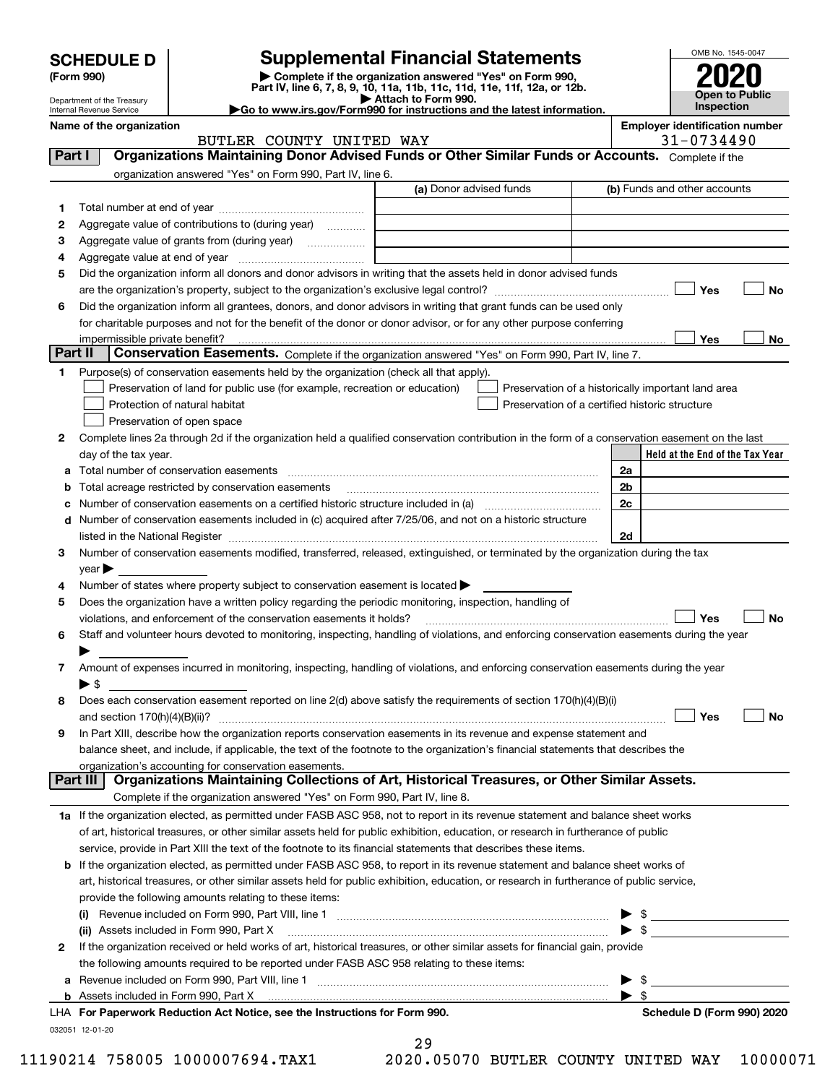|                                                                                  | <b>SCHEDULE D</b><br>(Form 990)<br>Department of the Treasury |                                                                                                                                                | <b>Supplemental Financial Statements</b><br>Complete if the organization answered "Yes" on Form 990,<br>Part IV, line 6, 7, 8, 9, 10, 11a, 11b, 11c, 11d, 11e, 11f, 12a, or 12b.<br>Attach to Form 990. |                                                     |                              | OMB No. 1545-0047<br>Open to Public<br><b>Inspection</b> |                                 |
|----------------------------------------------------------------------------------|---------------------------------------------------------------|------------------------------------------------------------------------------------------------------------------------------------------------|---------------------------------------------------------------------------------------------------------------------------------------------------------------------------------------------------------|-----------------------------------------------------|------------------------------|----------------------------------------------------------|---------------------------------|
| Internal Revenue Service<br>Name of the organization<br>BUTLER COUNTY UNITED WAY |                                                               |                                                                                                                                                | Go to www.irs.gov/Form990 for instructions and the latest information.                                                                                                                                  | <b>Employer identification number</b><br>31-0734490 |                              |                                                          |                                 |
| Part I                                                                           |                                                               | Organizations Maintaining Donor Advised Funds or Other Similar Funds or Accounts. Complete if the                                              |                                                                                                                                                                                                         |                                                     |                              |                                                          |                                 |
|                                                                                  |                                                               | organization answered "Yes" on Form 990, Part IV, line 6.                                                                                      |                                                                                                                                                                                                         |                                                     |                              |                                                          |                                 |
|                                                                                  |                                                               |                                                                                                                                                | (a) Donor advised funds                                                                                                                                                                                 |                                                     | (b) Funds and other accounts |                                                          |                                 |
| 1                                                                                |                                                               |                                                                                                                                                |                                                                                                                                                                                                         |                                                     |                              |                                                          |                                 |
| 2                                                                                |                                                               | Aggregate value of contributions to (during year)                                                                                              |                                                                                                                                                                                                         |                                                     |                              |                                                          |                                 |
| з                                                                                |                                                               |                                                                                                                                                |                                                                                                                                                                                                         |                                                     |                              |                                                          |                                 |
| 4                                                                                | Aggregate value at end of year                                |                                                                                                                                                |                                                                                                                                                                                                         |                                                     |                              |                                                          |                                 |
| 5                                                                                |                                                               | Did the organization inform all donors and donor advisors in writing that the assets held in donor advised funds                               |                                                                                                                                                                                                         |                                                     |                              |                                                          |                                 |
|                                                                                  |                                                               |                                                                                                                                                |                                                                                                                                                                                                         |                                                     |                              | Yes                                                      | No                              |
| 6                                                                                |                                                               | Did the organization inform all grantees, donors, and donor advisors in writing that grant funds can be used only                              |                                                                                                                                                                                                         |                                                     |                              |                                                          |                                 |
|                                                                                  |                                                               | for charitable purposes and not for the benefit of the donor or donor advisor, or for any other purpose conferring                             |                                                                                                                                                                                                         |                                                     |                              |                                                          |                                 |
|                                                                                  | impermissible private benefit?                                |                                                                                                                                                |                                                                                                                                                                                                         |                                                     |                              | Yes                                                      | No                              |
|                                                                                  | Part II                                                       | Conservation Easements. Complete if the organization answered "Yes" on Form 990, Part IV, line 7.                                              |                                                                                                                                                                                                         |                                                     |                              |                                                          |                                 |
| 1.                                                                               |                                                               | Purpose(s) of conservation easements held by the organization (check all that apply).                                                          |                                                                                                                                                                                                         |                                                     |                              |                                                          |                                 |
|                                                                                  |                                                               | Preservation of land for public use (for example, recreation or education)                                                                     | Preservation of a historically important land area                                                                                                                                                      |                                                     |                              |                                                          |                                 |
|                                                                                  |                                                               | Protection of natural habitat                                                                                                                  | Preservation of a certified historic structure                                                                                                                                                          |                                                     |                              |                                                          |                                 |
|                                                                                  |                                                               | Preservation of open space                                                                                                                     |                                                                                                                                                                                                         |                                                     |                              |                                                          |                                 |
| 2                                                                                |                                                               | Complete lines 2a through 2d if the organization held a qualified conservation contribution in the form of a conservation easement on the last |                                                                                                                                                                                                         |                                                     |                              |                                                          |                                 |
|                                                                                  | day of the tax year.                                          |                                                                                                                                                |                                                                                                                                                                                                         |                                                     |                              |                                                          | Held at the End of the Tax Year |
|                                                                                  |                                                               | Total number of conservation easements                                                                                                         |                                                                                                                                                                                                         | 2a                                                  |                              |                                                          |                                 |
|                                                                                  |                                                               | Total acreage restricted by conservation easements                                                                                             |                                                                                                                                                                                                         | 2b                                                  |                              |                                                          |                                 |
|                                                                                  |                                                               |                                                                                                                                                |                                                                                                                                                                                                         | 2c                                                  |                              |                                                          |                                 |
| d                                                                                |                                                               | Number of conservation easements included in (c) acquired after 7/25/06, and not on a historic structure                                       |                                                                                                                                                                                                         |                                                     |                              |                                                          |                                 |
|                                                                                  | listed in the National Register                               |                                                                                                                                                |                                                                                                                                                                                                         | 2d                                                  |                              |                                                          |                                 |
| 3                                                                                |                                                               | Number of conservation easements modified, transferred, released, extinguished, or terminated by the organization during the tax               |                                                                                                                                                                                                         |                                                     |                              |                                                          |                                 |
| 4                                                                                | $\vee$ ear                                                    | Number of states where property subject to conservation easement is located $\blacktriangleright$                                              |                                                                                                                                                                                                         |                                                     |                              |                                                          |                                 |
| 5                                                                                |                                                               | Does the organization have a written policy regarding the periodic monitoring, inspection, handling of                                         |                                                                                                                                                                                                         |                                                     |                              |                                                          |                                 |
|                                                                                  |                                                               | violations, and enforcement of the conservation easements it holds?                                                                            |                                                                                                                                                                                                         |                                                     |                              | Yes                                                      | No                              |
| 6                                                                                |                                                               | Staff and volunteer hours devoted to monitoring, inspecting, handling of violations, and enforcing conservation easements during the year      |                                                                                                                                                                                                         |                                                     |                              |                                                          |                                 |
|                                                                                  |                                                               |                                                                                                                                                |                                                                                                                                                                                                         |                                                     |                              |                                                          |                                 |
| 7                                                                                |                                                               | Amount of expenses incurred in monitoring, inspecting, handling of violations, and enforcing conservation easements during the year            |                                                                                                                                                                                                         |                                                     |                              |                                                          |                                 |
|                                                                                  | ▶ \$                                                          |                                                                                                                                                |                                                                                                                                                                                                         |                                                     |                              |                                                          |                                 |
| 8                                                                                |                                                               | Does each conservation easement reported on line 2(d) above satisfy the requirements of section 170(h)(4)(B)(i)                                |                                                                                                                                                                                                         |                                                     |                              |                                                          |                                 |
|                                                                                  | and section 170(h)(4)(B)(ii)?                                 |                                                                                                                                                |                                                                                                                                                                                                         |                                                     |                              | Yes                                                      | No                              |
| 9                                                                                |                                                               | In Part XIII, describe how the organization reports conservation easements in its revenue and expense statement and                            |                                                                                                                                                                                                         |                                                     |                              |                                                          |                                 |
|                                                                                  |                                                               | balance sheet, and include, if applicable, the text of the footnote to the organization's financial statements that describes the              |                                                                                                                                                                                                         |                                                     |                              |                                                          |                                 |
|                                                                                  |                                                               | organization's accounting for conservation easements.                                                                                          |                                                                                                                                                                                                         |                                                     |                              |                                                          |                                 |
|                                                                                  | Part III                                                      | Organizations Maintaining Collections of Art, Historical Treasures, or Other Similar Assets.                                                   |                                                                                                                                                                                                         |                                                     |                              |                                                          |                                 |
|                                                                                  |                                                               | Complete if the organization answered "Yes" on Form 990, Part IV, line 8.                                                                      |                                                                                                                                                                                                         |                                                     |                              |                                                          |                                 |
|                                                                                  |                                                               | 1a If the organization elected, as permitted under FASB ASC 958, not to report in its revenue statement and balance sheet works                |                                                                                                                                                                                                         |                                                     |                              |                                                          |                                 |
|                                                                                  |                                                               | of art, historical treasures, or other similar assets held for public exhibition, education, or research in furtherance of public              |                                                                                                                                                                                                         |                                                     |                              |                                                          |                                 |
|                                                                                  |                                                               | service, provide in Part XIII the text of the footnote to its financial statements that describes these items.                                 |                                                                                                                                                                                                         |                                                     |                              |                                                          |                                 |
|                                                                                  |                                                               | <b>b</b> If the organization elected, as permitted under FASB ASC 958, to report in its revenue statement and balance sheet works of           |                                                                                                                                                                                                         |                                                     |                              |                                                          |                                 |
|                                                                                  |                                                               |                                                                                                                                                |                                                                                                                                                                                                         |                                                     |                              |                                                          |                                 |

|   | art, historical treasures, or other similar assets held for public exhibition, education, or research in furtherance of public service, |                         |  |
|---|-----------------------------------------------------------------------------------------------------------------------------------------|-------------------------|--|
|   | provide the following amounts relating to these items:                                                                                  |                         |  |
|   | Revenue included on Form 990, Part VIII, line 1<br>(i)                                                                                  | $\blacktriangleright$ s |  |
|   | (ii) Assets included in Form 990, Part X [11] [12] Assets included in Form 990, Part X                                                  |                         |  |
| 2 | If the organization received or held works of art, historical treasures, or other similar assets for financial gain, provide            |                         |  |
|   | the following amounts required to be reported under FASB ASC 958 relating to these items:                                               |                         |  |
|   | a Revenue included on Form 990, Part VIII, line 1                                                                                       |                         |  |

**a**Revenue included on Form 990, Part VIII, line 1 ~~~~~~~~~~~~~~~~~~~~~~~~~~~~~~**b** Assets included in Form 990, Part X 

032051 12-01-20 **For Paperwork Reduction Act Notice, see the Instructions for Form 990. Schedule D (Form 990) 2020** LHA

29

11190214 758005 1000007694.TAX1 2020.05070 BUTLER COUNTY UNITED WAY 10000071

 $\blacktriangleright$  \$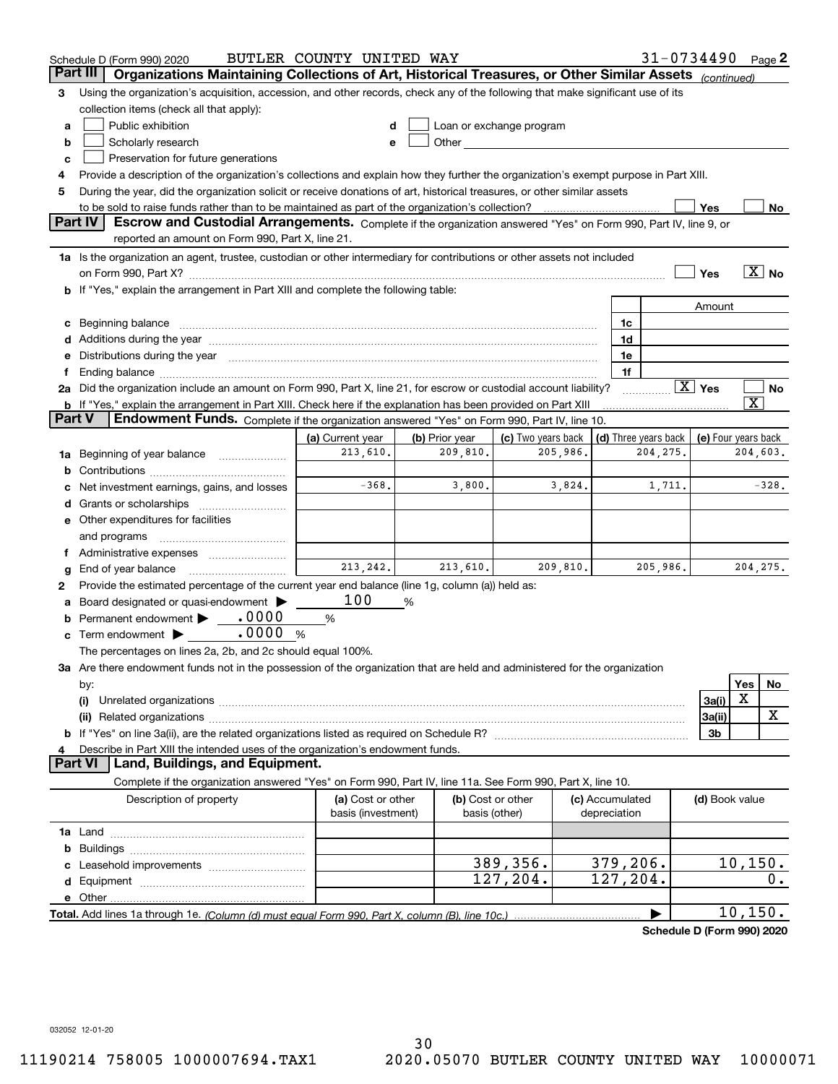|        | Schedule D (Form 990) 2020                                                                                                                                                                                                     | BUTLER COUNTY UNITED WAY |                |                          |          |                      | 31-0734490                 |                        |                                      | Page $2$                   |
|--------|--------------------------------------------------------------------------------------------------------------------------------------------------------------------------------------------------------------------------------|--------------------------|----------------|--------------------------|----------|----------------------|----------------------------|------------------------|--------------------------------------|----------------------------|
|        | Organizations Maintaining Collections of Art, Historical Treasures, or Other Similar Assets (continued)<br>Part III                                                                                                            |                          |                |                          |          |                      |                            |                        |                                      |                            |
| 3      | Using the organization's acquisition, accession, and other records, check any of the following that make significant use of its                                                                                                |                          |                |                          |          |                      |                            |                        |                                      |                            |
|        | collection items (check all that apply):                                                                                                                                                                                       |                          |                |                          |          |                      |                            |                        |                                      |                            |
| a      | Public exhibition                                                                                                                                                                                                              |                          |                | Loan or exchange program |          |                      |                            |                        |                                      |                            |
| b      | Scholarly research                                                                                                                                                                                                             | е                        |                |                          |          |                      |                            |                        |                                      |                            |
| c      | Preservation for future generations                                                                                                                                                                                            |                          |                |                          |          |                      |                            |                        |                                      |                            |
| 4      | Provide a description of the organization's collections and explain how they further the organization's exempt purpose in Part XIII.                                                                                           |                          |                |                          |          |                      |                            |                        |                                      |                            |
| 5      | During the year, did the organization solicit or receive donations of art, historical treasures, or other similar assets                                                                                                       |                          |                |                          |          |                      |                            |                        |                                      |                            |
|        | to be sold to raise funds rather than to be maintained as part of the organization's collection?                                                                                                                               |                          |                |                          |          |                      |                            | Yes                    |                                      | No                         |
|        | <b>Part IV</b><br>Escrow and Custodial Arrangements. Complete if the organization answered "Yes" on Form 990, Part IV, line 9, or                                                                                              |                          |                |                          |          |                      |                            |                        |                                      |                            |
|        | reported an amount on Form 990, Part X, line 21.                                                                                                                                                                               |                          |                |                          |          |                      |                            |                        |                                      |                            |
|        | 1a Is the organization an agent, trustee, custodian or other intermediary for contributions or other assets not included                                                                                                       |                          |                |                          |          |                      |                            |                        |                                      |                            |
|        | on Form 990, Part X? [11] matter contracts and contracts and contracts are contracted and contracts are contracted and contract and contract of the set of the set of the set of the set of the set of the set of the set of t |                          |                |                          |          |                      |                            | Yes                    |                                      | $\overline{\mathbf{X}}$ No |
|        | b If "Yes," explain the arrangement in Part XIII and complete the following table:                                                                                                                                             |                          |                |                          |          |                      |                            |                        |                                      |                            |
|        |                                                                                                                                                                                                                                |                          |                |                          |          |                      |                            | Amount                 |                                      |                            |
|        | Beginning balance                                                                                                                                                                                                              |                          |                |                          |          | 1c                   |                            |                        |                                      |                            |
|        | Additions during the year manufactured and an anti-manufactured and the year manufactured and all the year manufactured and all the year manufactured and all the year manufactured and all the year manufactured and all the  |                          |                |                          |          | 1d                   |                            |                        |                                      |                            |
|        | Distributions during the year manufactured and continuum and continuum and continuum and continuum and continuum                                                                                                               |                          |                |                          |          | 1e                   |                            |                        |                                      |                            |
|        |                                                                                                                                                                                                                                |                          |                |                          |          | 1f                   |                            |                        |                                      |                            |
|        | 2a Did the organization include an amount on Form 990, Part X, line 21, for escrow or custodial account liability?                                                                                                             |                          |                |                          |          |                      |                            | $\boxed{\text{X}}$ Yes |                                      | No                         |
|        | <b>b</b> If "Yes," explain the arrangement in Part XIII. Check here if the explanation has been provided on Part XIII                                                                                                          |                          |                |                          |          |                      |                            |                        | $\overline{\textnormal{\textbf{x}}}$ |                            |
| Part V | <b>Endowment Funds.</b> Complete if the organization answered "Yes" on Form 990, Part IV, line 10.                                                                                                                             |                          |                |                          |          |                      |                            |                        |                                      |                            |
|        |                                                                                                                                                                                                                                | (a) Current year         | (b) Prior year | (c) Two years back       |          | (d) Three years back |                            | (e) Four years back    |                                      |                            |
| 1a     | Beginning of year balance                                                                                                                                                                                                      | 213,610.                 | 209,810.       |                          | 205,986. |                      | 204, 275.                  |                        | 204,603.                             |                            |
| b      |                                                                                                                                                                                                                                |                          |                |                          |          |                      |                            |                        |                                      |                            |
|        | Net investment earnings, gains, and losses                                                                                                                                                                                     | $-368.$                  | 3,800.         |                          | 3,824.   |                      | 1,711.                     |                        |                                      | $-328.$                    |
|        | Grants or scholarships                                                                                                                                                                                                         |                          |                |                          |          |                      |                            |                        |                                      |                            |
|        | Other expenditures for facilities                                                                                                                                                                                              |                          |                |                          |          |                      |                            |                        |                                      |                            |
|        | and programs                                                                                                                                                                                                                   |                          |                |                          |          |                      |                            |                        |                                      |                            |
|        | Administrative expenses                                                                                                                                                                                                        |                          |                |                          |          |                      |                            |                        |                                      |                            |
| g      | End of year balance                                                                                                                                                                                                            | 213, 242.                | 213,610.       |                          | 209,810. |                      | 205,986.                   |                        | 204, 275.                            |                            |
| 2      | Provide the estimated percentage of the current year end balance (line 1g, column (a)) held as:                                                                                                                                |                          |                |                          |          |                      |                            |                        |                                      |                            |
|        | Board designated or quasi-endowment                                                                                                                                                                                            | 100                      | %              |                          |          |                      |                            |                        |                                      |                            |
| b      | Permanent endowment > 0000                                                                                                                                                                                                     | %                        |                |                          |          |                      |                            |                        |                                      |                            |
| с      | .0000<br>Term endowment $\blacktriangleright$                                                                                                                                                                                  | %                        |                |                          |          |                      |                            |                        |                                      |                            |
|        | The percentages on lines 2a, 2b, and 2c should equal 100%.                                                                                                                                                                     |                          |                |                          |          |                      |                            |                        |                                      |                            |
|        | 3a Are there endowment funds not in the possession of the organization that are held and administered for the organization                                                                                                     |                          |                |                          |          |                      |                            |                        |                                      |                            |
|        | by:                                                                                                                                                                                                                            |                          |                |                          |          |                      |                            |                        | Yes                                  | No                         |
|        | (i)                                                                                                                                                                                                                            |                          |                |                          |          |                      |                            | 3a(i)                  | X                                    |                            |
|        |                                                                                                                                                                                                                                |                          |                |                          |          |                      |                            | 3a(ii)                 |                                      | х                          |
|        |                                                                                                                                                                                                                                |                          |                |                          |          |                      |                            | 3b                     |                                      |                            |
|        | Describe in Part XIII the intended uses of the organization's endowment funds.                                                                                                                                                 |                          |                |                          |          |                      |                            |                        |                                      |                            |
|        | Land, Buildings, and Equipment.<br>Part VI                                                                                                                                                                                     |                          |                |                          |          |                      |                            |                        |                                      |                            |
|        | Complete if the organization answered "Yes" on Form 990, Part IV, line 11a. See Form 990, Part X, line 10.                                                                                                                     |                          |                |                          |          |                      |                            |                        |                                      |                            |
|        | Description of property                                                                                                                                                                                                        | (a) Cost or other        |                | (b) Cost or other        |          | (c) Accumulated      |                            | (d) Book value         |                                      |                            |
|        |                                                                                                                                                                                                                                | basis (investment)       |                | basis (other)            |          | depreciation         |                            |                        |                                      |                            |
|        |                                                                                                                                                                                                                                |                          |                |                          |          |                      |                            |                        |                                      |                            |
| b      |                                                                                                                                                                                                                                |                          |                |                          |          |                      |                            |                        |                                      |                            |
|        |                                                                                                                                                                                                                                |                          |                | 389,356.                 |          | 379,206.             |                            |                        | 10, 150.                             |                            |
| d      |                                                                                                                                                                                                                                |                          |                | 127, 204.                |          | 127, 204.            |                            |                        |                                      | 0.                         |
|        | e Other.                                                                                                                                                                                                                       |                          |                |                          |          |                      |                            |                        |                                      |                            |
|        |                                                                                                                                                                                                                                |                          |                |                          |          |                      |                            |                        | 10, 150.                             |                            |
|        |                                                                                                                                                                                                                                |                          |                |                          |          |                      | Schedule D (Form 990) 2020 |                        |                                      |                            |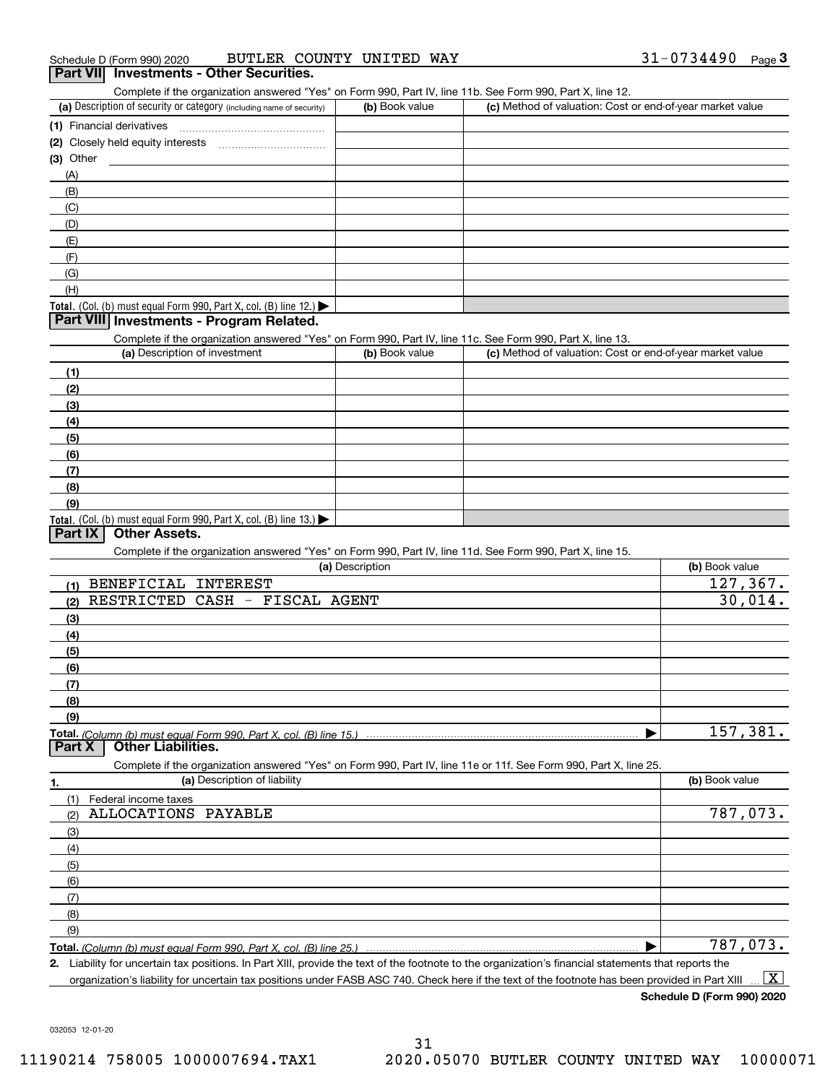Complete if the organization answered "Yes" on Form 990, Part IV, line 11b. See Form 990, Part X, line 12.

| (a) Description of security or category (including name of security)                   | (b) Book value | (c) Method of valuation: Cost or end-of-year market value |
|----------------------------------------------------------------------------------------|----------------|-----------------------------------------------------------|
| (1) Financial derivatives                                                              |                |                                                           |
| (2) Closely held equity interests<br>                                                  |                |                                                           |
| $(3)$ Other                                                                            |                |                                                           |
| (A)                                                                                    |                |                                                           |
| (B)                                                                                    |                |                                                           |
| (C)                                                                                    |                |                                                           |
| (D)                                                                                    |                |                                                           |
| (E)                                                                                    |                |                                                           |
| (F)                                                                                    |                |                                                           |
| (G)                                                                                    |                |                                                           |
| (H)                                                                                    |                |                                                           |
| Total. (Col. (b) must equal Form 990, Part X, col. (B) line 12.) $\blacktriangleright$ |                |                                                           |

### **Part VIII Investments - Program Related.**

Complete if the organization answered "Yes" on Form 990, Part IV, line 11c. See Form 990, Part X, line 13.

| (a) Description of investment                                                                 | (b) Book value | (c) Method of valuation: Cost or end-of-year market value |
|-----------------------------------------------------------------------------------------------|----------------|-----------------------------------------------------------|
| (1)                                                                                           |                |                                                           |
| (2)                                                                                           |                |                                                           |
| (3)                                                                                           |                |                                                           |
| (4)                                                                                           |                |                                                           |
| $\frac{1}{2}$                                                                                 |                |                                                           |
| (6)                                                                                           |                |                                                           |
| (7)                                                                                           |                |                                                           |
| (8)                                                                                           |                |                                                           |
| (9)                                                                                           |                |                                                           |
| <b>Total.</b> (Col. (b) must equal Form 990, Part X, col. (B) line 13.) $\blacktriangleright$ |                |                                                           |

## **Part IX Other Assets.**

Complete if the organization answered "Yes" on Form 990, Part IV, line 11d. See Form 990, Part X, line 15.

| (a) Description                                                                                                   | (b) Book value |
|-------------------------------------------------------------------------------------------------------------------|----------------|
| BENEFICIAL INTEREST<br>(1)                                                                                        | 127, 367.      |
| RESTRICTED CASH - FISCAL AGENT<br>(2)                                                                             | 30,014.        |
| (3)                                                                                                               |                |
| (4)                                                                                                               |                |
| (5)                                                                                                               |                |
| (6)                                                                                                               |                |
| (7)                                                                                                               |                |
| (8)                                                                                                               |                |
| (9)                                                                                                               |                |
|                                                                                                                   | 157,381.       |
| <b>Other Liabilities.</b><br>Part X                                                                               |                |
| Complete if the organization answered "Yes" on Form 990, Part IV, line 11e or 11f. See Form 990, Part X, line 25. |                |
| (a) Description of liability<br>1.                                                                                | (b) Book value |
|                                                                                                                   |                |

| (1)<br>Federal income taxes |          |
|-----------------------------|----------|
| ALLOCATIONS PAYABLE<br>(2)  | 787,073. |
| (3)                         |          |
| (4)                         |          |
| $\frac{1}{2}$               |          |
| (6)                         |          |
| (7)                         |          |
| (8)                         |          |
| (9)                         |          |
|                             | 787,073. |

**Total.**  *(Column (b) must equal Form 990, Part X, col. (B) line 25.)* 

**2.** Liability for uncertain tax positions. In Part XIII, provide the text of the footnote to the organization's financial statements that reports the organization's liability for uncertain tax positions under FASB ASC 740. Check here if the text of the footnote has been provided in Part XIII  $\boxed{\text{X}}$ 

**Schedule D (Form 990) 2020**

032053 12-01-20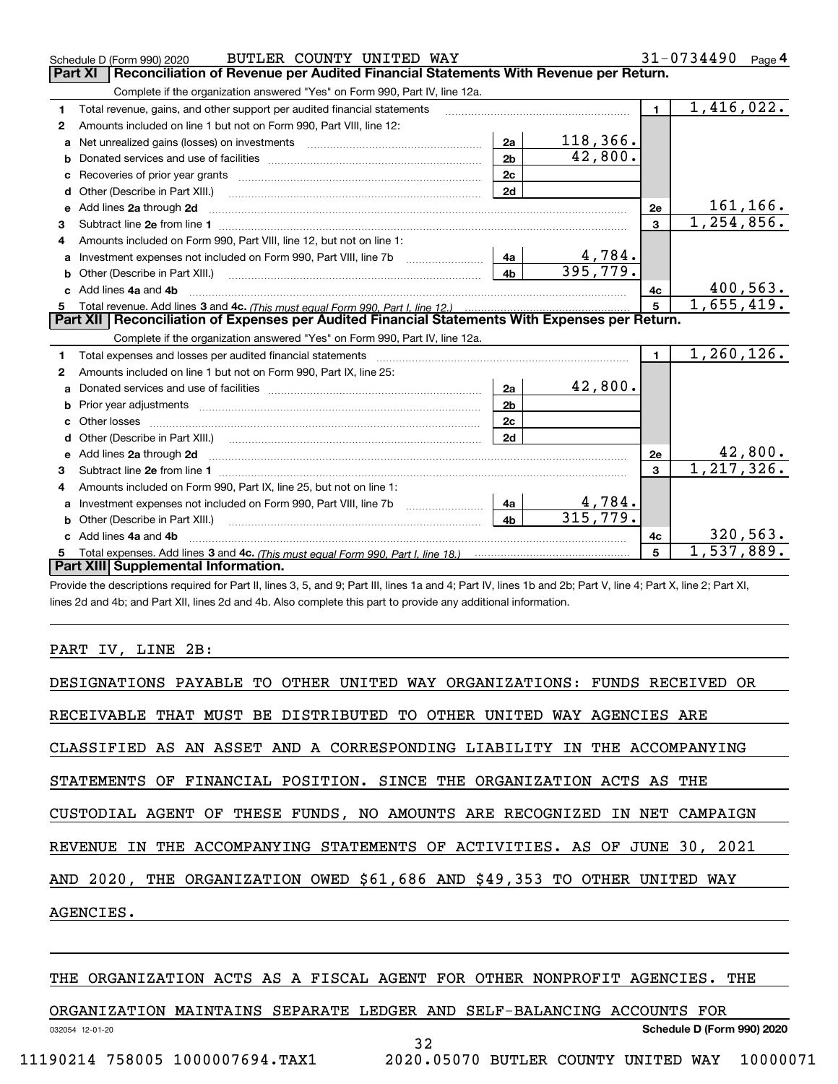|    | BUTLER COUNTY UNITED WAY<br>Schedule D (Form 990) 2020                                                                                                                                                                         |                |               |                | 31-0734490<br>Page 4 |
|----|--------------------------------------------------------------------------------------------------------------------------------------------------------------------------------------------------------------------------------|----------------|---------------|----------------|----------------------|
|    | Part XI<br>Reconciliation of Revenue per Audited Financial Statements With Revenue per Return.                                                                                                                                 |                |               |                |                      |
|    | Complete if the organization answered "Yes" on Form 990, Part IV, line 12a.                                                                                                                                                    |                |               |                |                      |
| 1  | Total revenue, gains, and other support per audited financial statements                                                                                                                                                       |                |               | $\blacksquare$ | 1,416,022.           |
| 2  | Amounts included on line 1 but not on Form 990, Part VIII, line 12:                                                                                                                                                            |                |               |                |                      |
| a  |                                                                                                                                                                                                                                | 2a             | 118, 366.     |                |                      |
|    |                                                                                                                                                                                                                                | 2 <sub>b</sub> | 42,800.       |                |                      |
| c  | Recoveries of prior year grants [111] Recoveries of prior year grants [11] Masseum Marchantel Marchantel March                                                                                                                 | 2c             |               |                |                      |
| d  |                                                                                                                                                                                                                                | 2d             |               |                |                      |
| е  | Add lines 2a through 2d                                                                                                                                                                                                        |                |               | 2e             | 161, 166.            |
| 3  |                                                                                                                                                                                                                                |                |               | $\overline{3}$ | 1, 254, 856.         |
| 4  | Amounts included on Form 990, Part VIII, line 12, but not on line 1:                                                                                                                                                           |                |               |                |                      |
|    |                                                                                                                                                                                                                                |                | <u>4,784.</u> |                |                      |
| b  |                                                                                                                                                                                                                                | 4 <sub>h</sub> | 395,779.      |                |                      |
|    | Add lines 4a and 4b                                                                                                                                                                                                            |                |               | 4c             | 400,563.             |
|    |                                                                                                                                                                                                                                |                |               | 5              | 1,655,419.           |
|    |                                                                                                                                                                                                                                |                |               |                |                      |
|    | Part XII   Reconciliation of Expenses per Audited Financial Statements With Expenses per Return.                                                                                                                               |                |               |                |                      |
|    | Complete if the organization answered "Yes" on Form 990, Part IV, line 12a.                                                                                                                                                    |                |               |                |                      |
| 1. | Total expenses and losses per audited financial statements [11] [12] contraction control in the statements [11] [12] and the statements [12] and the statements [12] and the statements [12] and the statements [12] and the s |                |               | $\mathbf{1}$   | 1, 260, 126.         |
| 2  | Amounts included on line 1 but not on Form 990, Part IX, line 25:                                                                                                                                                              |                |               |                |                      |
| a  |                                                                                                                                                                                                                                | 2a             | 42,800.       |                |                      |
| b  |                                                                                                                                                                                                                                | 2 <sub>b</sub> |               |                |                      |
| c  |                                                                                                                                                                                                                                | 2c             |               |                |                      |
|    | Other (Describe in Part XIII.) (2000) (2000) (2000) (2010) (2010) (2010) (2010) (2010) (2010) (2010) (2010) (20                                                                                                                | 2d             |               |                |                      |
|    |                                                                                                                                                                                                                                |                |               | 2e             | 42,800.              |
| 3  |                                                                                                                                                                                                                                |                |               | $\mathbf{3}$   | 1, 217, 326.         |
| 4  | Amounts included on Form 990, Part IX, line 25, but not on line 1:                                                                                                                                                             |                |               |                |                      |
| a  | Investment expenses not included on Form 990, Part VIII, line 7b [1000000000000000000000000000000000                                                                                                                           | 4a             | 4,784.        |                |                      |
|    |                                                                                                                                                                                                                                | 4 <sub>b</sub> | 315,779.      |                |                      |
|    | Add lines 4a and 4b                                                                                                                                                                                                            |                |               | 4c             | 320, 563.            |
|    | Part XIII Supplemental Information.                                                                                                                                                                                            |                |               | 5              | 1,537,889.           |

Provide the descriptions required for Part II, lines 3, 5, and 9; Part III, lines 1a and 4; Part IV, lines 1b and 2b; Part V, line 4; Part X, line 2; Part XI, lines 2d and 4b; and Part XII, lines 2d and 4b. Also complete this part to provide any additional information.

## PART IV, LINE 2B:

| DESIGNATIONS PAYABLE TO OTHER UNITED WAY ORGANIZATIONS: FUNDS RECEIVED OR |
|---------------------------------------------------------------------------|
| RECEIVABLE THAT MUST BE DISTRIBUTED TO OTHER UNITED WAY AGENCIES ARE      |
| CLASSIFIED AS AN ASSET AND A CORRESPONDING LIABILITY IN THE ACCOMPANYING  |
| STATEMENTS OF FINANCIAL POSITION. SINCE THE ORGANIZATION ACTS AS THE      |
| CUSTODIAL AGENT OF THESE FUNDS, NO AMOUNTS ARE RECOGNIZED IN NET CAMPAIGN |
| REVENUE IN THE ACCOMPANYING STATEMENTS OF ACTIVITIES. AS OF JUNE 30, 2021 |
| AND 2020, THE ORGANIZATION OWED \$61,686 AND \$49,353 TO OTHER UNITED WAY |
| AGENCIES.                                                                 |
|                                                                           |

## THE ORGANIZATION ACTS AS A FISCAL AGENT FOR OTHER NONPROFIT AGENCIES. THE

ORGANIZATION MAINTAINS SEPARATE LEDGER AND SELF-BALANCING ACCOUNTS FOR

**Schedule D (Form 990) 2020**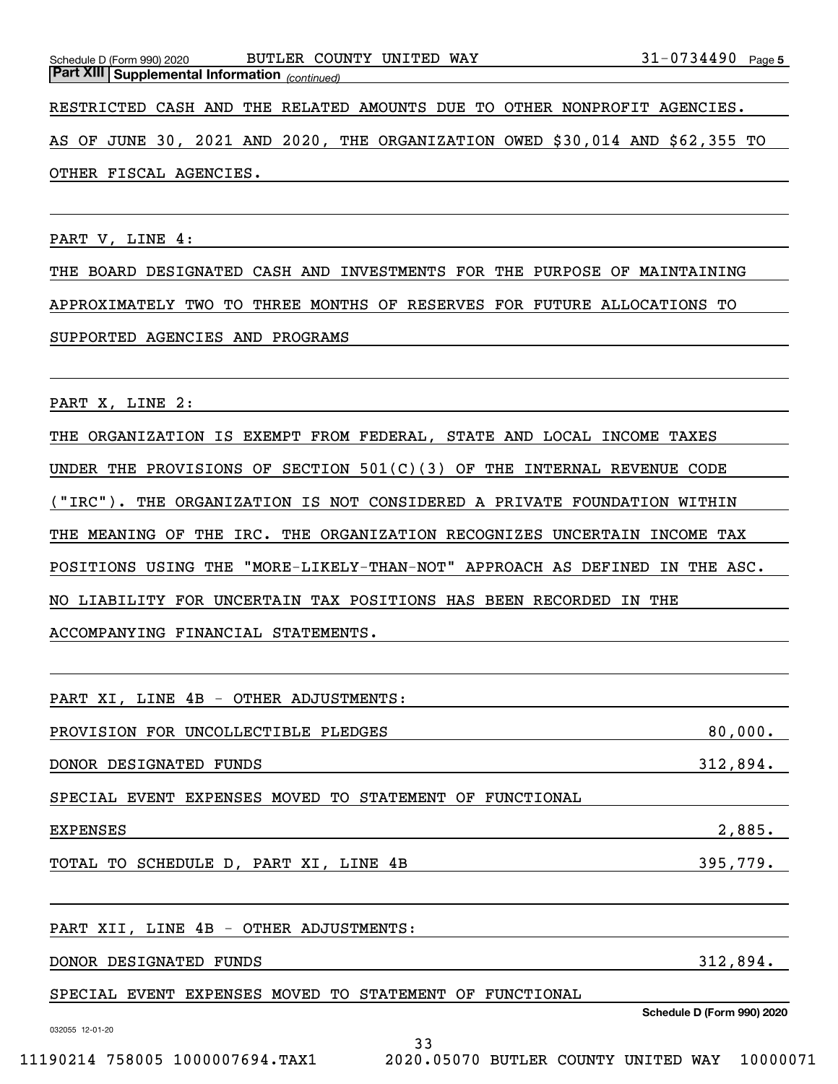*(continued)* **Part XIII Supplemental Information** 

RESTRICTED CASH AND THE RELATED AMOUNTS DUE TO OTHER NONPROFIT AGENCIES.

AS OF JUNE 30, 2021 AND 2020, THE ORGANIZATION OWED \$30,014 AND \$62,355 TO OTHER FISCAL AGENCIES.

PART V, LINE 4:

THE BOARD DESIGNATED CASH AND INVESTMENTS FOR THE PURPOSE OF MAINTAINING APPROXIMATELY TWO TO THREE MONTHS OF RESERVES FOR FUTURE ALLOCATIONS TO SUPPORTED AGENCIES AND PROGRAMS

PART X, LINE 2:

THE ORGANIZATION IS EXEMPT FROM FEDERAL, STATE AND LOCAL INCOME TAXES UNDER THE PROVISIONS OF SECTION 501(C)(3) OF THE INTERNAL REVENUE CODE ("IRC"). THE ORGANIZATION IS NOT CONSIDERED A PRIVATE FOUNDATION WITHIN THE MEANING OF THE IRC. THE ORGANIZATION RECOGNIZES UNCERTAIN INCOME TAX POSITIONS USING THE "MORE-LIKELY-THAN-NOT" APPROACH AS DEFINED IN THE ASC. NO LIABILITY FOR UNCERTAIN TAX POSITIONS HAS BEEN RECORDED IN THE ACCOMPANYING FINANCIAL STATEMENTS.

PART XI, LINE 4B - OTHER ADJUSTMENTS:

PROVISION FOR UNCOLLECTIBLE PLEDGES 80,000.

DONOR DESIGNATED FUNDS 312,894.

SPECIAL EVENT EXPENSES MOVED TO STATEMENT OF FUNCTIONAL

| ____<br>.<br>.<br>---- |  |
|------------------------|--|
|                        |  |

TOTAL TO SCHEDULE D, PART XI, LINE 4B 395,779.

PART XII, LINE 4B - OTHER ADJUSTMENTS:

DONOR DESIGNATED FUNDS 312,894.

SPECIAL EVENT EXPENSES MOVED TO STATEMENT OF FUNCTIONAL

**Schedule D (Form 990) 2020**

032055 12-01-20

11190214 758005 1000007694.TAX1 2020.05070 BUTLER COUNTY UNITED WAY 10000071

33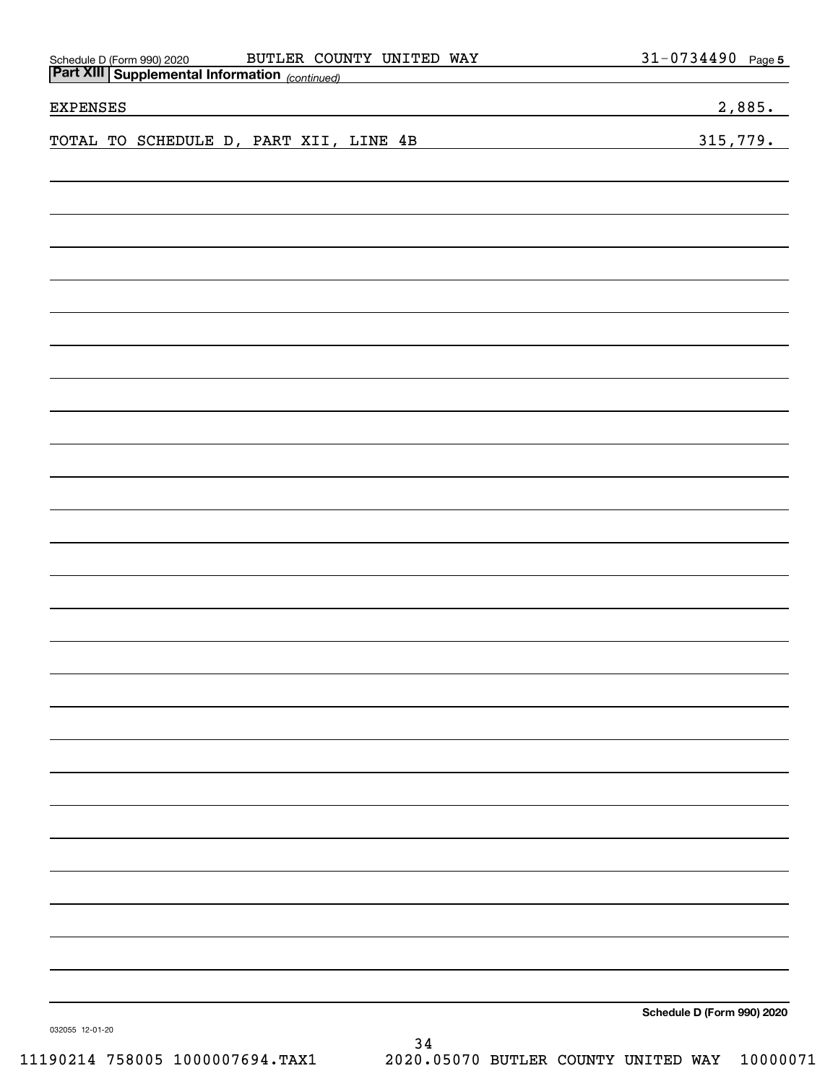| BUTLER COUNTY UNITED WAY                                                                 | 31-0734490 Page 5                                                                                                     |
|------------------------------------------------------------------------------------------|-----------------------------------------------------------------------------------------------------------------------|
| Schedule D (Form 990) 2020 BUTLER COUI<br>Part XIII Supplemental Information (continued) |                                                                                                                       |
| <b>EXPENSES</b><br>the contract of the contract of the contract of                       | 2,885.                                                                                                                |
| TOTAL TO SCHEDULE D, PART XII, LINE 4B                                                   | 315,779.                                                                                                              |
|                                                                                          | <u> 1980 - Johann Barn, mars eta bainar eta industrial eta baina eta baina eta baina eta baina eta baina eta bain</u> |
|                                                                                          |                                                                                                                       |
|                                                                                          |                                                                                                                       |
|                                                                                          |                                                                                                                       |
|                                                                                          |                                                                                                                       |
|                                                                                          |                                                                                                                       |
|                                                                                          |                                                                                                                       |
|                                                                                          |                                                                                                                       |
|                                                                                          |                                                                                                                       |
|                                                                                          |                                                                                                                       |
|                                                                                          |                                                                                                                       |
|                                                                                          |                                                                                                                       |
|                                                                                          |                                                                                                                       |
|                                                                                          |                                                                                                                       |
|                                                                                          |                                                                                                                       |
|                                                                                          |                                                                                                                       |
|                                                                                          |                                                                                                                       |
|                                                                                          |                                                                                                                       |
|                                                                                          |                                                                                                                       |
|                                                                                          |                                                                                                                       |
|                                                                                          |                                                                                                                       |
|                                                                                          |                                                                                                                       |
|                                                                                          |                                                                                                                       |
|                                                                                          |                                                                                                                       |
|                                                                                          |                                                                                                                       |
|                                                                                          |                                                                                                                       |
|                                                                                          |                                                                                                                       |
|                                                                                          |                                                                                                                       |
|                                                                                          |                                                                                                                       |
|                                                                                          |                                                                                                                       |
|                                                                                          |                                                                                                                       |
|                                                                                          |                                                                                                                       |
|                                                                                          |                                                                                                                       |
|                                                                                          |                                                                                                                       |
|                                                                                          |                                                                                                                       |
|                                                                                          |                                                                                                                       |
|                                                                                          |                                                                                                                       |
|                                                                                          |                                                                                                                       |
|                                                                                          |                                                                                                                       |
|                                                                                          |                                                                                                                       |
|                                                                                          |                                                                                                                       |
|                                                                                          |                                                                                                                       |
|                                                                                          |                                                                                                                       |
|                                                                                          | Schedule D (Form 990) 2020                                                                                            |
| 032055 12-01-20<br>$\sim$                                                                |                                                                                                                       |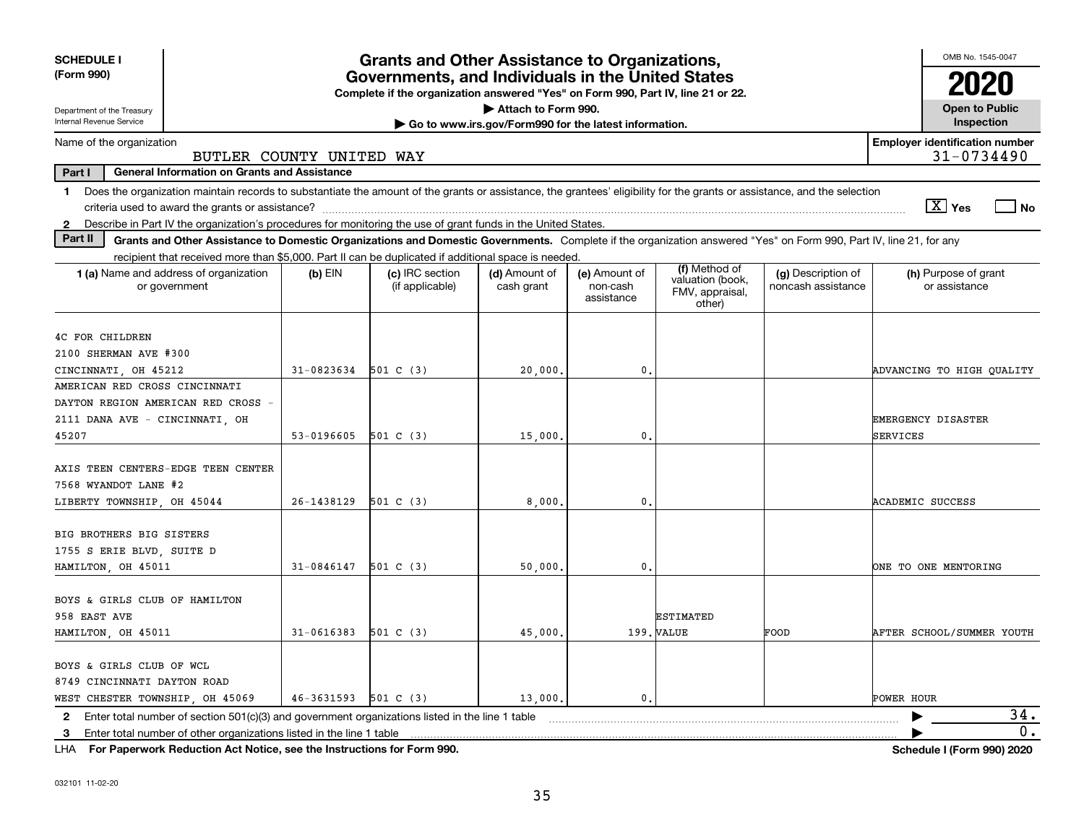| <b>SCHEDULE I</b><br><b>Grants and Other Assistance to Organizations,</b><br>(Form 990)<br>Governments, and Individuals in the United States<br>Complete if the organization answered "Yes" on Form 990, Part IV, line 21 or 22. |                     |                                    |                                                       |                                         |                                               |                                          |                                       |  |
|----------------------------------------------------------------------------------------------------------------------------------------------------------------------------------------------------------------------------------|---------------------|------------------------------------|-------------------------------------------------------|-----------------------------------------|-----------------------------------------------|------------------------------------------|---------------------------------------|--|
| Department of the Treasury                                                                                                                                                                                                       | Attach to Form 990. |                                    |                                                       |                                         |                                               | <b>Open to Public</b>                    |                                       |  |
| Internal Revenue Service                                                                                                                                                                                                         |                     |                                    | Go to www.irs.gov/Form990 for the latest information. |                                         |                                               |                                          | Inspection                            |  |
| <b>Employer identification number</b><br>Name of the organization<br>31-0734490<br>BUTLER COUNTY UNITED WAY                                                                                                                      |                     |                                    |                                                       |                                         |                                               |                                          |                                       |  |
| Part I<br><b>General Information on Grants and Assistance</b>                                                                                                                                                                    |                     |                                    |                                                       |                                         |                                               |                                          |                                       |  |
| Does the organization maintain records to substantiate the amount of the grants or assistance, the grantees' eligibility for the grants or assistance, and the selection<br>1.                                                   |                     |                                    |                                                       |                                         |                                               |                                          | $\boxed{\text{X}}$ Yes<br>  No        |  |
| Describe in Part IV the organization's procedures for monitoring the use of grant funds in the United States.<br>$\mathbf{2}$                                                                                                    |                     |                                    |                                                       |                                         |                                               |                                          |                                       |  |
| Part II<br>Grants and Other Assistance to Domestic Organizations and Domestic Governments. Complete if the organization answered "Yes" on Form 990, Part IV, line 21, for any                                                    |                     |                                    |                                                       |                                         |                                               |                                          |                                       |  |
| recipient that received more than \$5,000. Part II can be duplicated if additional space is needed.                                                                                                                              |                     |                                    |                                                       |                                         | (f) Method of                                 |                                          |                                       |  |
| 1 (a) Name and address of organization<br>or government                                                                                                                                                                          | $(b)$ EIN           | (c) IRC section<br>(if applicable) | (d) Amount of<br>cash grant                           | (e) Amount of<br>non-cash<br>assistance | valuation (book,<br>FMV, appraisal,<br>other) | (g) Description of<br>noncash assistance | (h) Purpose of grant<br>or assistance |  |
| 4C FOR CHILDREN                                                                                                                                                                                                                  |                     |                                    |                                                       |                                         |                                               |                                          |                                       |  |
| 2100 SHERMAN AVE #300                                                                                                                                                                                                            |                     |                                    |                                                       |                                         |                                               |                                          |                                       |  |
| CINCINNATI OH 45212                                                                                                                                                                                                              | 31-0823634          | 501 C (3)                          | 20,000.                                               | 0.                                      |                                               |                                          | ADVANCING TO HIGH OUALITY             |  |
| AMERICAN RED CROSS CINCINNATI                                                                                                                                                                                                    |                     |                                    |                                                       |                                         |                                               |                                          |                                       |  |
| DAYTON REGION AMERICAN RED CROSS -                                                                                                                                                                                               |                     |                                    |                                                       |                                         |                                               |                                          |                                       |  |
| 2111 DANA AVE - CINCINNATI, OH                                                                                                                                                                                                   |                     |                                    |                                                       |                                         |                                               |                                          | <b>EMERGENCY DISASTER</b>             |  |
| 45207                                                                                                                                                                                                                            | 53-0196605          | 501 C(3)                           | 15,000.                                               | $\mathfrak{o}$ .                        |                                               |                                          | <b>SERVICES</b>                       |  |
| AXIS TEEN CENTERS-EDGE TEEN CENTER<br>7568 WYANDOT LANE #2                                                                                                                                                                       |                     |                                    |                                                       |                                         |                                               |                                          |                                       |  |
| LIBERTY TOWNSHIP, OH 45044                                                                                                                                                                                                       | 26-1438129          | 501 C (3)                          | 8,000,                                                | 0.                                      |                                               |                                          | <b>ACADEMIC SUCCESS</b>               |  |
| BIG BROTHERS BIG SISTERS<br>1755 S ERIE BLVD, SUITE D<br>HAMILTON, OH 45011                                                                                                                                                      | 31-0846147          | 501 C(3)                           | 50,000                                                | $\mathbf{0}$ .                          |                                               |                                          | ONE TO ONE MENTORING                  |  |
| BOYS & GIRLS CLUB OF HAMILTON<br>958 EAST AVE<br>HAMILTON, OH 45011                                                                                                                                                              | 31-0616383          | 501 C (3)                          | 45,000                                                |                                         | <b>ESTIMATED</b><br>199. VALUE                | FOOD                                     | AFTER SCHOOL/SUMMER YOUTH             |  |
| BOYS & GIRLS CLUB OF WCL<br>8749 CINCINNATI DAYTON ROAD<br>WEST CHESTER TOWNSHIP, OH 45069                                                                                                                                       | 46-3631593          | 501 C (3)                          | 13,000.                                               | 0.                                      |                                               |                                          | POWER HOUR                            |  |
| Enter total number of section 501(c)(3) and government organizations listed in the line 1 table<br>2                                                                                                                             |                     |                                    |                                                       |                                         |                                               |                                          | 34.                                   |  |
| Enter total number of other organizations listed in the line 1 table<br>3                                                                                                                                                        |                     |                                    |                                                       |                                         |                                               |                                          | 0.                                    |  |
|                                                                                                                                                                                                                                  |                     |                                    |                                                       |                                         |                                               |                                          |                                       |  |

**For Paperwork Reduction Act Notice, see the Instructions for Form 990. Schedule I (Form 990) 2020** LHA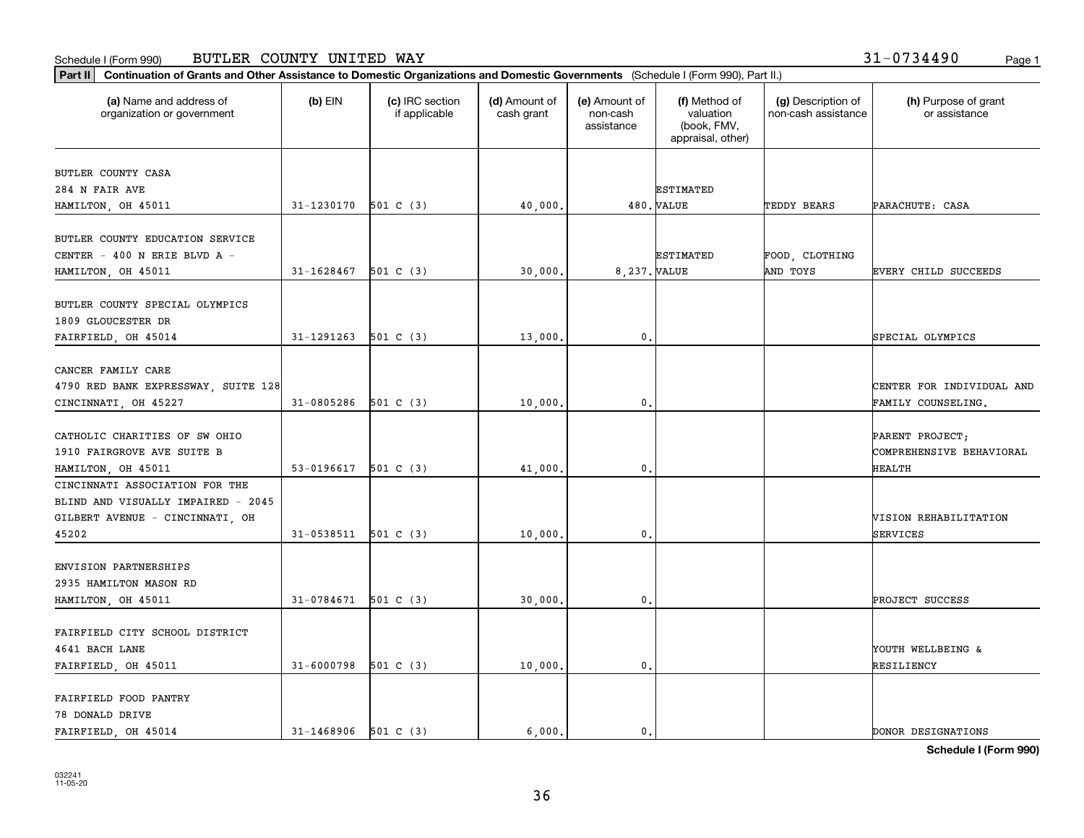### Schedule I (Form 990) BUTLER COUNTY UNITED WAY 31-0734490 <sub>Page 1</sub>

| Part II   Continuation of Grants and Other Assistance to Domestic Organizations and Domestic Governments (Schedule I (Form 990), Part II.) |                          |                                  |                             |                                         |                                                                |                                           |                                       |
|--------------------------------------------------------------------------------------------------------------------------------------------|--------------------------|----------------------------------|-----------------------------|-----------------------------------------|----------------------------------------------------------------|-------------------------------------------|---------------------------------------|
| (a) Name and address of<br>organization or government                                                                                      | $(b)$ EIN                | (c) IRC section<br>if applicable | (d) Amount of<br>cash grant | (e) Amount of<br>non-cash<br>assistance | (f) Method of<br>valuation<br>(book, FMV,<br>appraisal, other) | (g) Description of<br>non-cash assistance | (h) Purpose of grant<br>or assistance |
|                                                                                                                                            |                          |                                  |                             |                                         |                                                                |                                           |                                       |
| BUTLER COUNTY CASA                                                                                                                         |                          |                                  |                             |                                         |                                                                |                                           |                                       |
| 284 N FAIR AVE<br>HAMILTON, OH 45011                                                                                                       | 31-1230170               | 501 C (3)                        |                             |                                         | <b>ESTIMATED</b><br>480. VALUE                                 | TEDDY BEARS                               | PARACHUTE: CASA                       |
|                                                                                                                                            |                          |                                  | 40,000.                     |                                         |                                                                |                                           |                                       |
| BUTLER COUNTY EDUCATION SERVICE                                                                                                            |                          |                                  |                             |                                         |                                                                |                                           |                                       |
| CENTER - 400 N ERIE BLVD A -                                                                                                               |                          |                                  |                             |                                         | <b>ESTIMATED</b>                                               | FOOD, CLOTHING                            |                                       |
| HAMILTON, OH 45011                                                                                                                         | 31-1628467               | 501 C (3)                        | 30,000.                     | 8.237. VALUE                            |                                                                | AND TOYS                                  | <b>EVERY CHILD SUCCEEDS</b>           |
|                                                                                                                                            |                          |                                  |                             |                                         |                                                                |                                           |                                       |
| BUTLER COUNTY SPECIAL OLYMPICS                                                                                                             |                          |                                  |                             |                                         |                                                                |                                           |                                       |
| 1809 GLOUCESTER DR                                                                                                                         |                          |                                  |                             |                                         |                                                                |                                           |                                       |
| FAIRFIELD, OH 45014                                                                                                                        | 31-1291263               | 501 C (3)                        | 13,000.                     | 0.                                      |                                                                |                                           | SPECIAL OLYMPICS                      |
|                                                                                                                                            |                          |                                  |                             |                                         |                                                                |                                           |                                       |
| CANCER FAMILY CARE                                                                                                                         |                          |                                  |                             |                                         |                                                                |                                           |                                       |
| 4790 RED BANK EXPRESSWAY, SUITE 128                                                                                                        |                          |                                  |                             |                                         |                                                                |                                           | CENTER FOR INDIVIDUAL AND             |
| CINCINNATI, OH 45227                                                                                                                       | 31-0805286               | 501 C(3)                         | 10,000.                     | 0.                                      |                                                                |                                           | FAMILY COUNSELING.                    |
|                                                                                                                                            |                          |                                  |                             |                                         |                                                                |                                           |                                       |
| CATHOLIC CHARITIES OF SW OHIO                                                                                                              |                          |                                  |                             |                                         |                                                                |                                           | PARENT PROJECT;                       |
| 1910 FAIRGROVE AVE SUITE B                                                                                                                 |                          |                                  |                             |                                         |                                                                |                                           | COMPREHENSIVE BEHAVIORAL              |
| HAMILTON, OH 45011                                                                                                                         | 53-0196617               | 501 C (3)                        | 41,000.                     | $\mathbf{0}$                            |                                                                |                                           | <b>HEALTH</b>                         |
| CINCINNATI ASSOCIATION FOR THE                                                                                                             |                          |                                  |                             |                                         |                                                                |                                           |                                       |
| BLIND AND VISUALLY IMPAIRED - 2045                                                                                                         |                          |                                  |                             |                                         |                                                                |                                           |                                       |
| GILBERT AVENUE - CINCINNATI, OH                                                                                                            |                          |                                  |                             |                                         |                                                                |                                           | VISION REHABILITATION                 |
| 45202                                                                                                                                      | 31-0538511               | 501 C (3)                        | 10,000.                     | 0.                                      |                                                                |                                           | SERVICES                              |
|                                                                                                                                            |                          |                                  |                             |                                         |                                                                |                                           |                                       |
| ENVISION PARTNERSHIPS                                                                                                                      |                          |                                  |                             |                                         |                                                                |                                           |                                       |
| 2935 HAMILTON MASON RD                                                                                                                     |                          |                                  |                             |                                         |                                                                |                                           |                                       |
| HAMILTON, OH 45011                                                                                                                         | 31-0784671               | 501 C (3)                        | 30,000.                     | 0.                                      |                                                                |                                           | PROJECT SUCCESS                       |
|                                                                                                                                            |                          |                                  |                             |                                         |                                                                |                                           |                                       |
| FAIRFIELD CITY SCHOOL DISTRICT                                                                                                             |                          |                                  |                             |                                         |                                                                |                                           |                                       |
| 4641 BACH LANE                                                                                                                             |                          |                                  |                             |                                         |                                                                |                                           | YOUTH WELLBEING &                     |
| FAIRFIELD, OH 45011                                                                                                                        | 31-6000798               | 501 C (3)                        | 10,000.                     | $\mathbf{0}$ .                          |                                                                |                                           | RESILIENCY                            |
|                                                                                                                                            |                          |                                  |                             |                                         |                                                                |                                           |                                       |
| FAIRFIELD FOOD PANTRY                                                                                                                      |                          |                                  |                             |                                         |                                                                |                                           |                                       |
| 78 DONALD DRIVE                                                                                                                            |                          |                                  |                             |                                         |                                                                |                                           |                                       |
| FAIRFIELD, OH 45014                                                                                                                        | $31 - 1468906$ 501 C (3) |                                  | 6.000.                      | 0.                                      |                                                                |                                           | DONOR DESIGNATIONS                    |

**Schedule I (Form 990)**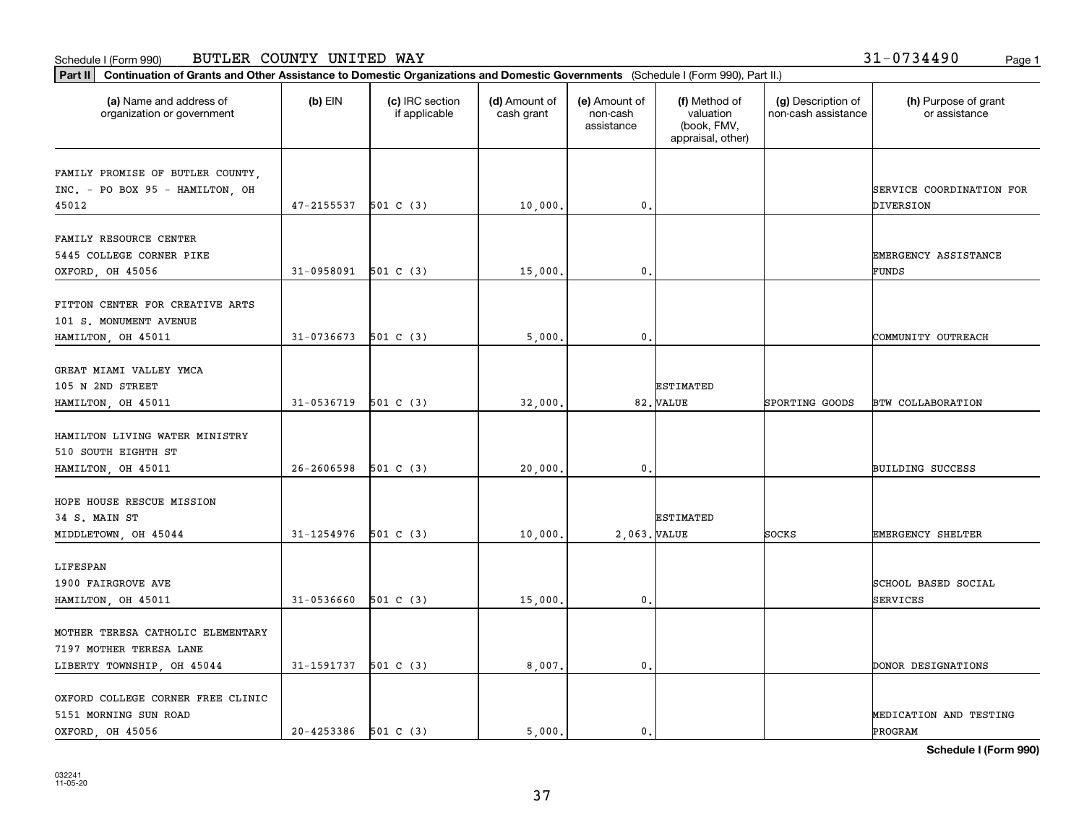### Schedule I (Form 990) BUTLER COUNTY UNITED WAY 31-0734490 <sub>Page 1</sub>

| Part II   Continuation of Grants and Other Assistance to Domestic Organizations and Domestic Governments (Schedule I (Form 990), Part II.) |                          |                                  |                             |                                         |                                                                |                                           |                                       |
|--------------------------------------------------------------------------------------------------------------------------------------------|--------------------------|----------------------------------|-----------------------------|-----------------------------------------|----------------------------------------------------------------|-------------------------------------------|---------------------------------------|
| (a) Name and address of<br>organization or government                                                                                      | $(b)$ EIN                | (c) IRC section<br>if applicable | (d) Amount of<br>cash grant | (e) Amount of<br>non-cash<br>assistance | (f) Method of<br>valuation<br>(book, FMV,<br>appraisal, other) | (g) Description of<br>non-cash assistance | (h) Purpose of grant<br>or assistance |
|                                                                                                                                            |                          |                                  |                             |                                         |                                                                |                                           |                                       |
| FAMILY PROMISE OF BUTLER COUNTY,<br>INC. - PO BOX 95 - HAMILTON, OH                                                                        |                          |                                  |                             |                                         |                                                                |                                           | SERVICE COORDINATION FOR              |
| 45012                                                                                                                                      | 47-2155537               | 501 C (3)                        | 10,000.                     | 0.                                      |                                                                |                                           | DIVERSION                             |
|                                                                                                                                            |                          |                                  |                             |                                         |                                                                |                                           |                                       |
| FAMILY RESOURCE CENTER                                                                                                                     |                          |                                  |                             |                                         |                                                                |                                           |                                       |
| 5445 COLLEGE CORNER PIKE                                                                                                                   |                          |                                  |                             |                                         |                                                                |                                           | EMERGENCY ASSISTANCE                  |
| OXFORD, OH 45056                                                                                                                           | 31-0958091               | 501 C (3)                        | 15,000.                     | 0.                                      |                                                                |                                           | FUNDS                                 |
|                                                                                                                                            |                          |                                  |                             |                                         |                                                                |                                           |                                       |
| FITTON CENTER FOR CREATIVE ARTS                                                                                                            |                          |                                  |                             |                                         |                                                                |                                           |                                       |
| 101 S. MONUMENT AVENUE                                                                                                                     |                          |                                  |                             |                                         |                                                                |                                           |                                       |
| HAMILTON, OH 45011                                                                                                                         | 31-0736673               | 501 C (3)                        | 5,000.                      | 0.                                      |                                                                |                                           | COMMUNITY OUTREACH                    |
|                                                                                                                                            |                          |                                  |                             |                                         |                                                                |                                           |                                       |
| GREAT MIAMI VALLEY YMCA                                                                                                                    |                          |                                  |                             |                                         |                                                                |                                           |                                       |
| 105 N 2ND STREET                                                                                                                           |                          |                                  |                             |                                         | <b>ESTIMATED</b>                                               |                                           |                                       |
| HAMILTON, OH 45011                                                                                                                         | 31-0536719               | 501 C (3)                        | 32,000.                     |                                         | 82. VALUE                                                      | SPORTING GOODS                            | <b>BTW COLLABORATION</b>              |
|                                                                                                                                            |                          |                                  |                             |                                         |                                                                |                                           |                                       |
| HAMILTON LIVING WATER MINISTRY                                                                                                             |                          |                                  |                             |                                         |                                                                |                                           |                                       |
| 510 SOUTH EIGHTH ST                                                                                                                        |                          |                                  |                             |                                         |                                                                |                                           |                                       |
| HAMILTON, OH 45011                                                                                                                         | 26-2606598               | 501 C (3)                        | 20,000.                     | $\mathbf{0}$                            |                                                                |                                           | <b>BUILDING SUCCESS</b>               |
|                                                                                                                                            |                          |                                  |                             |                                         |                                                                |                                           |                                       |
| HOPE HOUSE RESCUE MISSION                                                                                                                  |                          |                                  |                             |                                         |                                                                |                                           |                                       |
| 34 S. MAIN ST                                                                                                                              |                          |                                  |                             |                                         | <b>ESTIMATED</b>                                               |                                           |                                       |
| MIDDLETOWN, OH 45044                                                                                                                       | 31-1254976               | 501 C (3)                        | 10,000.                     | 2,063. VALUE                            |                                                                | SOCKS                                     | <b>EMERGENCY SHELTER</b>              |
|                                                                                                                                            |                          |                                  |                             |                                         |                                                                |                                           |                                       |
| LIFESPAN<br>1900 FAIRGROVE AVE                                                                                                             |                          |                                  |                             |                                         |                                                                |                                           | SCHOOL BASED SOCIAL                   |
|                                                                                                                                            |                          |                                  |                             |                                         |                                                                |                                           |                                       |
| HAMILTON, OH 45011                                                                                                                         | 31-0536660               | 501 C (3)                        | 15,000.                     | 0.                                      |                                                                |                                           | SERVICES                              |
| MOTHER TERESA CATHOLIC ELEMENTARY                                                                                                          |                          |                                  |                             |                                         |                                                                |                                           |                                       |
| 7197 MOTHER TERESA LANE                                                                                                                    |                          |                                  |                             |                                         |                                                                |                                           |                                       |
| LIBERTY TOWNSHIP, OH 45044                                                                                                                 | 31-1591737 501 C (3)     |                                  | 8,007.                      | $\mathbf{0}$ .                          |                                                                |                                           | DONOR DESIGNATIONS                    |
|                                                                                                                                            |                          |                                  |                             |                                         |                                                                |                                           |                                       |
| OXFORD COLLEGE CORNER FREE CLINIC                                                                                                          |                          |                                  |                             |                                         |                                                                |                                           |                                       |
| 5151 MORNING SUN ROAD                                                                                                                      |                          |                                  |                             |                                         |                                                                |                                           | MEDICATION AND TESTING                |
| OXFORD, OH 45056                                                                                                                           | $20 - 4253386$ 501 C (3) |                                  | 5.000.                      | $\mathbf{0}$ .                          |                                                                |                                           | PROGRAM                               |

**Schedule I (Form 990)**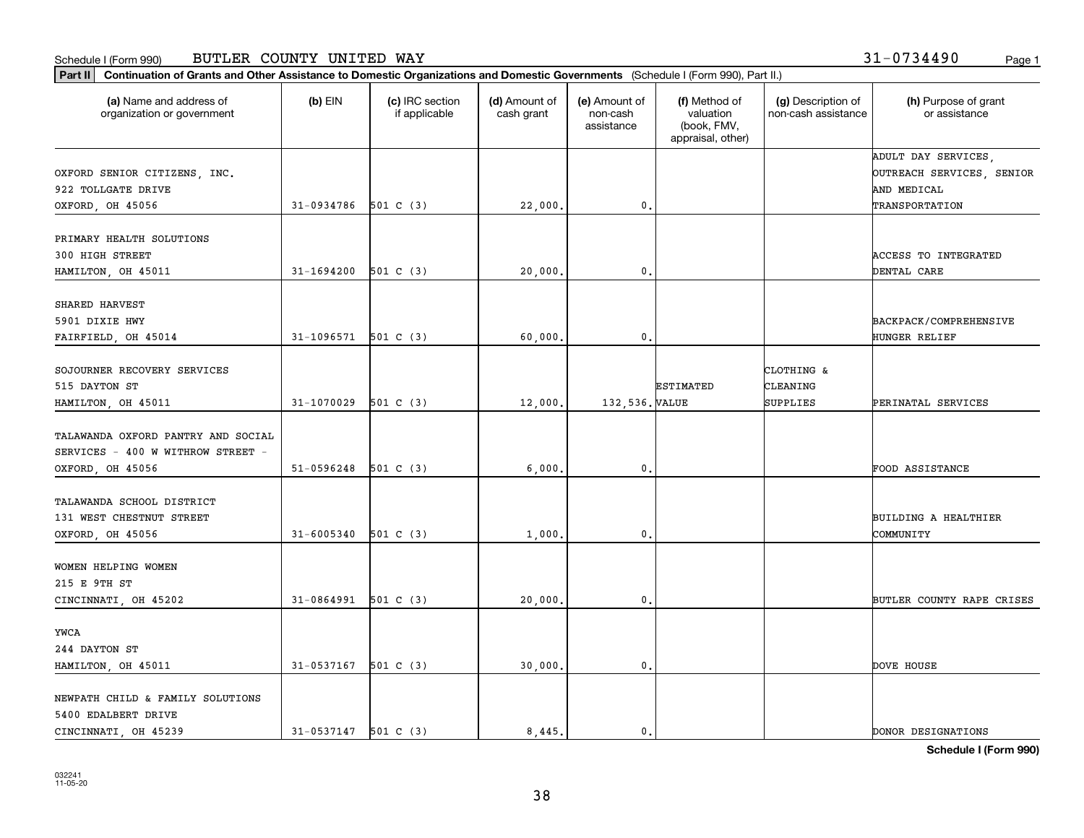#### Schedule I (Form 990) BUTLER COUNTY UNITED WAY 3 $1$  – 0734490 <sub>Page 1</sub>

| Part II   Continuation of Grants and Other Assistance to Domestic Organizations and Domestic Governments (Schedule I (Form 990), Part II.) |                          |                                  |                             |                                         |                                                                |                                           |                                       |
|--------------------------------------------------------------------------------------------------------------------------------------------|--------------------------|----------------------------------|-----------------------------|-----------------------------------------|----------------------------------------------------------------|-------------------------------------------|---------------------------------------|
| (a) Name and address of<br>organization or government                                                                                      | $(b)$ EIN                | (c) IRC section<br>if applicable | (d) Amount of<br>cash grant | (e) Amount of<br>non-cash<br>assistance | (f) Method of<br>valuation<br>(book, FMV,<br>appraisal, other) | (g) Description of<br>non-cash assistance | (h) Purpose of grant<br>or assistance |
|                                                                                                                                            |                          |                                  |                             |                                         |                                                                |                                           | ADULT DAY SERVICES,                   |
| OXFORD SENIOR CITIZENS, INC.                                                                                                               |                          |                                  |                             |                                         |                                                                |                                           | OUTREACH SERVICES, SENIOR             |
| 922 TOLLGATE DRIVE                                                                                                                         |                          |                                  |                             |                                         |                                                                |                                           | AND MEDICAL                           |
| OXFORD, OH 45056                                                                                                                           | 31-0934786               | 501 C (3)                        | 22,000.                     | $\mathbf{0}$ .                          |                                                                |                                           | TRANSPORTATION                        |
| PRIMARY HEALTH SOLUTIONS                                                                                                                   |                          |                                  |                             |                                         |                                                                |                                           |                                       |
| 300 HIGH STREET                                                                                                                            |                          |                                  |                             |                                         |                                                                |                                           | <b>ACCESS TO INTEGRATED</b>           |
| HAMILTON, OH 45011                                                                                                                         | 31-1694200               | 501 C (3)                        | 20,000.                     | $^{\circ}$ .                            |                                                                |                                           | DENTAL CARE                           |
|                                                                                                                                            |                          |                                  |                             |                                         |                                                                |                                           |                                       |
| SHARED HARVEST                                                                                                                             |                          |                                  |                             |                                         |                                                                |                                           |                                       |
| 5901 DIXIE HWY                                                                                                                             |                          |                                  |                             |                                         |                                                                |                                           | BACKPACK/COMPREHENSIVE                |
| FAIRFIELD, OH 45014                                                                                                                        | 31-1096571               | 501 C (3)                        | 60,000,                     | $\mathfrak{o}$ .                        |                                                                |                                           | HUNGER RELIEF                         |
|                                                                                                                                            |                          |                                  |                             |                                         |                                                                |                                           |                                       |
| SOJOURNER RECOVERY SERVICES                                                                                                                |                          |                                  |                             |                                         |                                                                | CLOTHING &                                |                                       |
| 515 DAYTON ST                                                                                                                              |                          |                                  |                             |                                         | <b>ESTIMATED</b>                                               | CLEANING                                  |                                       |
| HAMILTON, OH 45011                                                                                                                         | 31-1070029               | 501 C (3)                        | 12,000.                     | 132,536. VALUE                          |                                                                | SUPPLIES                                  | PERINATAL SERVICES                    |
|                                                                                                                                            |                          |                                  |                             |                                         |                                                                |                                           |                                       |
| TALAWANDA OXFORD PANTRY AND SOCIAL                                                                                                         |                          |                                  |                             |                                         |                                                                |                                           |                                       |
| SERVICES - 400 W WITHROW STREET                                                                                                            |                          |                                  |                             |                                         |                                                                |                                           |                                       |
| OXFORD, OH 45056                                                                                                                           | 51-0596248               | 501 C (3)                        | 6,000                       | $\mathfrak{o}$ .                        |                                                                |                                           | FOOD ASSISTANCE                       |
| TALAWANDA SCHOOL DISTRICT                                                                                                                  |                          |                                  |                             |                                         |                                                                |                                           |                                       |
| 131 WEST CHESTNUT STREET                                                                                                                   |                          |                                  |                             |                                         |                                                                |                                           | BUILDING A HEALTHIER                  |
| OXFORD, OH 45056                                                                                                                           | 31-6005340               | 501 C (3)                        | 1,000                       | 0.                                      |                                                                |                                           | COMMUNITY                             |
|                                                                                                                                            |                          |                                  |                             |                                         |                                                                |                                           |                                       |
| WOMEN HELPING WOMEN                                                                                                                        |                          |                                  |                             |                                         |                                                                |                                           |                                       |
| 215 E 9TH ST                                                                                                                               |                          |                                  |                             |                                         |                                                                |                                           |                                       |
| CINCINNATI, OH 45202                                                                                                                       | 31-0864991               | 501 C (3)                        | 20,000.                     | $\mathfrak{o}$ .                        |                                                                |                                           | BUTLER COUNTY RAPE CRISES             |
|                                                                                                                                            |                          |                                  |                             |                                         |                                                                |                                           |                                       |
| YWCA                                                                                                                                       |                          |                                  |                             |                                         |                                                                |                                           |                                       |
| 244 DAYTON ST                                                                                                                              |                          |                                  |                             |                                         |                                                                |                                           |                                       |
| HAMILTON, OH 45011                                                                                                                         | 31-0537167               | 501 C (3)                        | 30,000.                     | 0.                                      |                                                                |                                           | DOVE HOUSE                            |
|                                                                                                                                            |                          |                                  |                             |                                         |                                                                |                                           |                                       |
| NEWPATH CHILD & FAMILY SOLUTIONS                                                                                                           |                          |                                  |                             |                                         |                                                                |                                           |                                       |
| 5400 EDALBERT DRIVE                                                                                                                        |                          |                                  |                             |                                         |                                                                |                                           |                                       |
| CINCINNATI, OH 45239                                                                                                                       | $31 - 0537147$ 501 C (3) |                                  | 8.445.                      | $\mathbf{0}$ .                          |                                                                |                                           | DONOR DESIGNATIONS                    |

**Schedule I (Form 990)**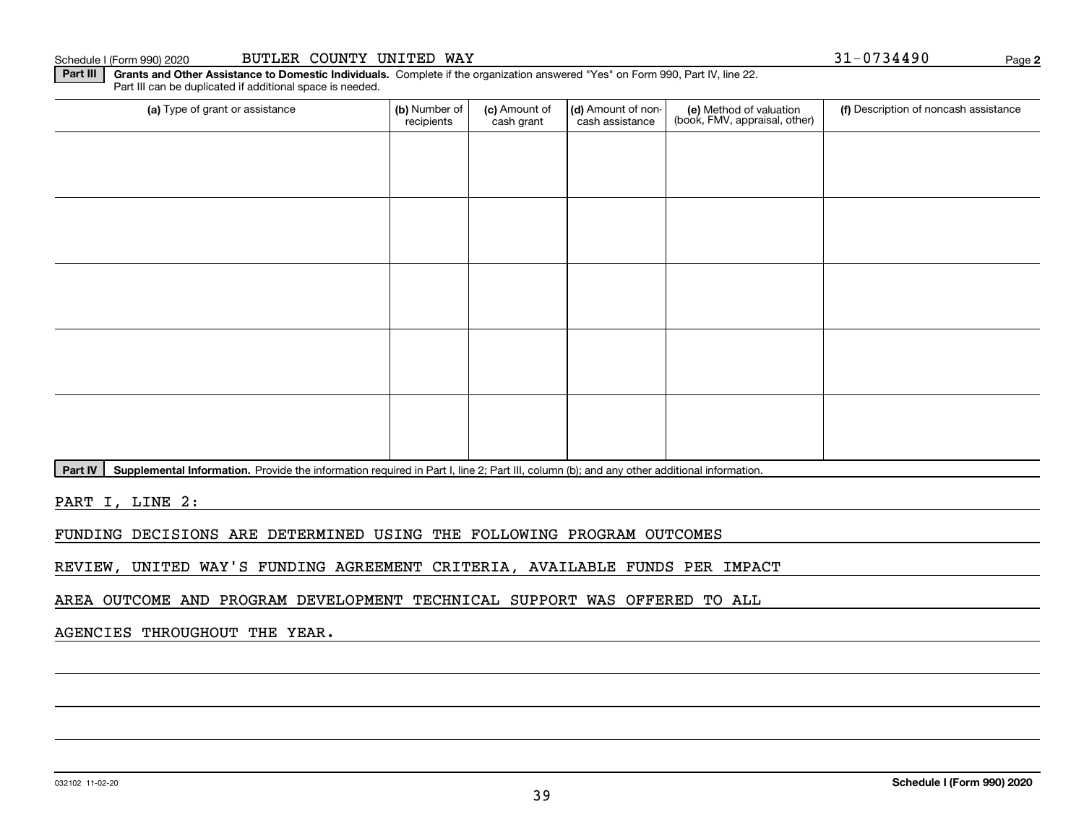**Part III | Grants and Other Assistance to Domestic Individuals. Complete if the organization answered "Yes" on Form 990, Part IV, line 22.** Part III can be duplicated if additional space is needed.

| (a) Type of grant or assistance | (b) Number of<br>recipients | (c) Amount of<br>cash grant | (d) Amount of non-<br>cash assistance | (e) Method of valuation<br>(book, FMV, appraisal, other) | (f) Description of noncash assistance |
|---------------------------------|-----------------------------|-----------------------------|---------------------------------------|----------------------------------------------------------|---------------------------------------|
|                                 |                             |                             |                                       |                                                          |                                       |
|                                 |                             |                             |                                       |                                                          |                                       |
|                                 |                             |                             |                                       |                                                          |                                       |
|                                 |                             |                             |                                       |                                                          |                                       |
|                                 |                             |                             |                                       |                                                          |                                       |
|                                 |                             |                             |                                       |                                                          |                                       |
|                                 |                             |                             |                                       |                                                          |                                       |
|                                 |                             |                             |                                       |                                                          |                                       |
|                                 |                             |                             |                                       |                                                          |                                       |
|                                 |                             |                             |                                       |                                                          |                                       |

Part IV | Supplemental Information. Provide the information required in Part I, line 2; Part III, column (b); and any other additional information.

PART I, LINE 2:

FUNDING DECISIONS ARE DETERMINED USING THE FOLLOWING PROGRAM OUTCOMES

REVIEW, UNITED WAY'S FUNDING AGREEMENT CRITERIA, AVAILABLE FUNDS PER IMPACT

AREA OUTCOME AND PROGRAM DEVELOPMENT TECHNICAL SUPPORT WAS OFFERED TO ALL

AGENCIES THROUGHOUT THE YEAR.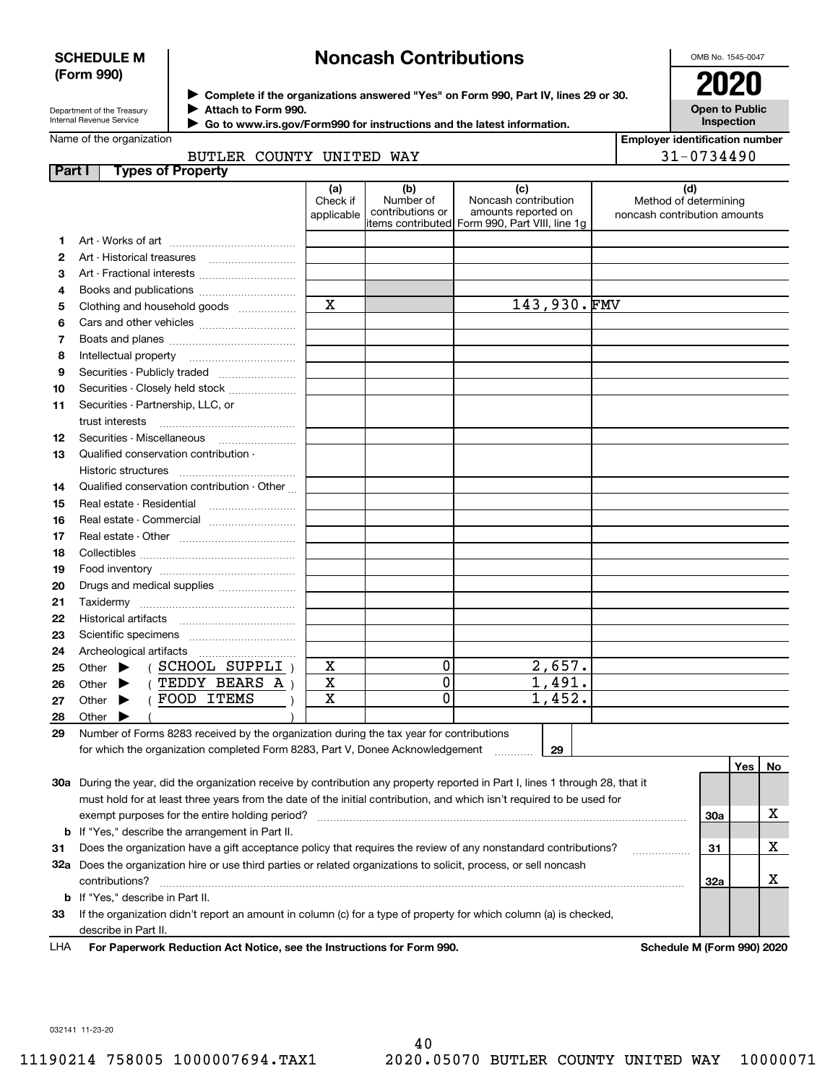## **SCHEDULE M (Form 990)**

# **Noncash Contributions**

OMB No. 1545-0047

| Department of the Treasury      |  |
|---------------------------------|--|
| <b>Internal Revenue Service</b> |  |

**Complete if the organizations answered "Yes" on Form 990, Part IV, lines 29 or 30.** <sup>J</sup>**2020 Attach to Form 990.** J

**Open to Public Inspection**

| Go to www.irs.gov/Form990 for instructions and the latest information. |  |
|------------------------------------------------------------------------|--|
|------------------------------------------------------------------------|--|

|        | Name of the organization                                                                                                            |                               |                                      |                                                                                                      | <b>Employer identification number</b>                        |
|--------|-------------------------------------------------------------------------------------------------------------------------------------|-------------------------------|--------------------------------------|------------------------------------------------------------------------------------------------------|--------------------------------------------------------------|
|        | BUTLER COUNTY UNITED WAY                                                                                                            |                               |                                      |                                                                                                      | 31-0734490                                                   |
| Part I | <b>Types of Property</b>                                                                                                            |                               |                                      |                                                                                                      |                                                              |
|        |                                                                                                                                     | (a)<br>Check if<br>applicable | (b)<br>Number of<br>contributions or | (c)<br>Noncash contribution<br>amounts reported on<br>items contributed Form 990, Part VIII, line 1g | (d)<br>Method of determining<br>noncash contribution amounts |
| 1.     |                                                                                                                                     |                               |                                      |                                                                                                      |                                                              |
| 2      |                                                                                                                                     |                               |                                      |                                                                                                      |                                                              |
| 3      | Art - Fractional interests                                                                                                          |                               |                                      |                                                                                                      |                                                              |
| 4      |                                                                                                                                     |                               |                                      |                                                                                                      |                                                              |
| 5      | Clothing and household goods                                                                                                        | $\mathbf X$                   |                                      | 143,930.FMV                                                                                          |                                                              |
| 6      |                                                                                                                                     |                               |                                      |                                                                                                      |                                                              |
| 7      |                                                                                                                                     |                               |                                      |                                                                                                      |                                                              |
| 8      |                                                                                                                                     |                               |                                      |                                                                                                      |                                                              |
| 9      |                                                                                                                                     |                               |                                      |                                                                                                      |                                                              |
| 10     | Securities - Closely held stock                                                                                                     |                               |                                      |                                                                                                      |                                                              |
| 11     | Securities - Partnership, LLC, or                                                                                                   |                               |                                      |                                                                                                      |                                                              |
|        | trust interests                                                                                                                     |                               |                                      |                                                                                                      |                                                              |
| 12     | Securities - Miscellaneous                                                                                                          |                               |                                      |                                                                                                      |                                                              |
| 13     | Qualified conservation contribution -                                                                                               |                               |                                      |                                                                                                      |                                                              |
|        | Historic structures                                                                                                                 |                               |                                      |                                                                                                      |                                                              |
| 14     | Qualified conservation contribution - Other                                                                                         |                               |                                      |                                                                                                      |                                                              |
| 15     | Real estate - Residential                                                                                                           |                               |                                      |                                                                                                      |                                                              |
| 16     |                                                                                                                                     |                               |                                      |                                                                                                      |                                                              |
| 17     |                                                                                                                                     |                               |                                      |                                                                                                      |                                                              |
| 18     |                                                                                                                                     |                               |                                      |                                                                                                      |                                                              |
| 19     |                                                                                                                                     |                               |                                      |                                                                                                      |                                                              |
| 20     | Drugs and medical supplies                                                                                                          |                               |                                      |                                                                                                      |                                                              |
| 21     |                                                                                                                                     |                               |                                      |                                                                                                      |                                                              |
| 22     |                                                                                                                                     |                               |                                      |                                                                                                      |                                                              |
| 23     |                                                                                                                                     |                               |                                      |                                                                                                      |                                                              |
| 24     | Archeological artifacts                                                                                                             |                               |                                      |                                                                                                      |                                                              |
| 25     | (SCHOOL SUPPLI)<br>Other $\blacktriangleright$                                                                                      | X                             | 0                                    | 2,657.                                                                                               |                                                              |
| 26     | (TEDDY BEARS A)<br>Other $\blacktriangleright$                                                                                      | $\mathbf X$                   | $\overline{0}$<br>$\overline{0}$     | 1,491.                                                                                               |                                                              |
| 27     | FOOD ITEMS<br>Other $\blacktriangleright$                                                                                           | $\mathbf x$                   |                                      | 1,452.                                                                                               |                                                              |
| 28     | Other $\blacktriangleright$                                                                                                         |                               |                                      |                                                                                                      |                                                              |
| 29     | Number of Forms 8283 received by the organization during the tax year for contributions                                             |                               |                                      |                                                                                                      |                                                              |
|        | for which the organization completed Form 8283, Part V, Donee Acknowledgement                                                       |                               |                                      | 29                                                                                                   |                                                              |
|        |                                                                                                                                     |                               |                                      |                                                                                                      | Yes<br>No                                                    |
|        | 30a During the year, did the organization receive by contribution any property reported in Part I, lines 1 through 28, that it      |                               |                                      |                                                                                                      |                                                              |
|        | must hold for at least three years from the date of the initial contribution, and which isn't required to be used for               |                               |                                      |                                                                                                      |                                                              |
|        | exempt purposes for the entire holding period?                                                                                      |                               |                                      |                                                                                                      | х<br><b>30a</b>                                              |
|        | <b>b</b> If "Yes," describe the arrangement in Part II.                                                                             |                               |                                      |                                                                                                      |                                                              |
| 31     | Does the organization have a gift acceptance policy that requires the review of any nonstandard contributions?                      |                               |                                      |                                                                                                      | х<br>31<br>.                                                 |
|        | 32a Does the organization hire or use third parties or related organizations to solicit, process, or sell noncash<br>contributions? |                               |                                      |                                                                                                      | х<br>32a                                                     |
|        | <b>b</b> If "Yes," describe in Part II.                                                                                             |                               |                                      |                                                                                                      |                                                              |
| 33     | If the organization didn't report an amount in column (c) for a type of property for which column (a) is checked,                   |                               |                                      |                                                                                                      |                                                              |
|        | describe in Part II.                                                                                                                |                               |                                      |                                                                                                      |                                                              |
| LHA    | For Paperwork Reduction Act Notice, see the Instructions for Form 990.                                                              |                               |                                      |                                                                                                      | Schedule M (Form 990) 2020                                   |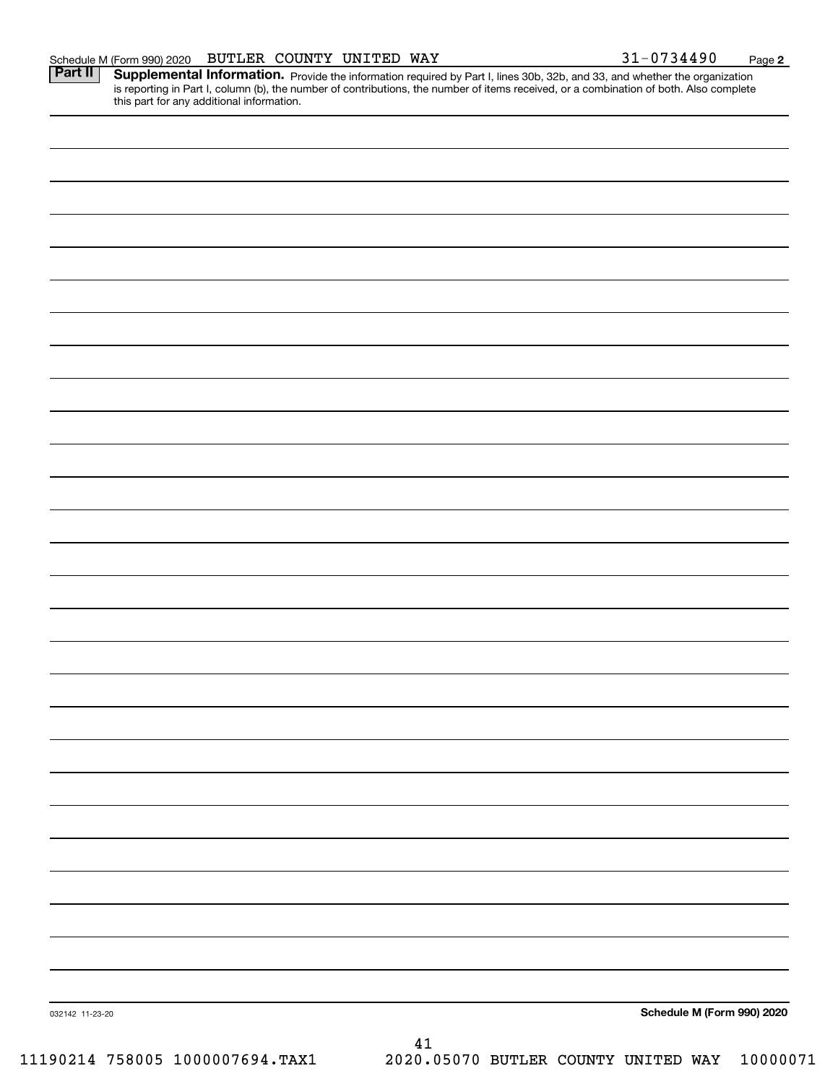Part II | Supplemental Information. Provide the information required by Part I, lines 30b, 32b, and 33, and whether the organization is reporting in Part I, column (b), the number of contributions, the number of items received, or a combination of both. Also complete this part for any additional information.

| 032142 11-23-20                 | Schedule M (Form 990) 2020                   |
|---------------------------------|----------------------------------------------|
|                                 | 41                                           |
| 11190214 758005 1000007694.TAX1 | 2020.05070 BUTLER COUNTY UNITED WAY 10000071 |
|                                 |                                              |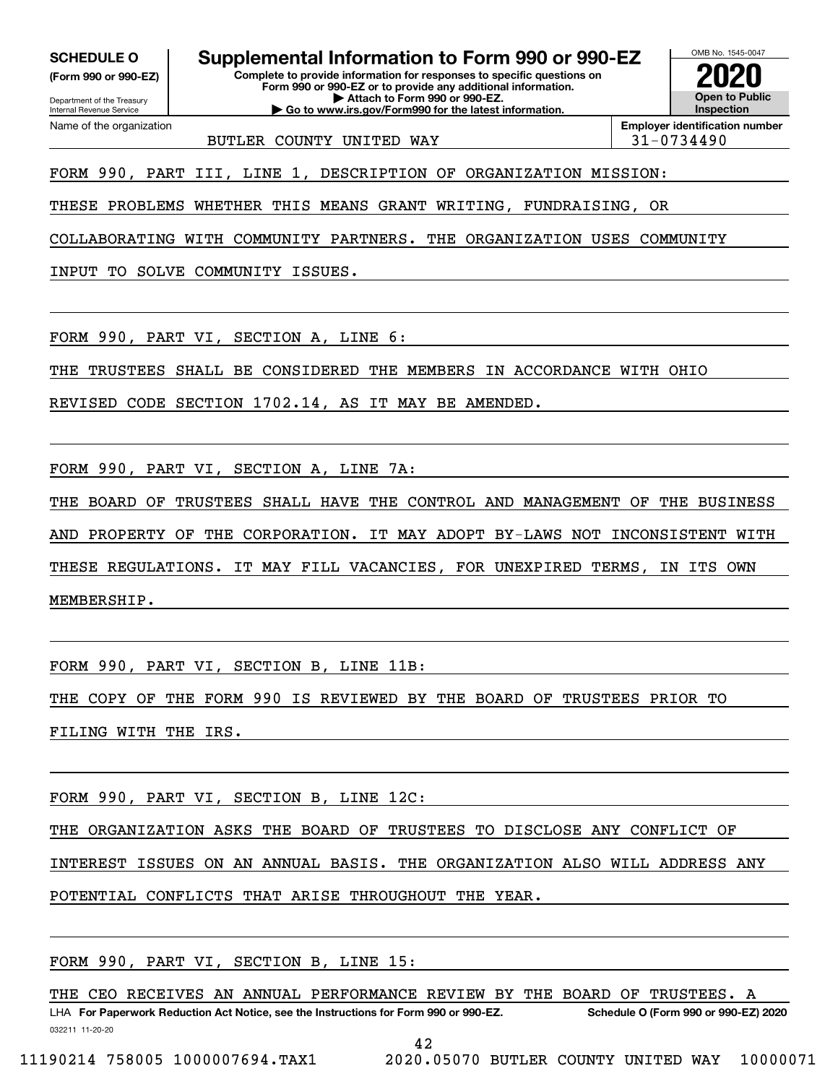**(Form 990 or 990-EZ)**

Department of the Treasury Internal Revenue Service Name of the organization

**SCHEDULE O Supplemental Information to Form 990 or 990-EZ**

**Complete to provide information for responses to specific questions on Form 990 or 990-EZ or to provide any additional information. | Attach to Form 990 or 990-EZ. | Go to www.irs.gov/Form990 for the latest information.**



BUTLER COUNTY UNITED WAY  $|31-0734490$ 

**Employer identification number**

FORM 990, PART III, LINE 1, DESCRIPTION OF ORGANIZATION MISSION:

THESE PROBLEMS WHETHER THIS MEANS GRANT WRITING, FUNDRAISING, OR

COLLABORATING WITH COMMUNITY PARTNERS. THE ORGANIZATION USES COMMUNITY

INPUT TO SOLVE COMMUNITY ISSUES.

FORM 990, PART VI, SECTION A, LINE 6:

THE TRUSTEES SHALL BE CONSIDERED THE MEMBERS IN ACCORDANCE WITH OHIO

REVISED CODE SECTION 1702.14, AS IT MAY BE AMENDED.

FORM 990, PART VI, SECTION A, LINE 7A:

THE BOARD OF TRUSTEES SHALL HAVE THE CONTROL AND MANAGEMENT OF THE BUSINESS AND PROPERTY OF THE CORPORATION. IT MAY ADOPT BY-LAWS NOT INCONSISTENT WITH THESE REGULATIONS. IT MAY FILL VACANCIES, FOR UNEXPIRED TERMS, IN ITS OWN MEMBERSHIP.

FORM 990, PART VI, SECTION B, LINE 11B:

THE COPY OF THE FORM 990 IS REVIEWED BY THE BOARD OF TRUSTEES PRIOR TO

FILING WITH THE IRS.

FORM 990, PART VI, SECTION B, LINE 12C:

THE ORGANIZATION ASKS THE BOARD OF TRUSTEES TO DISCLOSE ANY CONFLICT OF

INTEREST ISSUES ON AN ANNUAL BASIS. THE ORGANIZATION ALSO WILL ADDRESS ANY

POTENTIAL CONFLICTS THAT ARISE THROUGHOUT THE YEAR.

FORM 990, PART VI, SECTION B, LINE 15:

032211 11-20-20 LHA For Paperwork Reduction Act Notice, see the Instructions for Form 990 or 990-EZ. Schedule O (Form 990 or 990-EZ) 2020 THE CEO RECEIVES AN ANNUAL PERFORMANCE REVIEW BY THE BOARD OF TRUSTEES. A

42